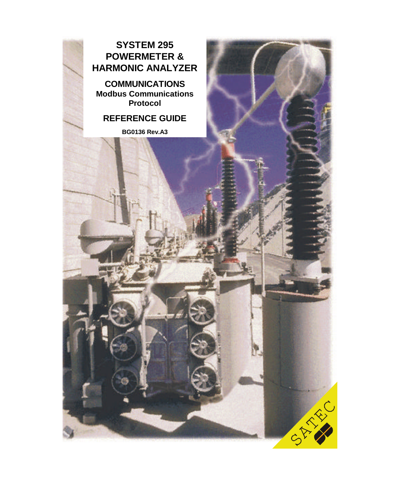### **SYSTEM 295 POWERMETER & HARMONIC ANALYZER**

**COMMUNICATIONS Modbus Communications Protocol**

### **REFERENCE GUIDE**

**BG0136 Rev.A3**

CAR RA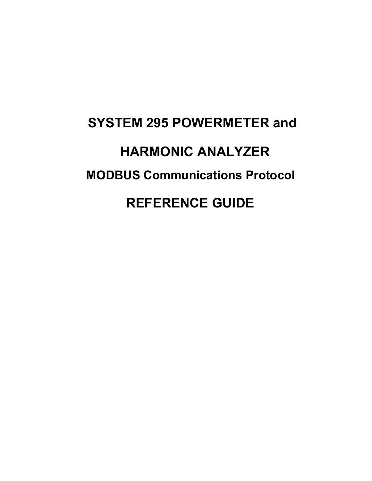# **SYSTEM 295 POWERMETER and HARMONIC ANALYZER MODBUS Communications Protocol REFERENCE GUIDE**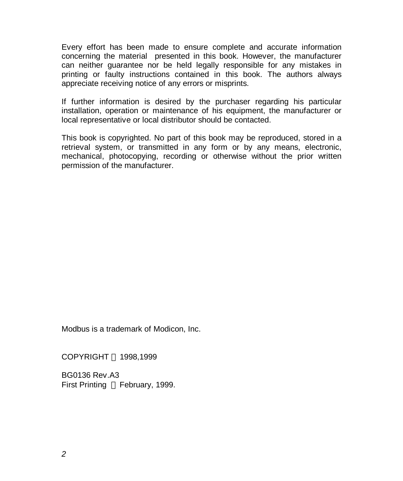Every effort has been made to ensure complete and accurate information concerning the material presented in this book. However, the manufacturer can neither guarantee nor be held legally responsible for any mistakes in printing or faulty instructions contained in this book. The authors always appreciate receiving notice of any errors or misprints.

If further information is desired by the purchaser regarding his particular installation, operation or maintenance of his equipment, the manufacturer or local representative or local distributor should be contacted.

This book is copyrighted. No part of this book may be reproduced, stored in a retrieval system, or transmitted in any form or by any means, electronic, mechanical, photocopying, recording or otherwise without the prior written permission of the manufacturer.

Modbus is a trademark of Modicon, Inc.

COPYRIGHT © 1998,1999

BG0136 Rev.A3 First Printing © February, 1999.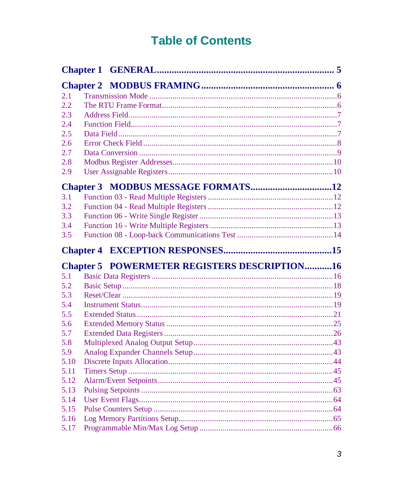# **Table of Contents**

| 2.1  |                                                     |  |
|------|-----------------------------------------------------|--|
| 2.2  |                                                     |  |
| 2.3  |                                                     |  |
| 2.4  |                                                     |  |
| 2.5  |                                                     |  |
| 2.6  |                                                     |  |
| 2.7  |                                                     |  |
| 2.8  |                                                     |  |
| 2.9  |                                                     |  |
|      |                                                     |  |
| 3.1  |                                                     |  |
| 3.2  |                                                     |  |
| 3.3  |                                                     |  |
| 3.4  |                                                     |  |
| 3.5  |                                                     |  |
|      |                                                     |  |
|      | <b>Chapter 5 POWERMETER REGISTERS DESCRIPTION16</b> |  |
| 5.1  |                                                     |  |
| 5.2  |                                                     |  |
| 5.3  |                                                     |  |
| 5.4  |                                                     |  |
| 5.5  |                                                     |  |
| 5.6  |                                                     |  |
| 5.7  |                                                     |  |
| 5.8  |                                                     |  |
| 5.9  |                                                     |  |
| 5.10 |                                                     |  |
| 5.11 |                                                     |  |
| 5.12 |                                                     |  |
| 5.13 |                                                     |  |
| 5.14 |                                                     |  |
| 5.15 |                                                     |  |
| 5.16 |                                                     |  |
| 5.17 |                                                     |  |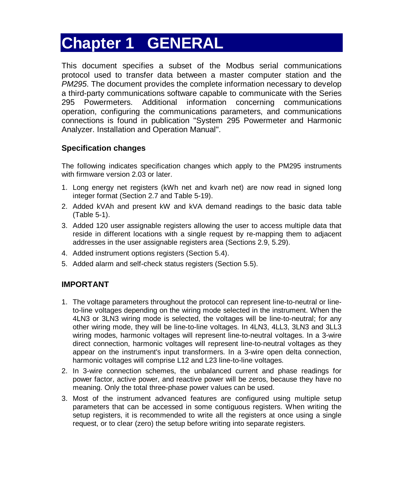# **Chapter 1 GENERAL**

This document specifies a subset of the Modbus serial communications protocol used to transfer data between a master computer station and the *PM295*. The document provides the complete information necessary to develop a third-party communications software capable to communicate with the Series 295 Powermeters. Additional information concerning communications operation, configuring the communications parameters, and communications connections is found in publication "System 295 Powermeter and Harmonic Analyzer. Installation and Operation Manual".

### **Specification changes**

The following indicates specification changes which apply to the PM295 instruments with firmware version 2.03 or later.

- 1. Long energy net registers (kWh net and kvarh net) are now read in signed long integer format (Section 2.7 and Table 5-19).
- 2. Added kVAh and present kW and kVA demand readings to the basic data table (Table 5-1).
- 3. Added 120 user assignable registers allowing the user to access multiple data that reside in different locations with a single request by re-mapping them to adjacent addresses in the user assignable registers area (Sections 2.9, 5.29).
- 4. Added instrument options registers (Section 5.4).
- 5. Added alarm and self-check status registers (Section 5.5).

### **IMPORTANT**

- 1. The voltage parameters throughout the protocol can represent line-to-neutral or lineto-line voltages depending on the wiring mode selected in the instrument. When the 4LN3 or 3LN3 wiring mode is selected, the voltages will be line-to-neutral; for any other wiring mode, they will be line-to-line voltages. In 4LN3, 4LL3, 3LN3 and 3LL3 wiring modes, harmonic voltages will represent line-to-neutral voltages. In a 3-wire direct connection, harmonic voltages will represent line-to-neutral voltages as they appear on the instrument's input transformers. In a 3-wire open delta connection, harmonic voltages will comprise L12 and L23 line-to-line voltages.
- 2. In 3-wire connection schemes, the unbalanced current and phase readings for power factor, active power, and reactive power will be zeros, because they have no meaning. Only the total three-phase power values can be used.
- 3. Most of the instrument advanced features are configured using multiple setup parameters that can be accessed in some contiguous registers. When writing the setup registers, it is recommended to write all the registers at once using a single request, or to clear (zero) the setup before writing into separate registers.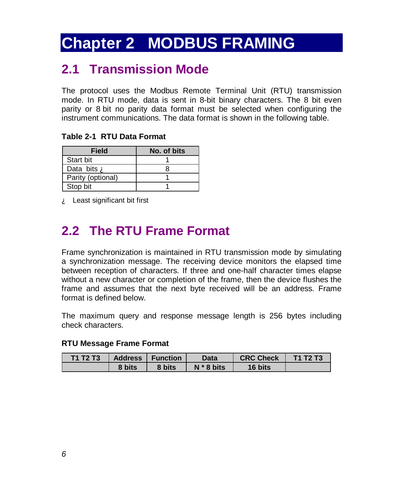# **Chapter 2 MODBUS FRAMING**

# **2.1 Transmission Mode**

The protocol uses the Modbus Remote Terminal Unit (RTU) transmission mode. In RTU mode, data is sent in 8-bit binary characters. The 8 bit even parity or 8 bit no parity data format must be selected when configuring the instrument communications. The data format is shown in the following table.

**Table 2-1 RTU Data Format**

| <b>Field</b>       | No. of bits |
|--------------------|-------------|
| Start bit          |             |
| Data bits <b>A</b> |             |
| Parity (optional)  |             |
| Stop bit           |             |

À Least significant bit first

# **2.2 The RTU Frame Format**

Frame synchronization is maintained in RTU transmission mode by simulating a synchronization message. The receiving device monitors the elapsed time between reception of characters. If three and one-half character times elapse without a new character or completion of the frame, then the device flushes the frame and assumes that the next byte received will be an address. Frame format is defined below.

The maximum query and response message length is 256 bytes including check characters.

### **RTU Message Frame Format**

| <b>T1 T2 T3</b> | <b>Address</b> | <b>Function</b> | Data         | <b>CRC Check</b> | T1 T2 T3 |
|-----------------|----------------|-----------------|--------------|------------------|----------|
|                 | 8 bits         | 8 bits          | $N * 8$ bits | 16 bits          |          |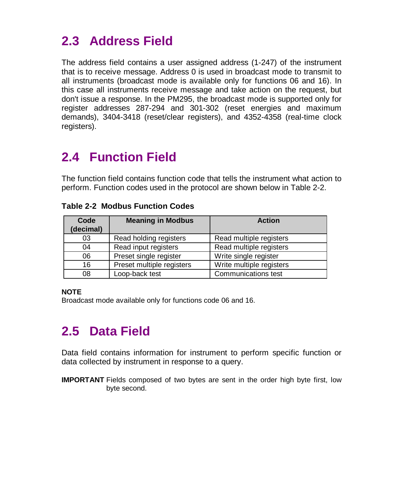# **2.3 Address Field**

The address field contains a user assigned address (1-247) of the instrument that is to receive message. Address 0 is used in broadcast mode to transmit to all instruments (broadcast mode is available only for functions 06 and 16). In this case all instruments receive message and take action on the request, but don't issue a response. In the PM295, the broadcast mode is supported only for register addresses 287-294 and 301-302 (reset energies and maximum demands), 3404-3418 (reset/clear registers), and 4352-4358 (real-time clock registers).

# **2.4 Function Field**

The function field contains function code that tells the instrument what action to perform. Function codes used in the protocol are shown below in Table 2-2.

| Code<br>(decimal) | <b>Meaning in Modbus</b>  | <b>Action</b>            |
|-------------------|---------------------------|--------------------------|
| 03                | Read holding registers    | Read multiple registers  |
| 04                | Read input registers      | Read multiple registers  |
| 06                | Preset single register    | Write single register    |
| 16                | Preset multiple registers | Write multiple registers |
| 08                | Loop-back test            | Communications test      |

#### **Table 2-2 Modbus Function Codes**

### **NOTE**

Broadcast mode available only for functions code 06 and 16.

# **2.5 Data Field**

Data field contains information for instrument to perform specific function or data collected by instrument in response to a query.

**IMPORTANT** Fields composed of two bytes are sent in the order high byte first, low byte second.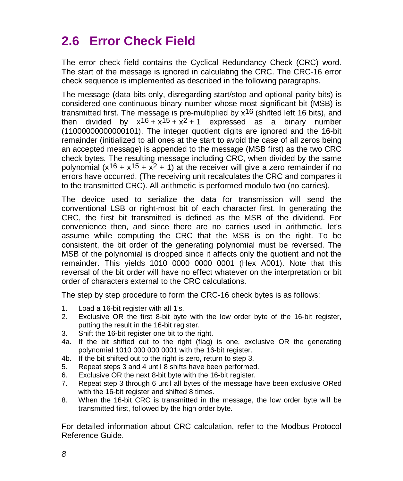# **2.6 Error Check Field**

The error check field contains the Cyclical Redundancy Check (CRC) word. The start of the message is ignored in calculating the CRC. The CRC-16 error check sequence is implemented as described in the following paragraphs.

The message (data bits only, disregarding start/stop and optional parity bits) is considered one continuous binary number whose most significant bit (MSB) is transmitted first. The message is pre-multiplied by  $x^{16}$  (shifted left 16 bits), and then divided by  $x^{16} + x^{15} + x^{2} + 1$  expressed as a binary number (11000000000000101). The integer quotient digits are ignored and the 16-bit remainder (initialized to all ones at the start to avoid the case of all zeros being an accepted message) is appended to the message (MSB first) as the two CRC check bytes. The resulting message including CRC, when divided by the same polynomial  $(x^{16} + x^{15} + x^{2} + 1)$  at the receiver will give a zero remainder if no errors have occurred. (The receiving unit recalculates the CRC and compares it to the transmitted CRC). All arithmetic is performed modulo two (no carries).

The device used to serialize the data for transmission will send the conventional LSB or right-most bit of each character first. In generating the CRC, the first bit transmitted is defined as the MSB of the dividend. For convenience then, and since there are no carries used in arithmetic, let's assume while computing the CRC that the MSB is on the right. To be consistent, the bit order of the generating polynomial must be reversed. The MSB of the polynomial is dropped since it affects only the quotient and not the remainder. This yields 1010 0000 0000 0001 (Hex A001). Note that this reversal of the bit order will have no effect whatever on the interpretation or bit order of characters external to the CRC calculations.

The step by step procedure to form the CRC-16 check bytes is as follows:

- 1. Load a 16-bit register with all 1's.
- 2. Exclusive OR the first 8-bit byte with the low order byte of the 16-bit register, putting the result in the 16-bit register.
- 3. Shift the 16-bit register one bit to the right.
- 4a. If the bit shifted out to the right (flag) is one, exclusive OR the generating polynomial 1010 000 000 0001 with the 16-bit register.
- 4b. If the bit shifted out to the right is zero, return to step 3.
- 5. Repeat steps 3 and 4 until 8 shifts have been performed.
- 6. Exclusive OR the next 8-bit byte with the 16-bit register.
- 7. Repeat step 3 through 6 until all bytes of the message have been exclusive ORed with the 16-bit register and shifted 8 times.
- 8. When the 16-bit CRC is transmitted in the message, the low order byte will be transmitted first, followed by the high order byte.

For detailed information about CRC calculation, refer to the Modbus Protocol Reference Guide.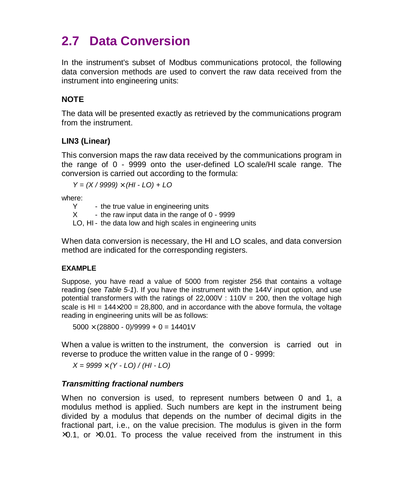# **2.7 Data Conversion**

In the instrument's subset of Modbus communications protocol, the following data conversion methods are used to convert the raw data received from the instrument into engineering units:

### **NOTE**

The data will be presented exactly as retrieved by the communications program from the instrument.

### **LIN3 (Linear)**

This conversion maps the raw data received by the communications program in the range of 0 - 9999 onto the user-defined LO scale/HI scale range. The conversion is carried out according to the formula:

*Y = (X / 9999)* × *(HI - LO) + LO*

where:

 $Y \rightarrow$  the true value in engineering units<br> $X \rightarrow$  the raw input data in the range of (

- the raw input data in the range of  $0 - 9999$ 

LO, HI - the data low and high scales in engineering units

When data conversion is necessary, the HI and LO scales, and data conversion method are indicated for the corresponding registers.

### **EXAMPLE**

Suppose, you have read a value of 5000 from register 256 that contains a voltage reading (see *Table 5-1*). If you have the instrument with the 144V input option, and use potential transformers with the ratings of  $22,000V$  : 110V = 200, then the voltage high scale is HI =  $144 \times 200 = 28,800$ , and in accordance with the above formula, the voltage reading in engineering units will be as follows:

 $5000 \times (28800 - 0)/9999 + 0 = 14401V$ 

When a value is written to the instrument, the conversion is carried out in reverse to produce the written value in the range of 0 - 9999:

*X = 9999* × *(Y - LO) / (HI - LO)*

### *Transmitting fractional numbers*

When no conversion is used, to represent numbers between 0 and 1, a modulus method is applied. Such numbers are kept in the instrument being divided by a modulus that depends on the number of decimal digits in the fractional part, i.e., on the value precision. The modulus is given in the form  $\times$ 0.1, or  $\times$ 0.01. To process the value received from the instrument in this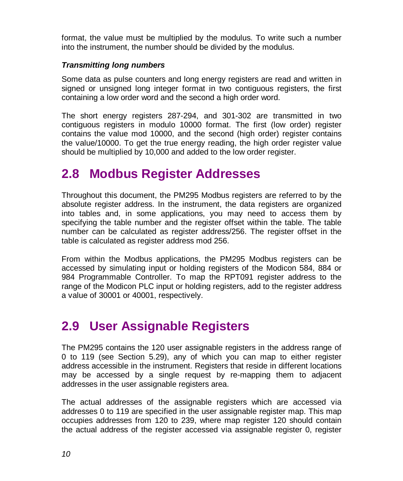format, the value must be multiplied by the modulus. To write such a number into the instrument, the number should be divided by the modulus.

#### *Transmitting long numbers*

Some data as pulse counters and long energy registers are read and written in signed or unsigned long integer format in two contiguous registers, the first containing a low order word and the second a high order word.

The short energy registers 287-294, and 301-302 are transmitted in two contiguous registers in modulo 10000 format. The first (low order) register contains the value mod 10000, and the second (high order) register contains the value/10000. To get the true energy reading, the high order register value should be multiplied by 10,000 and added to the low order register.

### **2.8 Modbus Register Addresses**

Throughout this document, the PM295 Modbus registers are referred to by the absolute register address. In the instrument, the data registers are organized into tables and, in some applications, you may need to access them by specifying the table number and the register offset within the table. The table number can be calculated as register address/256. The register offset in the table is calculated as register address mod 256.

From within the Modbus applications, the PM295 Modbus registers can be accessed by simulating input or holding registers of the Modicon 584, 884 or 984 Programmable Controller. To map the RPT091 register address to the range of the Modicon PLC input or holding registers, add to the register address a value of 30001 or 40001, respectively.

### **2.9 User Assignable Registers**

The PM295 contains the 120 user assignable registers in the address range of 0 to 119 (see Section 5.29), any of which you can map to either register address accessible in the instrument. Registers that reside in different locations may be accessed by a single request by re-mapping them to adjacent addresses in the user assignable registers area.

The actual addresses of the assignable registers which are accessed via addresses 0 to 119 are specified in the user assignable register map. This map occupies addresses from 120 to 239, where map register 120 should contain the actual address of the register accessed via assignable register 0, register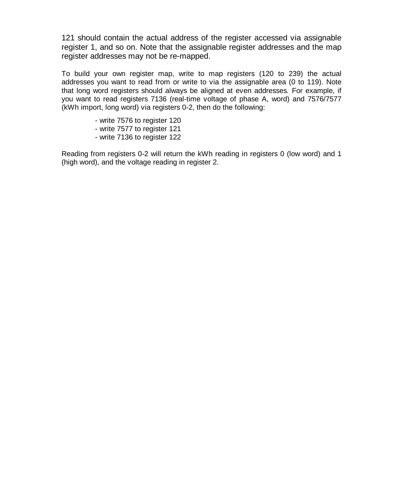121 should contain the actual address of the register accessed via assignable register 1, and so on. Note that the assignable register addresses and the map register addresses may not be re-mapped.

To build your own register map, write to map registers (120 to 239) the actual addresses you want to read from or write to via the assignable area (0 to 119). Note that long word registers should always be aligned at even addresses*.* For example, if you want to read registers 7136 (real-time voltage of phase A, word) and 7576/7577 (kWh import, long word) via registers 0-2, then do the following:

- write 7576 to register 120
- write 7577 to register 121
- write 7136 to register 122

Reading from registers 0-2 will return the kWh reading in registers 0 (low word) and 1 (high word), and the voltage reading in register 2.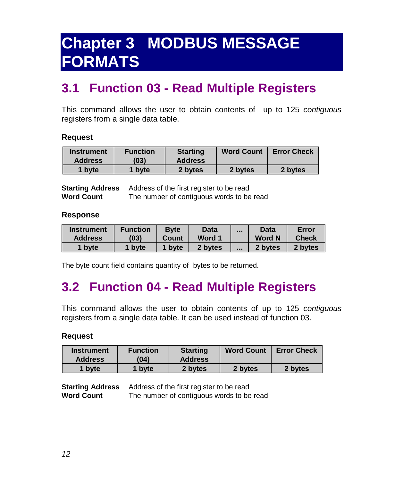# <span id="page-12-0"></span>**Chapter 3 MODBUS MESSAGE FORMATS**

# **3.1 Function 03 - Read Multiple Registers**

This command allows the user to obtain contents of up to 125 *contiguous* registers from a single data table.

#### **Request**

| <b>Instrument</b><br><b>Address</b> | <b>Function</b><br>(03) | <b>Starting</b><br><b>Address</b> | <b>Word Count</b> | <b>Error Check</b> |
|-------------------------------------|-------------------------|-----------------------------------|-------------------|--------------------|
| 1 byte                              | 1 byte                  | 2 bytes                           | 2 bytes           | 2 bytes            |

| <b>Starting Address</b> | Address of the first register to be read  |
|-------------------------|-------------------------------------------|
| <b>Word Count</b>       | The number of contiguous words to be read |

#### **Response**

| <b>Instrument</b> | <b>Function</b> | <b>Byte</b> | <b>Data</b> | $\cdots$ | Data          | Error        |
|-------------------|-----------------|-------------|-------------|----------|---------------|--------------|
| <b>Address</b>    | (03)            | Count       | Word 1      |          | <b>Word N</b> | <b>Check</b> |
| byte              | byte            | 1 byte      | 2 bytes     | $\cdots$ | 2 bytes       | 2 bytes      |

The byte count field contains quantity of bytes to be returned.

# **3.2 Function 04 - Read Multiple Registers**

This command allows the user to obtain contents of up to 125 *contiguous* registers from a single data table. It can be used instead of function 03.

#### **Request**

| <b>Instrument</b><br><b>Address</b> | <b>Function</b><br>(04) | <b>Starting</b><br><b>Address</b> | <b>Word Count</b> | <b>Error Check</b> |
|-------------------------------------|-------------------------|-----------------------------------|-------------------|--------------------|
| 1 byte                              | byte                    | 2 bytes                           | 2 bytes           | 2 bytes            |

| <b>Starting Address</b> | Address of the first register to be read  |
|-------------------------|-------------------------------------------|
| <b>Word Count</b>       | The number of contiguous words to be read |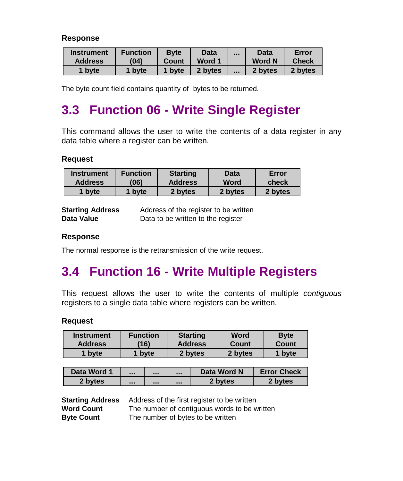#### <span id="page-13-0"></span>**Response**

| <b>Instrument</b> | <b>Function</b> | <b>Byte</b> | Data    | $\cdots$ | <b>Data</b>   | Error        |
|-------------------|-----------------|-------------|---------|----------|---------------|--------------|
| <b>Address</b>    | (04)            | Count       | Word 1  |          | <b>Word N</b> | <b>Check</b> |
| byte              | byte            | byte        | 2 bytes | $\cdots$ | 2 bytes       | 2 bytes      |

The byte count field contains quantity of bytes to be returned.

# **3.3 Function 06 - Write Single Register**

This command allows the user to write the contents of a data register in any data table where a register can be written.

#### **Request**

| <b>Instrument</b> | <b>Function</b> | <b>Starting</b> | Data        | Error   |
|-------------------|-----------------|-----------------|-------------|---------|
| <b>Address</b>    | (06)            | <b>Address</b>  | <b>Word</b> | check   |
| 1 byte            | byte            | 2 bytes         | 2 bytes     | 2 bytes |

| <b>Starting Address</b> | Address of the register to be written |
|-------------------------|---------------------------------------|
| Data Value              | Data to be written to the register    |

#### **Response**

The normal response is the retransmission of the write request.

# **3.4 Function 16 - Write Multiple Registers**

This request allows the user to write the contents of multiple *contiguous* registers to a single data table where registers can be written.

#### **Request**

| <b>Instrument</b> | Function | <b>Starting</b> | Word    | <b>Byte</b> |
|-------------------|----------|-----------------|---------|-------------|
| <b>Address</b>    | '16)     | <b>Address</b>  | Count   | Count       |
| byte              | byte     | 2 bytes         | 2 bytes | 1 byte      |

| Data Word 1 | <br> | $\cdots$ | Data Word N | <b>Error Check</b> |
|-------------|------|----------|-------------|--------------------|
| 2 bytes     | <br> |          | 2 bytes     | 2 bytes            |

| <b>Starting Address</b> | Address of the first register to be written  |
|-------------------------|----------------------------------------------|
| <b>Word Count</b>       | The number of contiguous words to be written |
| <b>Byte Count</b>       | The number of bytes to be written            |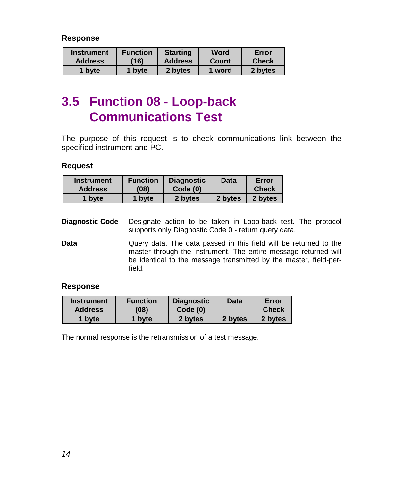<span id="page-14-0"></span>**Response**

| <b>Instrument</b> | <b>Function</b> | <b>Starting</b> | Word   | Error        |
|-------------------|-----------------|-----------------|--------|--------------|
| <b>Address</b>    | (16)            | <b>Address</b>  | Count  | <b>Check</b> |
| 1 byte            | byte            | 2 bytes         | 1 word | 2 bytes      |

# **3.5 Function 08 - Loop-back Communications Test**

The purpose of this request is to check communications link between the specified instrument and PC.

#### **Request**

| <b>Instrument</b> | <b>Function</b> | <b>Diagnostic</b> | Data    | Error        |
|-------------------|-----------------|-------------------|---------|--------------|
| <b>Address</b>    | (08)            | Code(0)           |         | <b>Check</b> |
| 1 byte            | 1 byte          | 2 bytes           | 2 bytes | 2 bytes      |

- **Diagnostic Code** Designate action to be taken in Loop-back test. The protocol supports only Diagnostic Code 0 - return query data.
- **Data Data** Query data. The data passed in this field will be returned to the master through the instrument. The entire message returned will be identical to the message transmitted by the master, field-perfield.

#### **Response**

| <b>Instrument</b> | <b>Function</b> | <b>Diagnostic</b> | Data    | Error        |
|-------------------|-----------------|-------------------|---------|--------------|
| <b>Address</b>    | (08)            | Code(0)           |         | <b>Check</b> |
| 1 byte            | 1 byte          | 2 bytes           | 2 bytes | 2 bytes      |

The normal response is the retransmission of a test message.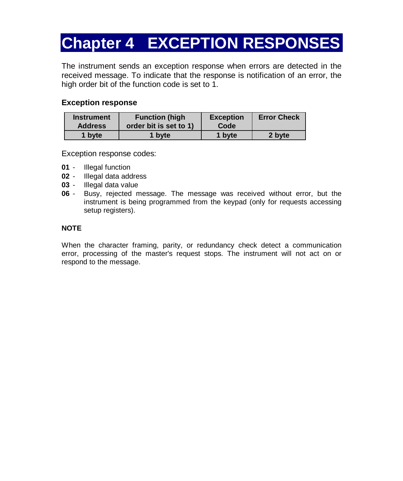# <span id="page-15-0"></span>**Chapter 4 EXCEPTION RESPONSES**

The instrument sends an exception response when errors are detected in the received message. To indicate that the response is notification of an error, the high order bit of the function code is set to 1.

#### **Exception response**

| <b>Instrument</b> | <b>Function (high)</b> | <b>Exception</b> | <b>Error Check</b> |
|-------------------|------------------------|------------------|--------------------|
| <b>Address</b>    | order bit is set to 1) | Code             |                    |
| 1 byte            | 1 byte                 | 1 byte           | 2 byte             |

Exception response codes:

- **01** Illegal function
- **02** Illegal data address
- **03** Illegal data value
- **06** Busy, rejected message. The message was received without error, but the instrument is being programmed from the keypad (only for requests accessing setup registers).

#### **NOTE**

When the character framing, parity, or redundancy check detect a communication error, processing of the master's request stops. The instrument will not act on or respond to the message.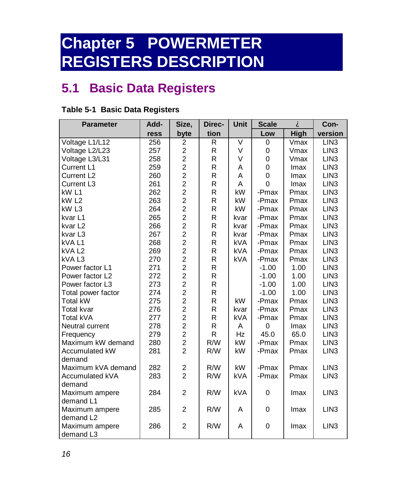# <span id="page-16-0"></span>**Chapter 5 POWERMETER REGISTERS DESCRIPTION**

# **5.1 Basic Data Registers**

| <b>Parameter</b>       | Add- | Size,                   | Direc-       | <b>Unit</b> | <b>Scale</b>   | À           | Con-             |
|------------------------|------|-------------------------|--------------|-------------|----------------|-------------|------------------|
|                        | ress | byte                    | tion         |             | Low            | High        | version          |
| Voltage L1/L12         | 256  | $\overline{2}$          | R            | V           | 0              | Vmax        | LIN <sub>3</sub> |
| Voltage L2/L23         | 257  | $\overline{a}$          | R            | V           | 0              | Vmax        | LIN <sub>3</sub> |
| Voltage L3/L31         | 258  | $\overline{c}$          | R            | V           | 0              | Vmax        | LIN <sub>3</sub> |
| Current L1             | 259  | $\overline{c}$          | R            | A           | 0              | <b>Imax</b> | LIN <sub>3</sub> |
| Current L <sub>2</sub> | 260  | $\overline{c}$          | R            | A           | $\mathbf 0$    | Imax        | LIN <sub>3</sub> |
| Current L <sub>3</sub> | 261  | $\overline{c}$          | R            | A           | $\overline{0}$ | <b>Imax</b> | LIN <sub>3</sub> |
| kW <sub>L1</sub>       | 262  | $\overline{2}$          | R            | kW          | -Pmax          | Pmax        | LIN <sub>3</sub> |
| kW <sub>L2</sub>       | 263  | $\overline{c}$          | R            | kW          | -Pmax          | Pmax        | LIN <sub>3</sub> |
| kW <sub>L3</sub>       | 264  | $\overline{c}$          | R            | kW          | -Pmax          | Pmax        | LIN <sub>3</sub> |
| kvar <sub>L1</sub>     | 265  | $\overline{c}$          | R            | kvar        | -Pmax          | Pmax        | LIN <sub>3</sub> |
| kvar <sub>L2</sub>     | 266  | $\frac{2}{2}$           | R            | kvar        | -Pmax          | Pmax        | LIN <sub>3</sub> |
| kvar L3                | 267  |                         | R            | kvar        | -Pmax          | Pmax        | LIN <sub>3</sub> |
| kVAL1                  | 268  | $\overline{2}$          | R            | <b>kVA</b>  | -Pmax          | Pmax        | LIN <sub>3</sub> |
| kVAL <sub>2</sub>      | 269  | $\overline{2}$          | R            | <b>kVA</b>  | -Pmax          | Pmax        | LIN <sub>3</sub> |
| kVAL3                  | 270  | $\overline{c}$          | $\mathsf{R}$ | <b>kVA</b>  | -Pmax          | Pmax        | LIN <sub>3</sub> |
| Power factor L1        | 271  | $\overline{c}$          | R            |             | $-1.00$        | 1.00        | LIN <sub>3</sub> |
| Power factor L2        | 272  | $\overline{c}$          | R            |             | $-1.00$        | 1.00        | LIN <sub>3</sub> |
| Power factor L3        | 273  | $\overline{a}$          | R            |             | $-1.00$        | 1.00        | LIN <sub>3</sub> |
| Total power factor     | 274  | $\overline{a}$          | R            |             | $-1.00$        | 1.00        | LIN <sub>3</sub> |
| <b>Total kW</b>        | 275  | $\overline{2}$          | R            | kW          | -Pmax          | Pmax        | LIN <sub>3</sub> |
| <b>Total kvar</b>      | 276  | $\overline{c}$          | R            | kvar        | -Pmax          | Pmax        | LIN <sub>3</sub> |
| Total kVA              | 277  | $\overline{c}$          | R            | <b>kVA</b>  | -Pmax          | Pmax        | LIN <sub>3</sub> |
| Neutral current        | 278  | $\overline{\mathbf{c}}$ | R            | A           | $\Omega$       | <b>Imax</b> | LIN <sub>3</sub> |
| Frequency              | 279  | $\overline{\mathbf{c}}$ | R            | Hz          | 45.0           | 65.0        | LIN <sub>3</sub> |
| Maximum kW demand      | 280  | $\overline{\mathbf{c}}$ | R/W          | kW          | -Pmax          | Pmax        | LIN <sub>3</sub> |
| Accumulated kW         | 281  | $\overline{a}$          | R/W          | kW          | -Pmax          | Pmax        | LIN <sub>3</sub> |
| demand                 |      |                         |              |             |                |             |                  |
| Maximum kVA demand     | 282  | $\overline{\mathbf{c}}$ | R/W          | kW          | -Pmax          | Pmax        | LIN <sub>3</sub> |
| Accumulated kVA        | 283  | $\overline{2}$          | R/W          | <b>kVA</b>  | -Pmax          | Pmax        | LIN <sub>3</sub> |
| demand                 |      |                         |              |             |                |             |                  |
| Maximum ampere         | 284  | $\overline{2}$          | R/W          | <b>kVA</b>  | 0              | Imax        | LIN <sub>3</sub> |
| demand L1              |      |                         |              |             |                |             |                  |
| Maximum ampere         | 285  | $\overline{c}$          | R/W          | A           | $\mathbf 0$    | Imax        | LIN <sub>3</sub> |
| demand L2              |      |                         |              |             |                |             |                  |
| Maximum ampere         | 286  | $\overline{c}$          | R/W          | A           | $\mathbf 0$    | Imax        | LIN <sub>3</sub> |
| demand L3              |      |                         |              |             |                |             |                  |

### **Table 5-1 Basic Data Registers**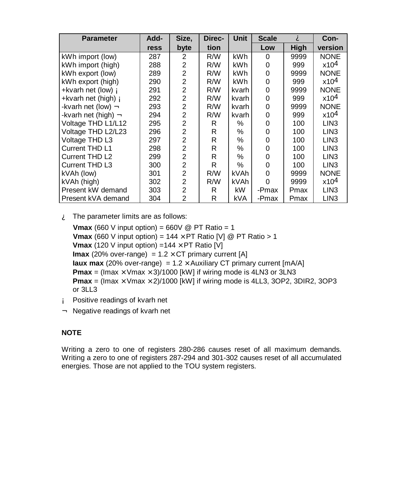| <b>Parameter</b>            | Add- | Size,          | Direc-<br><b>Unit</b> |       | <b>Scale</b> | A    | Con-             |
|-----------------------------|------|----------------|-----------------------|-------|--------------|------|------------------|
|                             | ress | byte           | tion                  |       | Low          | High | version          |
| kWh import (low)            | 287  | 2              | R/W                   | kWh   | 0            | 9999 | <b>NONE</b>      |
| kWh import (high)           | 288  | $\overline{2}$ | R/W                   | kWh   | 0            | 999  | x10 <sup>4</sup> |
| kWh export (low)            | 289  | $\overline{c}$ | R/W                   | kWh   | 0            | 9999 | <b>NONE</b>      |
| kWh export (high)           | 290  | $\overline{2}$ | R/W                   | kWh   | 0            | 999  | x104             |
| +kvarh net (low) Á          | 291  | $\overline{2}$ | R/W                   | kvarh | 0            | 9999 | <b>NONE</b>      |
| +kvarh net (high) <b>A</b>  | 292  | $\overline{2}$ | R/W                   | kvarh | 0            | 999  | x104             |
| -kvarh net (low) <b>A</b>   | 293  | $\overline{2}$ | R/W                   | kvarh | 0            | 9999 | <b>NONE</b>      |
| -kvarh net (high) $\hat{A}$ | 294  | $\overline{2}$ | R/W                   | kvarh | 0            | 999  | x104             |
| Voltage THD L1/L12          | 295  | $\overline{2}$ | R                     | %     | 0            | 100  | LIN <sub>3</sub> |
| Voltage THD L2/L23          | 296  | $\overline{2}$ | R                     | ℅     | 0            | 100  | LIN <sub>3</sub> |
| Voltage THD L3              | 297  | $\overline{2}$ | R                     | ℅     | 0            | 100  | LIN <sub>3</sub> |
| Current THD L1              | 298  | $\overline{2}$ | R                     | ℅     | 0            | 100  | LIN <sub>3</sub> |
| Current THD L2              | 299  | $\overline{2}$ | R                     | ℅     | 0            | 100  | LIN <sub>3</sub> |
| Current THD L3              | 300  | $\overline{2}$ | R                     | ℅     | 0            | 100  | LIN <sub>3</sub> |
| kVAh (low)                  | 301  | $\overline{2}$ | R/W                   | kVAh  | 0            | 9999 | <b>NONE</b>      |
| kVAh (high)                 | 302  | $\overline{2}$ | R/W                   | kVAh  | $\Omega$     | 9999 | x104             |
| Present kW demand           | 303  | $\overline{2}$ | R                     | kW    | -Pmax        | Pmax | LIN <sub>3</sub> |
| Present kVA demand          | 304  | $\mathfrak{p}$ | R                     | kVA   | -Pmax        | Pmax | LIN <sub>3</sub> |

 $\mathbf{\hat{A}}$  The parameter limits are as follows:

**Vmax** (660 V input option) = 660V @ PT Ratio = 1 **Vmax** (660 V input option) =  $144 \times PT$  Ratio [V] @ PT Ratio > 1 **Vmax** (120 V input option) =  $144 \times PT$  Ratio [V] **Imax** (20% over-range) =  $1.2 \times CT$  primary current [A] **Iaux max** (20% over-range) =  $1.2 \times$  Auxiliary CT primary current [mA/A] **Pmax** = (Imax  $\times$  Vmax  $\times$  3)/1000 [kW] if wiring mode is 4LN3 or 3LN3 **Pmax** = (Imax  $\times$  Vmax  $\times$  2)/1000 [kW] if wiring mode is 4LL3, 3OP2, 3DIR2, 3OP3 or 3LL3

- Á Positive readings of kvarh net
- Â Negative readings of kvarh net

### **NOTE**

Writing a zero to one of registers 280-286 causes reset of all maximum demands. Writing a zero to one of registers 287-294 and 301-302 causes reset of all accumulated energies. Those are not applied to the TOU system registers.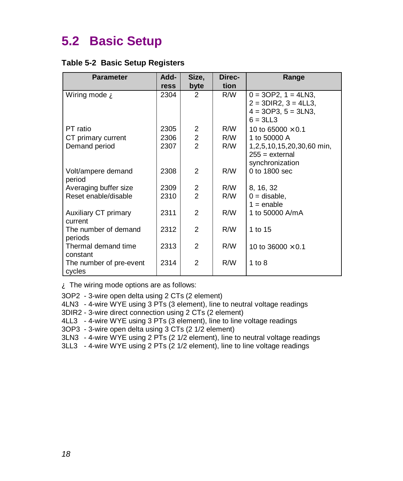# <span id="page-18-0"></span>**5.2 Basic Setup**

#### **Table 5-2 Basic Setup Registers**

| <b>Parameter</b>        | Add- | Size,          | Direc- | Range                      |
|-------------------------|------|----------------|--------|----------------------------|
|                         | ress | byte           | tion   |                            |
| Wiring mode <b>A</b>    | 2304 | $\mathcal{P}$  | R/W    | $0 = 3OP2$ , $1 = 4LN3$ ,  |
|                         |      |                |        | $2 = 3DIR2$ , $3 = 4LL3$ , |
|                         |      |                |        | $4 = 3OP3$ , $5 = 3LN3$ ,  |
|                         |      |                |        | $6 = 3LL3$                 |
| PT ratio                | 2305 | 2              | R/W    | 10 to 65000 $\times$ 0.1   |
| CT primary current      | 2306 | $\overline{c}$ | R/W    | 1 to 50000 A               |
| Demand period           | 2307 | $\overline{2}$ | R/W    | 1,2,5,10,15,20,30,60 min,  |
|                         |      |                |        | $255 =$ external           |
|                         |      |                |        | synchronization            |
| Volt/ampere demand      | 2308 | $\mathcal{P}$  | R/W    | 0 to 1800 sec              |
| period                  |      |                |        |                            |
| Averaging buffer size   | 2309 | 2              | R/W    | 8, 16, 32                  |
| Reset enable/disable    | 2310 | $\overline{2}$ | R/W    | $0 =$ disable,             |
|                         |      |                |        | $1 =$ enable               |
| Auxiliary CT primary    | 2311 | $\mathcal{P}$  | R/W    | 1 to 50000 A/mA            |
| current                 |      |                |        |                            |
| The number of demand    | 2312 | $\mathcal{P}$  | R/W    | 1 to 15                    |
| periods                 |      |                |        |                            |
| Thermal demand time     | 2313 | $\overline{2}$ | R/W    | 10 to 36000 $\times$ 0.1   |
| constant                |      |                |        |                            |
| The number of pre-event | 2314 | $\mathfrak{p}$ | R/W    | 1 to $8$                   |
| cycles                  |      |                |        |                            |

À The wiring mode options are as follows:

- 3OP2 3-wire open delta using 2 CTs (2 element)
- 4LN3 4-wire WYE using 3 PTs (3 element), line to neutral voltage readings
- 3DIR2 3-wire direct connection using 2 CTs (2 element)
- 4LL3 4-wire WYE using 3 PTs (3 element), line to line voltage readings
- 3OP3 3-wire open delta using 3 CTs (2 1/2 element)
- 3LN3 4-wire WYE using 2 PTs (2 1/2 element), line to neutral voltage readings
- 3LL3 4-wire WYE using 2 PTs (2 1/2 element), line to line voltage readings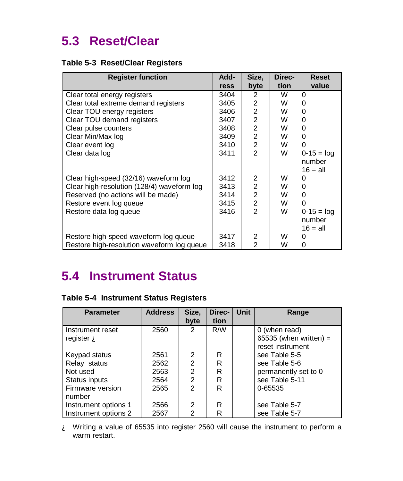# <span id="page-19-0"></span>**5.3 Reset/Clear**

### **Table 5-3 Reset/Clear Registers**

| <b>Register function</b>                   | Add- | Size,          | Direc- | <b>Reset</b>    |
|--------------------------------------------|------|----------------|--------|-----------------|
|                                            | ress | byte           | tion   | value           |
| Clear total energy registers               | 3404 | $\mathcal{P}$  | W      | $\Omega$        |
| Clear total extreme demand registers       | 3405 | 2              | W      | $\Omega$        |
| Clear TOU energy registers                 | 3406 | $\overline{2}$ | W      | 0               |
| Clear TOU demand registers                 | 3407 | $\overline{2}$ | W      | 0               |
| Clear pulse counters                       | 3408 | $\overline{2}$ | W      | $\Omega$        |
| Clear Min/Max log                          | 3409 | $\overline{2}$ | W      | 0               |
| Clear event log                            | 3410 | $\overline{2}$ | W      | 0               |
| Clear data log                             | 3411 | $\mathfrak{p}$ | W      | $0 - 15 = \log$ |
|                                            |      |                |        | number          |
|                                            |      |                |        | $16 = all$      |
| Clear high-speed (32/16) waveform log      | 3412 | 2              | W      | 0               |
| Clear high-resolution (128/4) waveform log | 3413 | $\overline{2}$ | W      | $\Omega$        |
| Reserved (no actions will be made)         | 3414 | $\overline{2}$ | W      | $\Omega$        |
| Restore event log queue                    | 3415 | $\overline{c}$ | W      | $\Omega$        |
| Restore data log queue                     | 3416 | $\mathfrak{p}$ | W      | $0-15 = log$    |
|                                            |      |                |        | number          |
|                                            |      |                |        | $16 = all$      |
| Restore high-speed waveform log queue      | 3417 | $\mathcal{P}$  | W      | 0               |
| Restore high-resolution waveform log queue | 3418 | $\mathcal{P}$  | W      | 0               |

# **5.4 Instrument Status**

|  | Table 5-4 Instrument Status Registers |  |  |
|--|---------------------------------------|--|--|
|--|---------------------------------------|--|--|

| <b>Parameter</b>            | <b>Address</b> | Size,<br>byte  | Direc-<br>tion | <b>Unit</b> | Range                  |
|-----------------------------|----------------|----------------|----------------|-------------|------------------------|
|                             |                |                |                |             |                        |
| Instrument reset            | 2560           | 2              | R/W            |             | 0 (when read)          |
| register $\mathbf{\hat{A}}$ |                |                |                |             | 65535 (when written) = |
|                             |                |                |                |             | reset instrument       |
| Keypad status               | 2561           | 2              | R              |             | see Table 5-5          |
| Relay status                | 2562           | $\overline{2}$ | R              |             | see Table 5-6          |
| Not used                    | 2563           | $\overline{2}$ | R              |             | permanently set to 0   |
| Status inputs               | 2564           | $\overline{2}$ | R              |             | see Table 5-11         |
| Firmware version            | 2565           | $\mathfrak{p}$ | R              |             | 0-65535                |
| number                      |                |                |                |             |                        |
| Instrument options 1        | 2566           | 2              | R              |             | see Table 5-7          |
| Instrument options 2        | 2567           | $\overline{2}$ | R              |             | see Table 5-7          |

À Writing a value of 65535 into register 2560 will cause the instrument to perform a warm restart.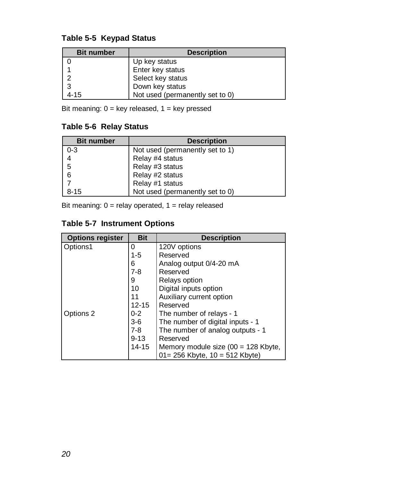### **Table 5-5 Keypad Status**

| <b>Bit number</b> | <b>Description</b>              |
|-------------------|---------------------------------|
|                   | Up key status                   |
|                   | Enter key status                |
| ່າ                | Select key status               |
| 3                 | Down key status                 |
| $4 - 15$          | Not used (permanently set to 0) |

Bit meaning:  $0 = \text{key released}$ ,  $1 = \text{key pressed}$ 

### **Table 5-6 Relay Status**

| <b>Bit number</b> | <b>Description</b>              |
|-------------------|---------------------------------|
| $0 - 3$           | Not used (permanently set to 1) |
| $\overline{4}$    | Relay #4 status                 |
| 5                 | Relay #3 status                 |
| 6                 | Relay #2 status                 |
|                   | Relay #1 status                 |
| $8 - 15$          | Not used (permanently set to 0) |

Bit meaning:  $0 =$  relay operated,  $1 =$  relay released

### **Table 5-7 Instrument Options**

| <b>Options register</b> | <b>Bit</b> | <b>Description</b>                    |
|-------------------------|------------|---------------------------------------|
| Options1                | 0          | 120V options                          |
|                         | 1-5        | Reserved                              |
|                         | 6          | Analog output 0/4-20 mA               |
|                         | $7 - 8$    | Reserved                              |
|                         | 9          | Relays option                         |
|                         | 10         | Digital inputs option                 |
|                         | 11         | Auxiliary current option              |
|                         | $12 - 15$  | Reserved                              |
| Options 2               | $0 - 2$    | The number of relays - 1              |
|                         | $3-6$      | The number of digital inputs - 1      |
|                         | $7-8$      | The number of analog outputs - 1      |
|                         | $9 - 13$   | Reserved                              |
|                         | $14 - 15$  | Memory module size $(00 = 128$ Kbyte, |
|                         |            | $01 = 256$ Kbyte, $10 = 512$ Kbyte)   |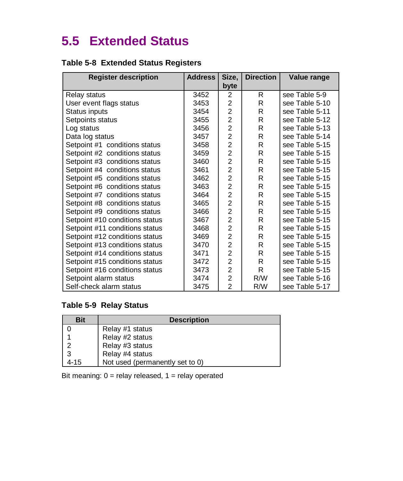# <span id="page-21-0"></span>**5.5 Extended Status**

### **Table 5-8 Extended Status Registers**

| <b>Register description</b>    | <b>Address</b> | Size,          | <b>Direction</b> | Value range    |
|--------------------------------|----------------|----------------|------------------|----------------|
|                                |                | byte           |                  |                |
| Relay status                   | 3452           | $\overline{2}$ | R.               | see Table 5-9  |
| User event flags status        | 3453           | $\overline{2}$ | R                | see Table 5-10 |
| Status inputs                  | 3454           | $\overline{c}$ | R                | see Table 5-11 |
| Setpoints status               | 3455           | $\overline{2}$ | R                | see Table 5-12 |
| Log status                     | 3456           | $\overline{c}$ | R                | see Table 5-13 |
| Data log status                | 3457           | $\overline{2}$ | R                | see Table 5-14 |
| Setpoint #1 conditions status  | 3458           | $\overline{2}$ | R                | see Table 5-15 |
| Setpoint #2 conditions status  | 3459           | $\overline{2}$ | R                | see Table 5-15 |
| Setpoint #3 conditions status  | 3460           | $\overline{2}$ | R                | see Table 5-15 |
| Setpoint #4 conditions status  | 3461           | $\overline{2}$ | R                | see Table 5-15 |
| Setpoint #5 conditions status  | 3462           | $\overline{c}$ | R                | see Table 5-15 |
| Setpoint #6 conditions status  | 3463           | $\overline{2}$ | R                | see Table 5-15 |
| Setpoint #7 conditions status  | 3464           | $\overline{2}$ | R                | see Table 5-15 |
| Setpoint #8 conditions status  | 3465           | $\overline{2}$ | R                | see Table 5-15 |
| Setpoint #9 conditions status  | 3466           | $\overline{2}$ | R                | see Table 5-15 |
| Setpoint #10 conditions status | 3467           | $\overline{2}$ | R                | see Table 5-15 |
| Setpoint #11 conditions status | 3468           | $\overline{c}$ | R                | see Table 5-15 |
| Setpoint #12 conditions status | 3469           | $\overline{2}$ | R                | see Table 5-15 |
| Setpoint #13 conditions status | 3470           | $\overline{2}$ | R                | see Table 5-15 |
| Setpoint #14 conditions status | 3471           | $\overline{2}$ | R                | see Table 5-15 |
| Setpoint #15 conditions status | 3472           | $\overline{2}$ | R                | see Table 5-15 |
| Setpoint #16 conditions status | 3473           | $\overline{c}$ | R.               | see Table 5-15 |
| Setpoint alarm status          | 3474           | $\overline{c}$ | R/W              | see Table 5-16 |
| Self-check alarm status        | 3475           | $\overline{2}$ | R/W              | see Table 5-17 |

### **Table 5-9 Relay Status**

| Bit  | <b>Description</b>              |
|------|---------------------------------|
|      | Relay #1 status                 |
|      | Relay #2 status                 |
|      | Relay #3 status                 |
| 3    | Relay #4 status                 |
| 4-15 | Not used (permanently set to 0) |

Bit meaning:  $0 =$  relay released,  $1 =$  relay operated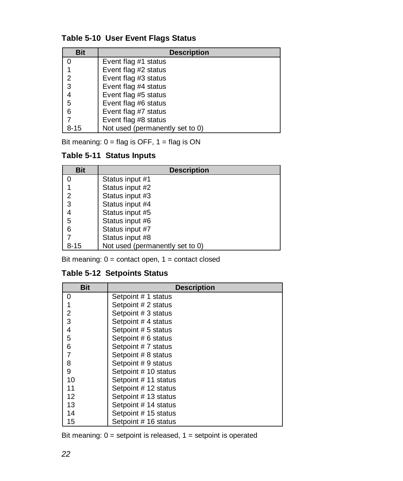### **Table 5-10 User Event Flags Status**

| <b>Bit</b> | <b>Description</b>              |
|------------|---------------------------------|
|            | Event flag #1 status            |
|            | Event flag #2 status            |
| 2          | Event flag #3 status            |
| 3          | Event flag #4 status            |
| 4          | Event flag #5 status            |
| 5          | Event flag #6 status            |
| 6          | Event flag #7 status            |
|            | Event flag #8 status            |
| 8-15       | Not used (permanently set to 0) |

Bit meaning:  $0 = flag$  is OFF,  $1 = flag$  is ON

### **Table 5-11 Status Inputs**

| <b>Bit</b> | <b>Description</b>              |
|------------|---------------------------------|
|            | Status input #1                 |
|            | Status input #2                 |
| 2          | Status input #3                 |
| 3          | Status input #4                 |
| 4          | Status input #5                 |
| 5          | Status input #6                 |
| 6          | Status input #7                 |
|            | Status input #8                 |
| 8-15       | Not used (permanently set to 0) |

Bit meaning:  $0 =$  contact open,  $1 =$  contact closed

### **Table 5-12 Setpoints Status**

| <b>Bit</b> | <b>Description</b>   |
|------------|----------------------|
| 0          | Setpoint # 1 status  |
|            | Setpoint # 2 status  |
| 2          | Setpoint # 3 status  |
| 3          | Setpoint #4 status   |
| 4          | Setpoint # 5 status  |
| 5          | Setpoint # 6 status  |
| 6          | Setpoint # 7 status  |
|            | Setpoint # 8 status  |
| 8          | Setpoint # 9 status  |
| 9          | Setpoint # 10 status |
| 10         | Setpoint # 11 status |
| 11         | Setpoint # 12 status |
| 12         | Setpoint # 13 status |
| 13         | Setpoint # 14 status |
| 14         | Setpoint # 15 status |
| 15         | Setpoint # 16 status |

Bit meaning:  $0 =$  setpoint is released,  $1 =$  setpoint is operated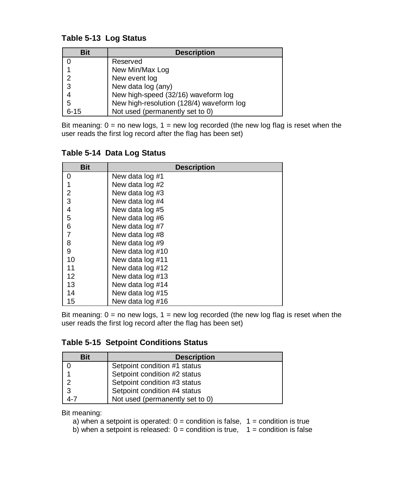### **Table 5-13 Log Status**

| <b>Bit</b> | <b>Description</b>                       |
|------------|------------------------------------------|
|            | Reserved                                 |
|            | New Min/Max Log                          |
| 2          | New event log                            |
| -3         | New data log (any)                       |
|            | New high-speed (32/16) waveform log      |
| 5          | New high-resolution (128/4) waveform log |
| $6 - 15$   | Not used (permanently set to 0)          |

Bit meaning:  $0 =$  no new logs,  $1 =$  new log recorded (the new log flag is reset when the user reads the first log record after the flag has been set)

| <b>Bit</b>     | <b>Description</b> |
|----------------|--------------------|
| 0              | New data log #1    |
|                | New data log #2    |
| $\overline{2}$ | New data log #3    |
| 3              | New data log #4    |
| 4              | New data log #5    |
| 5              | New data log #6    |
| 6              | New data log #7    |
| 7              | New data log #8    |
| 8              | New data log #9    |
| 9              | New data log #10   |
| 10             | New data log #11   |
| 11             | New data log #12   |
| 12             | New data log #13   |
| 13             | New data log #14   |
| 14             | New data log #15   |
| 15             | New data log #16   |

### **Table 5-14 Data Log Status**

Bit meaning:  $0 =$  no new logs,  $1 =$  new log recorded (the new log flag is reset when the user reads the first log record after the flag has been set)

### **Table 5-15 Setpoint Conditions Status**

| Bit | <b>Description</b>              |
|-----|---------------------------------|
|     | Setpoint condition #1 status    |
|     | Setpoint condition #2 status    |
|     | Setpoint condition #3 status    |
| 3   | Setpoint condition #4 status    |
|     | Not used (permanently set to 0) |

Bit meaning:

- a) when a setpoint is operated:  $0 =$  condition is false,  $1 =$  condition is true
- b) when a setpoint is released:  $0 =$  condition is true,  $1 =$  condition is false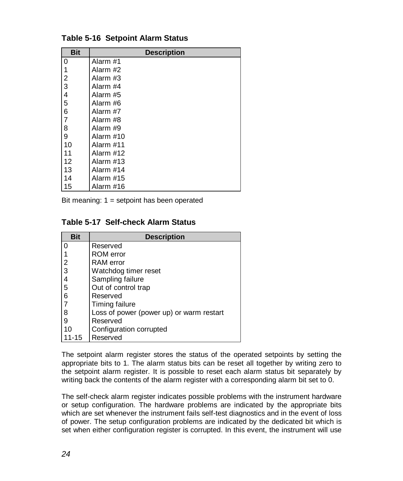| <b>Bit</b> | <b>Description</b> |
|------------|--------------------|
| 0          | Alarm #1           |
| 1          | Alarm #2           |
| 2          | Alarm #3           |
| 3          | Alarm #4           |
| 4          | Alarm #5           |
| 5          | Alarm #6           |
| 6          | Alarm #7           |
| 7          | Alarm #8           |
| 8          | Alarm #9           |
| 9          | Alarm #10          |
| 10         | Alarm #11          |
| 11         | Alarm #12          |
| 12         | Alarm #13          |
| 13         | Alarm #14          |
| 14         | Alarm #15          |
| 15         | Alarm #16          |

#### **Table 5-16 Setpoint Alarm Status**

Bit meaning: 1 = setpoint has been operated

#### **Table 5-17 Self-check Alarm Status**

| <b>Bit</b>               | <b>Description</b>                       |
|--------------------------|------------------------------------------|
| 0                        | Reserved                                 |
|                          | <b>ROM</b> error                         |
| $\overline{2}$           | <b>RAM</b> error                         |
| $\overline{3}$           | Watchdog timer reset                     |
| $\overline{\mathcal{L}}$ | Sampling failure                         |
| 5                        | Out of control trap                      |
| $6\phantom{1}6$          | Reserved                                 |
|                          | Timing failure                           |
| 8                        | Loss of power (power up) or warm restart |
| 9                        | Reserved                                 |
| 10                       | Configuration corrupted                  |
| 11-15                    | Reserved                                 |

The setpoint alarm register stores the status of the operated setpoints by setting the appropriate bits to 1. The alarm status bits can be reset all together by writing zero to the setpoint alarm register. It is possible to reset each alarm status bit separately by writing back the contents of the alarm register with a corresponding alarm bit set to 0.

The self-check alarm register indicates possible problems with the instrument hardware or setup configuration. The hardware problems are indicated by the appropriate bits which are set whenever the instrument fails self-test diagnostics and in the event of loss of power. The setup configuration problems are indicated by the dedicated bit which is set when either configuration register is corrupted. In this event, the instrument will use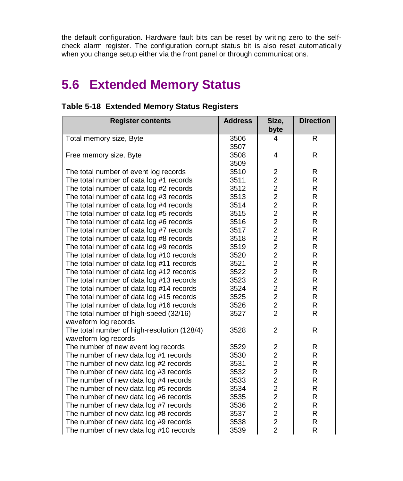<span id="page-25-0"></span>the default configuration. Hardware fault bits can be reset by writing zero to the selfcheck alarm register. The configuration corrupt status bit is also reset automatically when you change setup either via the front panel or through communications.

# **5.6 Extended Memory Status**

| <b>Register contents</b>                    | <b>Address</b> | Size,                   | <b>Direction</b> |
|---------------------------------------------|----------------|-------------------------|------------------|
|                                             |                | byte                    |                  |
| Total memory size, Byte                     | 3506           | 4                       | R                |
|                                             | 3507           |                         |                  |
| Free memory size, Byte                      | 3508           | 4                       | R                |
|                                             | 3509           |                         |                  |
| The total number of event log records       | 3510           | $\overline{\mathbf{c}}$ | R                |
| The total number of data log #1 records     | 3511           | $\overline{2}$          | R                |
| The total number of data log #2 records     | 3512           | $\overline{c}$          | R                |
| The total number of data log #3 records     | 3513           | $\overline{2}$          | R                |
| The total number of data log #4 records     | 3514           | $\overline{2}$          | R                |
| The total number of data log #5 records     | 3515           | $\overline{2}$          | R                |
| The total number of data log #6 records     | 3516           | $\overline{c}$          | R                |
| The total number of data log #7 records     | 3517           | $\overline{c}$          | R                |
| The total number of data log #8 records     | 3518           | $\overline{2}$          | R                |
| The total number of data log #9 records     | 3519           |                         | R                |
| The total number of data log #10 records    | 3520           |                         | R                |
| The total number of data log #11 records    | 3521           |                         | $\mathsf R$      |
| The total number of data log #12 records    | 3522           | 22222222                | R                |
| The total number of data log #13 records    | 3523           |                         | R                |
| The total number of data log #14 records    | 3524           |                         | R                |
| The total number of data log #15 records    | 3525           |                         | R                |
| The total number of data log #16 records    | 3526           |                         | R                |
| The total number of high-speed (32/16)      | 3527           |                         | R                |
| waveform log records                        |                |                         |                  |
| The total number of high-resolution (128/4) | 3528           | $\overline{c}$          | R                |
| waveform log records                        |                |                         |                  |
| The number of new event log records         | 3529           | 2                       | R                |
| The number of new data log #1 records       | 3530           | $\overline{c}$          | R                |
| The number of new data log #2 records       | 3531           | $\overline{a}$          | R                |
| The number of new data log #3 records       | 3532           | $\overline{a}$          | $\mathsf R$      |
| The number of new data log #4 records       | 3533           | $\overline{c}$          | $\mathsf R$      |
| The number of new data log #5 records       | 3534           | $\overline{2}$          | R                |
| The number of new data log #6 records       | 3535           | $\overline{c}$          | R                |
| The number of new data log #7 records       | 3536           | $\overline{2}$          | R                |
| The number of new data log #8 records       | 3537           | $\boldsymbol{2}$        | R                |
| The number of new data log #9 records       | 3538           | $\overline{c}$          | R                |
| The number of new data log #10 records      | 3539           | $\overline{2}$          | R                |

#### **Table 5-18 Extended Memory Status Registers**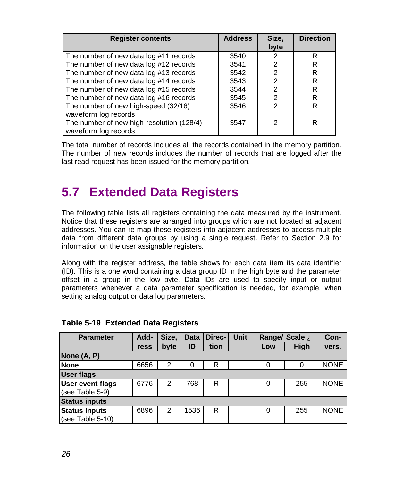<span id="page-26-0"></span>

| <b>Register contents</b>                  | <b>Address</b> | Size,          | <b>Direction</b> |
|-------------------------------------------|----------------|----------------|------------------|
|                                           |                | byte           |                  |
| The number of new data log #11 records    | 3540           | 2              | R                |
| The number of new data log #12 records    | 3541           | 2              | R                |
| The number of new data log #13 records    | 3542           | $\overline{2}$ | R                |
| The number of new data log #14 records    | 3543           | $\overline{2}$ | R                |
| The number of new data log #15 records    | 3544           | $\overline{2}$ | R                |
| The number of new data log #16 records    | 3545           | $\overline{2}$ | R                |
| The number of new high-speed (32/16)      | 3546           | $\mathfrak{p}$ | R                |
| waveform log records                      |                |                |                  |
| The number of new high-resolution (128/4) | 3547           | 2              | R                |
| waveform log records                      |                |                |                  |

The total number of records includes all the records contained in the memory partition. The number of new records includes the number of records that are logged after the last read request has been issued for the memory partition.

# **5.7 Extended Data Registers**

The following table lists all registers containing the data measured by the instrument. Notice that these registers are arranged into groups which are not located at adjacent addresses. You can re-map these registers into adjacent addresses to access multiple data from different data groups by using a single request. Refer to Section 2.9 for information on the user assignable registers.

Along with the register address, the table shows for each data item its data identifier (ID). This is a one word containing a data group ID in the high byte and the parameter offset in a group in the low byte. Data IDs are used to specify input or output parameters whenever a data parameter specification is needed, for example, when setting analog output or data log parameters.

| <b>Parameter</b>        | Add- | Size,          | <b>Data</b> | Direc- | Unit | Range/ Scale A |      | Con-        |
|-------------------------|------|----------------|-------------|--------|------|----------------|------|-------------|
|                         | ress | byte           | ID          | tion   |      | Low            | High | vers.       |
| None (A, P)             |      |                |             |        |      |                |      |             |
| <b>None</b>             | 6656 | 2              | 0           | R      |      | 0              |      | <b>NONE</b> |
| <b>User flags</b>       |      |                |             |        |      |                |      |             |
| <b>User event flags</b> | 6776 | $\overline{2}$ | 768         | R      |      | 0              | 255  | <b>NONE</b> |
| (see Table 5-9)         |      |                |             |        |      |                |      |             |
| <b>Status inputs</b>    |      |                |             |        |      |                |      |             |
| <b>Status inputs</b>    | 6896 | 2              | 1536        | R      |      | 0              | 255  | <b>NONE</b> |
| (see Table 5-10)        |      |                |             |        |      |                |      |             |

### **Table 5-19 Extended Data Registers**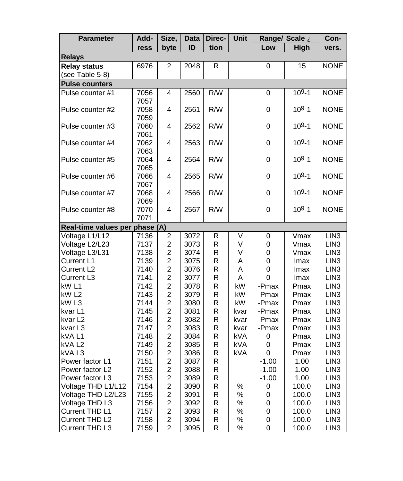| <b>Parameter</b>                     | Add-         | Size,                                     | <b>Data</b>  | Direc- | Unit   |         | Range/ Scale A | Con-                                 |
|--------------------------------------|--------------|-------------------------------------------|--------------|--------|--------|---------|----------------|--------------------------------------|
|                                      | ress         | byte                                      | ID           | tion   |        | Low     | High           | vers.                                |
| <b>Relays</b>                        |              |                                           |              |        |        |         |                |                                      |
| <b>Relay status</b>                  | 6976         | $\overline{2}$                            | 2048         | R      |        | 0       | 15             | <b>NONE</b>                          |
| (see Table 5-8)                      |              |                                           |              |        |        |         |                |                                      |
| <b>Pulse counters</b>                |              |                                           |              |        |        |         |                |                                      |
| Pulse counter #1                     | 7056         | 4                                         | 2560         | R/W    |        | 0       | $109 - 1$      | <b>NONE</b>                          |
|                                      | 7057         |                                           |              |        |        |         |                |                                      |
| Pulse counter #2                     | 7058         | 4                                         | 2561         | R/W    |        | 0       | $109 - 1$      | <b>NONE</b>                          |
|                                      | 7059         |                                           |              |        |        |         |                |                                      |
| Pulse counter #3                     | 7060         | 4                                         | 2562         | R/W    |        | 0       | $109 - 1$      | <b>NONE</b>                          |
| Pulse counter #4                     | 7061<br>7062 | 4                                         | 2563         | R/W    |        | 0       | $109 - 1$      | <b>NONE</b>                          |
|                                      | 7063         |                                           |              |        |        |         |                |                                      |
| Pulse counter #5                     | 7064         | 4                                         | 2564         | R/W    |        | 0       | $109 - 1$      | <b>NONE</b>                          |
|                                      | 7065         |                                           |              |        |        |         |                |                                      |
| Pulse counter #6                     | 7066         | 4                                         | 2565         | R/W    |        | 0       | $109 - 1$      | <b>NONE</b>                          |
|                                      | 7067         |                                           |              |        |        |         |                |                                      |
| Pulse counter #7                     | 7068         | 4                                         | 2566         | R/W    |        | 0       | $109 - 1$      | <b>NONE</b>                          |
|                                      | 7069         |                                           |              |        |        |         |                |                                      |
| Pulse counter #8                     | 7070         | 4                                         | 2567         | R/W    |        | 0       | $109 - 1$      | <b>NONE</b>                          |
|                                      | 7071         |                                           |              |        |        |         |                |                                      |
| Real-time values per phase (A)       |              |                                           |              |        |        |         |                |                                      |
| Voltage L1/L12                       | 7136         | $\boldsymbol{2}$                          | 3072         | R      | V      | 0       | Vmax           | LIN <sub>3</sub>                     |
| Voltage L2/L23                       | 7137         | $\overline{c}$                            | 3073         | R      | ٧      | 0       | Vmax           | LIN <sub>3</sub>                     |
| Voltage L3/L31                       | 7138         | $\boldsymbol{2}$                          | 3074         | R      | V      | 0       | Vmax           | LIN <sub>3</sub>                     |
| Current L1                           | 7139         | $\overline{c}$                            | 3075         | R      | A      | 0       | Imax           | LIN <sub>3</sub>                     |
| Current L <sub>2</sub><br>Current L3 | 7140<br>7141 | $\overline{\mathbf{c}}$<br>$\overline{c}$ | 3076<br>3077 | R<br>R | A<br>A | 0<br>0  | Imax<br>Imax   | LIN <sub>3</sub><br>LIN <sub>3</sub> |
| kW L1                                | 7142         | $\overline{\mathbf{c}}$                   | 3078         | R      | kW     | -Pmax   | Pmax           | LIN <sub>3</sub>                     |
| kW L2                                | 7143         | $\overline{c}$                            | 3079         | R      | kW     | -Pmax   | Pmax           | LIN <sub>3</sub>                     |
| kW L3                                | 7144         | $\overline{c}$                            | 3080         | R      | kW     | -Pmax   | Pmax           | LIN <sub>3</sub>                     |
| kvar L1                              | 7145         | $\overline{c}$                            | 3081         | R      | kvar   | -Pmax   | Pmax           | LIN <sub>3</sub>                     |
| kvar L <sub>2</sub>                  | 7146         | $\overline{c}$                            | 3082         | R      | kvar   | -Pmax   | Pmax           | LIN <sub>3</sub>                     |
| kvar <sub>L3</sub>                   | 7147         | $\boldsymbol{2}$                          | 3083         | R      | kvar   | -Pmax   | Pmax           | LIN <sub>3</sub>                     |
| kVA L1                               | 7148         | $\overline{c}$                            | 3084         | R      | kVA    | 0       | Pmax           | LIN <sub>3</sub>                     |
| kVA L2                               | 7149         | $\overline{\mathbf{c}}$                   | 3085         | R      | kVA    | 0       | Pmax           | LIN <sub>3</sub>                     |
| kVA L3                               | 7150         | $\overline{c}$                            | 3086         | R      | kVA    | 0       | Pmax           | LIN <sub>3</sub>                     |
| Power factor L1                      | 7151         | $\overline{c}$                            | 3087         | R      |        | $-1.00$ | 1.00           | LIN <sub>3</sub>                     |
| Power factor L2                      | 7152         | $\overline{c}$                            | 3088         | R      |        | $-1.00$ | 1.00           | LIN <sub>3</sub>                     |
| Power factor L3                      | 7153         | $\overline{c}$                            | 3089         | R      |        | $-1.00$ | 1.00           | LIN <sub>3</sub>                     |
| Voltage THD L1/L12                   | 7154         | $\overline{c}$                            | 3090         | R      | %      | 0       | 100.0          | LIN <sub>3</sub>                     |
| Voltage THD L2/L23                   | 7155         | $\overline{c}$                            | 3091         | R      | ℅      | 0       | 100.0          | LIN <sub>3</sub>                     |
| Voltage THD L3                       | 7156         | 2                                         | 3092         | R      | $\%$   | 0       | 100.0          | LIN <sub>3</sub>                     |
| Current THD L1                       | 7157         | $\overline{c}$                            | 3093         | R      | %      | 0       | 100.0          | LIN <sub>3</sub>                     |
| Current THD L2                       | 7158         | 2<br>$\overline{2}$                       | 3094         | R<br>R | $\%$   | 0       | 100.0          | LIN <sub>3</sub>                     |
| Current THD L3                       | 7159         |                                           | 3095         |        | %      | 0       | 100.0          | LIN <sub>3</sub>                     |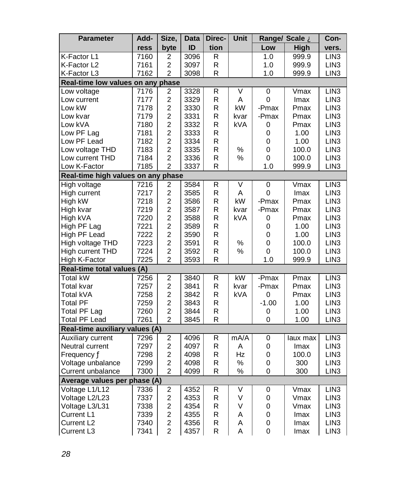| <b>Parameter</b>                  | Add- | Size,                   | <b>Data</b> | Direc-                  | Unit                   |         | Range/ Scale A | Con-             |
|-----------------------------------|------|-------------------------|-------------|-------------------------|------------------------|---------|----------------|------------------|
|                                   | ress | byte                    | ID          | tion                    |                        | Low     | <b>High</b>    | vers.            |
| K-Factor L1                       | 7160 | 2                       | 3096        | R                       |                        | 1.0     | 999.9          | LIN <sub>3</sub> |
| K-Factor L2                       | 7161 | $\overline{c}$          | 3097        | $\mathsf R$             |                        | 1.0     | 999.9          | LIN <sub>3</sub> |
| K-Factor L3                       | 7162 | $\overline{2}$          | 3098        | $\mathsf{R}$            |                        | 1.0     | 999.9          | LIN <sub>3</sub> |
| Real-time low values on any phase |      |                         |             |                         |                        |         |                |                  |
| Low voltage                       | 7176 | 2                       | 3328        | R                       | V                      | 0       | Vmax           | LIN3             |
| Low current                       | 7177 | $\overline{2}$          | 3329        | $\mathsf R$             | A                      | 0       | Imax           | LIN <sub>3</sub> |
| Low kW                            | 7178 | $\overline{2}$          | 3330        | $\mathsf R$             | kW                     | -Pmax   | Pmax           | LIN <sub>3</sub> |
| Low kvar                          | 7179 | $\overline{2}$          | 3331        | $\mathsf R$             | kvar                   | -Pmax   | Pmax           | LIN <sub>3</sub> |
| Low kVA                           | 7180 | $\overline{2}$          | 3332        | R                       | kVA                    | 0       | Pmax           | LIN <sub>3</sub> |
| Low PF Lag                        | 7181 | $\overline{c}$          | 3333        | R                       |                        | 0       | 1.00           | LIN <sub>3</sub> |
| Low PF Lead                       | 7182 | $\overline{2}$          | 3334        | R                       |                        | 0       | 1.00           | LIN <sub>3</sub> |
| Low voltage THD                   | 7183 | $\overline{c}$          | 3335        | R                       | $\%$                   | 0       | 100.0          | LIN <sub>3</sub> |
| Low current THD                   | 7184 | $\overline{c}$          | 3336        | $\mathsf R$             | ℅                      | 0       | 100.0          | LIN <sub>3</sub> |
| Low K-Factor                      | 7185 | $\overline{2}$          | 3337        | $\overline{\mathsf{R}}$ |                        | 1.0     | 999.9          | LIN <sub>3</sub> |
| Real-time high values on any      |      | phase                   |             |                         |                        |         |                |                  |
| High voltage                      | 7216 | 2                       | 3584        | $\mathsf R$             | V                      | 0       | Vmax           | LIN <sub>3</sub> |
| High current                      | 7217 | $\overline{c}$          | 3585        | $\mathsf R$             | Α                      | 0       | Imax           | LIN <sub>3</sub> |
| High kW                           | 7218 | $\overline{c}$          | 3586        | $\mathsf R$             | kW                     | -Pmax   | Pmax           | LIN <sub>3</sub> |
| High kvar                         | 7219 | $\overline{c}$          | 3587        | R                       | kvar                   | -Pmax   | Pmax           | LIN <sub>3</sub> |
| High kVA                          | 7220 | $\overline{c}$          | 3588        | $\mathsf R$             | kVA                    | 0       | Pmax           | LIN <sub>3</sub> |
| High PF Lag                       | 7221 | $\overline{2}$          | 3589        | $\mathsf{R}$            |                        | 0       | 1.00           | LIN <sub>3</sub> |
| High PF Lead                      | 7222 | $\overline{c}$          | 3590        | $\mathsf R$             |                        | 0       | 1.00           | LIN <sub>3</sub> |
| High voltage THD                  | 7223 | $\overline{2}$          | 3591        | R                       | $\%$                   | 0       | 100.0          | LIN <sub>3</sub> |
| High current THD                  | 7224 | $\overline{2}$          | 3592        | R                       | %                      | 0       | 100.0          | LIN <sub>3</sub> |
| High K-Factor                     | 7225 | $\overline{2}$          | 3593        | R                       |                        | 1.0     | 999.9          | LIN <sub>3</sub> |
| Real-time total values (A)        |      |                         |             |                         |                        |         |                |                  |
| Total kW                          | 7256 | $\overline{\mathbf{c}}$ | 3840        | R                       | $\overline{\text{KW}}$ | -Pmax   | Pmax           | LIN <sub>3</sub> |
| Total kvar                        | 7257 | $\overline{2}$          | 3841        | $\mathsf R$             | kvar                   | -Pmax   | Pmax           | LIN <sub>3</sub> |
| Total kVA                         | 7258 | $\overline{2}$          | 3842        | R                       | kVA                    | 0       | Pmax           | LIN <sub>3</sub> |
| <b>Total PF</b>                   | 7259 | $\overline{2}$          | 3843        | R                       |                        | $-1.00$ | 1.00           | LIN <sub>3</sub> |
| <b>Total PF Lag</b>               | 7260 | $\overline{c}$          | 3844        | $\mathsf R$             |                        | 0       | 1.00           | LIN <sub>3</sub> |
| <b>Total PF Lead</b>              | 7261 | $\overline{2}$          | 3845        | $\mathsf{R}$            |                        | 0       | 1.00           | LIN <sub>3</sub> |
| Real-time auxiliary values (A)    |      |                         |             |                         |                        |         |                |                  |
| Auxiliary current                 | 7296 | $\overline{c}$          | 4096        | R                       | mA/A                   | 0       | laux max       | LIN <sub>3</sub> |
| Neutral current                   | 7297 | $\overline{2}$          | 4097        | R                       | Α                      | 0       | Imax           | LIN <sub>3</sub> |
| Frequency Ä                       | 7298 | $\overline{c}$          | 4098        | R                       | Hz                     | 0       | 100.0          | LIN <sub>3</sub> |
| Voltage unbalance                 | 7299 | $\overline{c}$          | 4098        | R                       | ℅                      | 0       | 300            | LIN <sub>3</sub> |
| Current unbalance                 | 7300 | $\overline{2}$          | 4099        | $\overline{\mathsf{R}}$ | %                      | 0       | 300            | LIN <sub>3</sub> |
| Average values per phase (A)      |      |                         |             |                         |                        |         |                |                  |
| Voltage L1/L12                    | 7336 | 2                       | 4352        | $\mathsf R$             | ٧                      | 0       | Vmax           | LIN <sub>3</sub> |
| Voltage L2/L23                    | 7337 | $\overline{c}$          | 4353        | R                       | V                      | 0       | Vmax           | LIN <sub>3</sub> |
| Voltage L3/L31                    | 7338 | $\overline{\mathbf{c}}$ | 4354        | R                       | V                      | 0       | Vmax           | LIN <sub>3</sub> |
| Current L1                        | 7339 | $\overline{c}$          | 4355        | R                       | A                      | 0       | Imax           | LIN <sub>3</sub> |
| Current L <sub>2</sub>            | 7340 | $\overline{c}$          | 4356        | $\mathsf R$             | A                      | 0       | lmax           | LIN <sub>3</sub> |
| Current L3                        | 7341 | $\overline{2}$          | 4357        | R                       | A                      | 0       | Imax           | LIN <sub>3</sub> |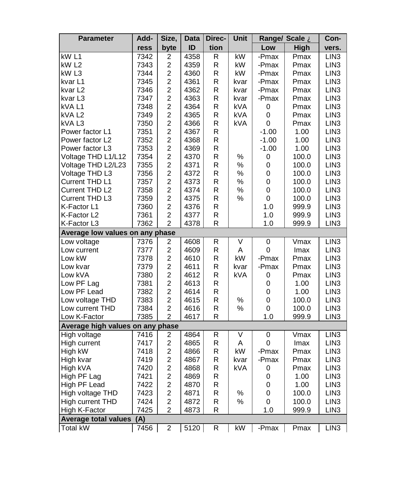| <b>Parameter</b>                 | Add- | Size,                   | Data | Direc-       | Unit                    | Range/ Scale A |       | Con-             |
|----------------------------------|------|-------------------------|------|--------------|-------------------------|----------------|-------|------------------|
|                                  | ress | byte                    | ID   | tion         |                         | Low            | High  | vers.            |
| kW L1                            | 7342 | $\overline{\mathbf{c}}$ | 4358 | R            | $\overline{\text{KW}}$  | -Pmax          | Pmax  | LIN <sub>3</sub> |
| kW L2                            | 7343 | $\overline{c}$          | 4359 | R            | kW                      | -Pmax          | Pmax  | LIN3             |
| kW L3                            | 7344 | $\overline{c}$          | 4360 | R            | kW                      | -Pmax          | Pmax  | LIN <sub>3</sub> |
| kvar L1                          | 7345 | $\overline{c}$          | 4361 | R            | kvar                    | -Pmax          | Pmax  | LIN <sub>3</sub> |
| kvar L2                          | 7346 | $\overline{c}$          | 4362 | R            | kvar                    | -Pmax          | Pmax  | LIN <sub>3</sub> |
| kvar L3                          | 7347 | $\boldsymbol{2}$        | 4363 | R            | kvar                    | -Pmax          | Pmax  | LIN <sub>3</sub> |
| kVA L1                           | 7348 | $\overline{c}$          | 4364 | R            | kVA                     | 0              | Pmax  | LIN <sub>3</sub> |
| kVA L2                           | 7349 | $\overline{c}$          | 4365 | R            | kVA                     | 0              | Pmax  | LIN3             |
| kVAL3                            | 7350 | $\overline{c}$          | 4366 | R            | kVA                     | 0              | Pmax  | LIN <sub>3</sub> |
| Power factor L1                  | 7351 | $\overline{\mathbf{c}}$ | 4367 | R            |                         | $-1.00$        | 1.00  | LIN <sub>3</sub> |
| Power factor L2                  | 7352 | $\overline{\mathbf{c}}$ | 4368 | R            |                         | $-1.00$        | 1.00  | LIN <sub>3</sub> |
| Power factor L3                  | 7353 | $\overline{2}$          | 4369 | R            |                         | $-1.00$        | 1.00  | LIN <sub>3</sub> |
| Voltage THD L1/L12               | 7354 | $\overline{c}$          | 4370 | R            | %                       | 0              | 100.0 | LIN <sub>3</sub> |
| Voltage THD L2/L23               | 7355 | $\overline{c}$          | 4371 | R            | %                       | 0              | 100.0 | LIN <sub>3</sub> |
| Voltage THD L3                   | 7356 | $\overline{c}$          | 4372 | R            | $\%$                    | 0              | 100.0 | LIN <sub>3</sub> |
| Current THD L1                   | 7357 | $\overline{c}$          | 4373 | R            | %                       | 0              | 100.0 | LIN <sub>3</sub> |
| Current THD L2                   | 7358 | $\overline{\mathbf{c}}$ | 4374 | R            | ℅                       | 0              | 100.0 | LIN3             |
| Current THD L3                   | 7359 | $\overline{2}$          | 4375 | R            | %                       | 0              | 100.0 | LIN <sub>3</sub> |
| K-Factor L1                      | 7360 | $\overline{\mathbf{c}}$ | 4376 | R            |                         | 1.0            | 999.9 | LIN <sub>3</sub> |
| K-Factor L2                      | 7361 | $\overline{c}$          | 4377 | R            |                         | 1.0            | 999.9 | LIN <sub>3</sub> |
| K-Factor L3                      | 7362 | $\overline{2}$          | 4378 | $\mathsf{R}$ |                         | 1.0            | 999.9 | LIN <sub>3</sub> |
| Average low values on any phase  |      |                         |      |              |                         |                |       |                  |
| Low voltage                      | 7376 | 2                       | 4608 | R            | $\overline{\mathsf{v}}$ | 0              | Vmax  | LIN <sub>3</sub> |
| Low current                      | 7377 | $\overline{\mathbf{c}}$ | 4609 | R            | A                       | 0              | Imax  | LIN3             |
| Low kW                           | 7378 | $\overline{c}$          | 4610 | R            | kW                      | -Pmax          | Pmax  | LIN <sub>3</sub> |
| Low kvar                         | 7379 | $\overline{c}$          | 4611 | R            | kvar                    | -Pmax          | Pmax  | LIN <sub>3</sub> |
| Low kVA                          | 7380 | $\overline{\mathbf{c}}$ | 4612 | R            | kVA                     | 0              | Pmax  | LIN <sub>3</sub> |
| Low PF Lag                       | 7381 | $\overline{2}$          | 4613 | R            |                         | 0              | 1.00  | LIN <sub>3</sub> |
| Low PF Lead                      | 7382 | $\overline{\mathbf{c}}$ | 4614 | R            |                         | 0              | 1.00  | LIN <sub>3</sub> |
| Low voltage THD                  | 7383 | $\overline{\mathbf{c}}$ | 4615 | R            | $\%$                    | 0              | 100.0 | LIN <sub>3</sub> |
| Low current THD                  | 7384 | $\overline{\mathbf{c}}$ | 4616 | $\mathsf R$  | %                       | 0              | 100.0 | LIN <sub>3</sub> |
| Low K-Factor                     | 7385 | $\overline{2}$          | 4617 | R            |                         | 1.0            | 999.9 | LIN <sub>3</sub> |
| Average high values on any phase |      |                         |      |              |                         |                |       |                  |
| High voltage                     | 7416 | 2                       | 4864 | R            | ٧                       | 0              | Vmax  | LIN <sub>3</sub> |
| High current                     | 7417 | $\overline{c}$          | 4865 | R            | Α                       | 0              | Imax  | LIN <sub>3</sub> |
| High kW                          | 7418 | $\overline{c}$          | 4866 | R            | kW                      | -Pmax          | Pmax  | LIN <sub>3</sub> |
| High kvar                        | 7419 | $\overline{c}$          | 4867 | R            | kvar                    | -Pmax          | Pmax  | LIN <sub>3</sub> |
| High kVA                         | 7420 | $\overline{c}$          | 4868 | R            | kVA                     | 0              | Pmax  | LIN <sub>3</sub> |
|                                  | 7421 | $\overline{c}$          | 4869 | R            |                         | 0              | 1.00  | LIN3             |
| High PF Lag<br>High PF Lead      | 7422 | $\overline{c}$          | 4870 | R            |                         | 0              | 1.00  | LIN <sub>3</sub> |
| High voltage THD                 | 7423 | $\overline{\mathbf{c}}$ | 4871 | R            | $\%$                    | 0              | 100.0 | LIN <sub>3</sub> |
|                                  | 7424 | $\overline{c}$          | 4872 | R            | %                       | 0              |       | LIN <sub>3</sub> |
| High current THD                 | 7425 | $\overline{2}$          | 4873 | $\mathsf{R}$ |                         | 1.0            | 100.0 |                  |
| High K-Factor                    |      |                         |      |              |                         |                | 999.9 | LIN3             |
| <b>Average total values</b>      | (A)  |                         |      |              |                         |                |       |                  |
| <b>Total kW</b>                  | 7456 | $\overline{2}$          | 5120 | $\mathsf{R}$ | kW                      | -Pmax          | Pmax  | LIN <sub>3</sub> |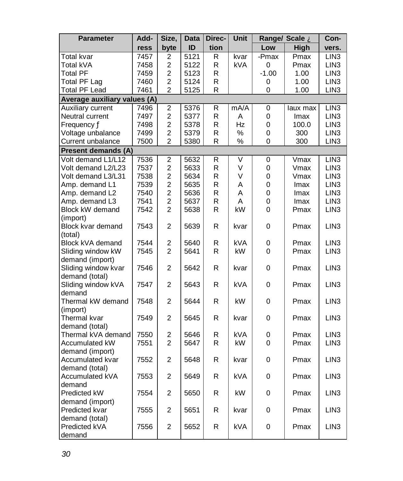| <b>Parameter</b>                    | Add- | Size,                   | Data | Direc-       | <b>Unit</b> |         | Range/ Scale A |                  |
|-------------------------------------|------|-------------------------|------|--------------|-------------|---------|----------------|------------------|
|                                     | ress | byte                    | ID   | tion         |             | Low     | High           | vers.            |
| Total kvar                          | 7457 | 2                       | 5121 | R            | kvar        | -Pmax   | Pmax           | LIN3             |
| Total kVA                           | 7458 | 2                       | 5122 | R            | <b>kVA</b>  | 0       | Pmax           | LIN <sub>3</sub> |
| <b>Total PF</b>                     | 7459 | $\overline{c}$          | 5123 | R            |             | $-1.00$ | 1.00           | LIN <sub>3</sub> |
| Total PF Lag                        | 7460 | $\overline{c}$          | 5124 | R            |             | 0       | 1.00           | LIN <sub>3</sub> |
| <b>Total PF Lead</b>                | 7461 | $\overline{2}$          | 5125 | $\mathsf{R}$ |             | 0       | 1.00           | LIN <sub>3</sub> |
| Average auxiliary values (A)        |      |                         |      |              |             |         |                |                  |
| Auxiliary current                   | 7496 | $\overline{c}$          | 5376 | R            | mA/A        | 0       | laux max       | LIN <sub>3</sub> |
| Neutral current                     | 7497 | $\overline{\mathbf{c}}$ | 5377 | R            | A           | 0       | Imax           | LIN3             |
| Frequency Ä                         | 7498 | $\overline{c}$          | 5378 | R.           | Hz          | 0       | 100.0          | LIN <sub>3</sub> |
| Voltage unbalance                   | 7499 | $\overline{\mathbf{c}}$ | 5379 | R            | $\%$        | 0       | 300            | LIN3             |
| Current unbalance                   | 7500 | $\mathfrak{p}$          | 5380 | R            | %           | 0       | 300            | LIN <sub>3</sub> |
| <b>Present demands (A)</b>          |      |                         |      |              |             |         |                |                  |
| Volt demand L1/L12                  | 7536 | $\overline{\mathbf{c}}$ | 5632 | R            | V           | 0       | Vmax           | LIN <sub>3</sub> |
| Volt demand L2/L23                  | 7537 | $\overline{2}$          | 5633 | R            | V           | 0       | Vmax           | LIN <sub>3</sub> |
| Volt demand L3/L31                  | 7538 | $\overline{\mathbf{c}}$ | 5634 | R            | V           | 0       | Vmax           | LIN <sub>3</sub> |
| Amp. demand L1                      | 7539 | $\overline{c}$          | 5635 | R            | A           | 0       | Imax           | LIN <sub>3</sub> |
| Amp. demand L2                      | 7540 | $\overline{\mathbf{c}}$ | 5636 | R            | A           | 0       | Imax           | LIN3             |
| Amp. demand L3                      | 7541 | $\overline{\mathbf{c}}$ | 5637 | R            | A           | 0       | Imax           | LIN <sub>3</sub> |
| Block kW demand                     | 7542 | $\overline{2}$          | 5638 | R            | kW          | 0       | Pmax           | LIN3             |
| (import)                            |      |                         |      |              |             |         |                |                  |
| Block kvar demand                   | 7543 | $\overline{2}$          | 5639 | R            | kvar        | 0       | Pmax           | LIN <sub>3</sub> |
| (total)                             |      |                         |      |              |             |         |                |                  |
| Block kVA demand                    | 7544 | 2                       | 5640 | R            | kVA         | 0       | Pmax           | LIN <sub>3</sub> |
| Sliding window kW                   | 7545 | $\overline{2}$          | 5641 | R            | kW          | 0       | Pmax           | LIN <sub>3</sub> |
| demand (import)                     |      |                         |      |              |             |         |                |                  |
| Sliding window kvar                 | 7546 | $\overline{2}$          | 5642 | R            | kvar        | 0       | Pmax           | LIN <sub>3</sub> |
| demand (total)                      |      |                         |      |              |             |         |                |                  |
| Sliding window kVA                  | 7547 | 2                       | 5643 | R            | kVA         | 0       | Pmax           | LIN <sub>3</sub> |
| demand                              |      |                         |      |              |             |         |                |                  |
| Thermal kW demand                   | 7548 | $\overline{c}$          | 5644 | R            | kW          | 0       | Pmax           | LIN <sub>3</sub> |
| (import)                            |      |                         |      |              |             |         |                |                  |
| Thermal kvar                        | 7549 | $\overline{c}$          | 5645 | R            | kvar        | 0       | Pmax           | LIN <sub>3</sub> |
| demand (total)                      |      |                         |      |              |             |         |                |                  |
| Thermal kVA demand                  | 7550 | 2                       | 5646 | R            | <b>kVA</b>  | 0       | Pmax           | LIN <sub>3</sub> |
| Accumulated kW                      | 7551 | $\overline{c}$          | 5647 | R            | kW          | 0       | Pmax           | LIN <sub>3</sub> |
| demand (import)<br>Accumulated kvar | 7552 | $\overline{c}$          | 5648 | R            | kvar        | 0       | Pmax           | LIN <sub>3</sub> |
|                                     |      |                         |      |              |             |         |                |                  |
| demand (total)<br>Accumulated kVA   | 7553 | $\overline{2}$          | 5649 | R            | <b>kVA</b>  | 0       | Pmax           | LIN <sub>3</sub> |
| demand                              |      |                         |      |              |             |         |                |                  |
| <b>Predicted kW</b>                 | 7554 | $\overline{2}$          | 5650 | R            | kW          | 0       | Pmax           | LIN <sub>3</sub> |
| demand (import)                     |      |                         |      |              |             |         |                |                  |
| Predicted kvar                      | 7555 | 2                       | 5651 | R            | kvar        | 0       | Pmax           | LIN <sub>3</sub> |
| demand (total)                      |      |                         |      |              |             |         |                |                  |
| Predicted kVA                       | 7556 | $\overline{c}$          | 5652 | R            | kVA         | 0       | Pmax           | LIN <sub>3</sub> |
| demand                              |      |                         |      |              |             |         |                |                  |
|                                     |      |                         |      |              |             |         |                |                  |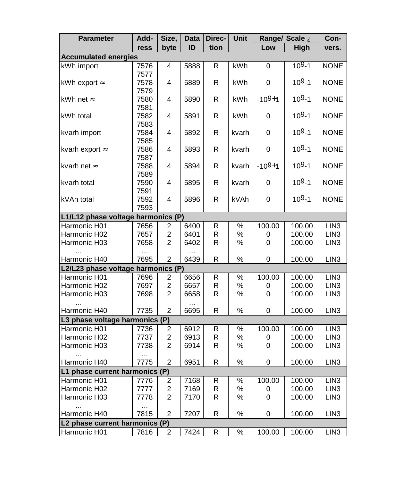| ID<br>tion<br>High<br>byte<br>Low<br>ress<br><b>Accumulated energies</b>                                                     | vers.            |
|------------------------------------------------------------------------------------------------------------------------------|------------------|
|                                                                                                                              |                  |
|                                                                                                                              |                  |
| $109 - 1$<br>${\sf R}$<br>kWh<br>kWh import<br>7576<br>4<br>5888<br>0                                                        | <b>NONE</b>      |
| 7577                                                                                                                         |                  |
| $109 - 1$<br>kWh export Å<br>4<br>5889<br>R<br><b>kWh</b><br>0<br>7578                                                       | <b>NONE</b>      |
| 7579                                                                                                                         |                  |
| $-109+1$<br>$109-1$<br>kWh net Å<br>kWh<br>5890<br>R<br>7580<br>4                                                            | <b>NONE</b>      |
| 7581<br>$109 - 1$                                                                                                            |                  |
| R<br>kWh total<br>7582<br>4<br>5891<br>kWh<br>0<br>7583                                                                      | <b>NONE</b>      |
| $109 - 1$<br>5892<br>$\mathsf R$<br>0<br>kvarh import<br>7584<br>4<br>kvarh                                                  | <b>NONE</b>      |
| 7585                                                                                                                         |                  |
| $109 - 1$<br>kvarh export Å<br>7586<br>4<br>5893<br>R<br>kvarh<br>0                                                          | <b>NONE</b>      |
| 7587                                                                                                                         |                  |
| $-10^{9+1}$<br>$109 - 1$<br>kvarh net Å<br>7588<br>5894<br>R<br>kvarh<br>4                                                   | <b>NONE</b>      |
| 7589                                                                                                                         |                  |
| $109 - 1$<br>5895<br>R<br>0<br>kvarh total<br>7590<br>4<br>kvarh                                                             | <b>NONE</b>      |
| 7591                                                                                                                         |                  |
| $109 - 1$<br>R<br>kVAh<br>kVAh total<br>7592<br>4<br>5896<br>0                                                               | <b>NONE</b>      |
| 7593                                                                                                                         |                  |
| L1/L12 phase voltage harmonics (P)                                                                                           |                  |
| 6400<br>$\frac{1}{2}$<br>Harmonic H01<br>7656<br>R<br>100.00<br>100.00<br>2                                                  | LIN3             |
| $\boldsymbol{2}$<br>R<br>$\%$<br>100.00<br>Harmonic H02<br>7657<br>6401<br>0                                                 | LIN <sub>3</sub> |
| 2<br>R.<br>Harmonic H03<br>7658<br>6402<br>%<br>0<br>100.00                                                                  | LIN <sub>3</sub> |
| $\ddotsc$<br>.<br>$\overline{2}$<br>R<br>%<br>7695<br>6439<br>0<br>100.00<br>Harmonic H40                                    | LIN <sub>3</sub> |
| L2/L23 phase voltage harmonics (P)                                                                                           |                  |
| Harmonic H01<br>7696<br>℅<br>100.00<br>$\overline{\mathbf{c}}$<br>6656<br>R<br>100.00                                        | LIN <sub>3</sub> |
| $\overline{c}$<br>R<br>$\%$<br>100.00<br>Harmonic H02<br>7697<br>6657<br>0                                                   | LIN <sub>3</sub> |
| R<br>2<br>℅<br>0<br>Harmonic H03<br>7698<br>6658<br>100.00                                                                   | LIN <sub>3</sub> |
|                                                                                                                              |                  |
| $\overline{2}$<br>$\mathsf{R}$<br>$\%$<br>0<br>7735<br>6695<br>100.00<br>Harmonic H40                                        | LIN3             |
| L3 phase voltage harmonics (P)                                                                                               |                  |
| Harmonic H01<br>6912<br>$\frac{1}{6}$<br>100.00<br>7736<br>R<br>100.00<br>2                                                  | LIN3             |
| $\overline{c}$<br>6913<br>R<br>$\%$<br>100.00<br>Harmonic H02<br>7737<br>0                                                   | LIN <sub>3</sub> |
| $\overline{2}$<br>R<br>7738<br>6914<br>%<br>0<br>100.00<br>Harmonic H03                                                      | LIN <sub>3</sub> |
| $\overline{2}$                                                                                                               |                  |
| 7775<br>R<br>%<br>Harmonic H40<br>6951<br>0<br>100.00                                                                        | LIN <sub>3</sub> |
| L1 phase current harmonics (P)<br>Harmonic H01<br>$\frac{1}{2}$<br>7776<br>$\boldsymbol{2}$<br>7168<br>R<br>100.00<br>100.00 | LIN <sub>3</sub> |
| $\overline{c}$<br>R<br>$\%$<br>Harmonic H02<br>7777<br>7169<br>100.00<br>0                                                   | LIN <sub>3</sub> |
| $\overline{2}$<br>R<br>7170<br>$\%$<br>0<br>Harmonic H03<br>7778<br>100.00                                                   | LIN <sub>3</sub> |
|                                                                                                                              |                  |
| 7815<br>$\overline{2}$<br>7207<br>R<br>%<br>0<br>Harmonic H40<br>100.00                                                      | LIN <sub>3</sub> |
| L2 phase current harmonics (P)                                                                                               |                  |
| 7424<br>Harmonic H01<br>R<br>℅<br>100.00<br>100.00<br>7816<br>2                                                              | LIN3             |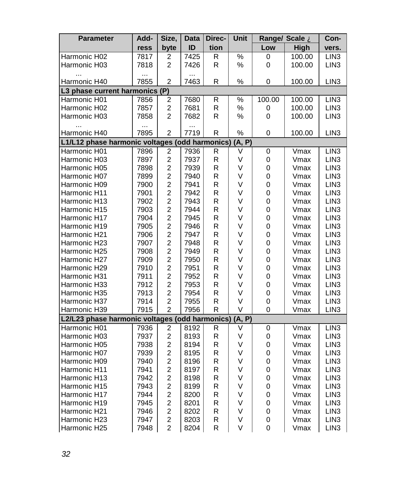| <b>Parameter</b>                               | Add- | Size,                   | <b>Data</b> | Direc-                  | Unit          |        | Range/ Scale A | Con-             |
|------------------------------------------------|------|-------------------------|-------------|-------------------------|---------------|--------|----------------|------------------|
|                                                | ress | byte                    | ID          | tion                    |               | Low    | High           | vers.            |
| Harmonic H02                                   | 7817 | 2                       | 7425        | R                       | $\%$          | 0      | 100.00         | LIN3             |
| Harmonic H03                                   | 7818 | 2                       | 7426        | R                       | %             | 0      | 100.00         | LIN <sub>3</sub> |
|                                                |      |                         |             |                         |               |        |                |                  |
| Harmonic H40                                   | 7855 | $\overline{2}$          | 7463        | R                       | %             | 0      | 100.00         | LIN <sub>3</sub> |
| L3 phase current harmonics (P)                 |      |                         |             |                         |               |        |                |                  |
| Harmonic H01                                   | 7856 | $\overline{c}$          | 7680        | $\mathsf R$             | $\frac{1}{2}$ | 100.00 | 100.00         | LIN <sub>3</sub> |
| Harmonic H02                                   | 7857 | $\overline{c}$          | 7681        | R                       | $\%$          | 0      | 100.00         | LIN <sub>3</sub> |
| Harmonic H03                                   | 7858 | $\overline{c}$          | 7682        | $\mathsf{R}$            | ℅             | 0      | 100.00         | LIN <sub>3</sub> |
|                                                | .    |                         | $\cdots$    |                         |               |        |                |                  |
| Harmonic H40                                   | 7895 | $\overline{c}$          | 7719        | R                       | %             | 0      | 100.00         | LIN <sub>3</sub> |
| L1/L12 phase harmonic voltages (odd harmonics) |      |                         |             |                         | (A, P)        |        |                |                  |
| Harmonic H01                                   | 7896 | $\boldsymbol{2}$        | 7936        | $\mathsf R$             | V             | 0      | Vmax           | LIN <sub>3</sub> |
| Harmonic H03                                   | 7897 | $\overline{2}$          | 7937        | $\mathsf R$             | ٧             | 0      | Vmax           | LIN <sub>3</sub> |
| Harmonic H05                                   | 7898 | $\overline{c}$          | 7939        | $\mathsf R$             | V             | 0      | Vmax           | LIN <sub>3</sub> |
| Harmonic H07                                   | 7899 | $\overline{c}$          | 7940        | $\mathsf R$             | V             | 0      | Vmax           | LIN <sub>3</sub> |
| Harmonic H09                                   | 7900 | $\overline{c}$          | 7941        | $\mathsf R$             | V             | 0      | Vmax           | LIN <sub>3</sub> |
| Harmonic H11                                   | 7901 | $\overline{2}$          | 7942        | $\mathsf R$             | V             | 0      | Vmax           | LIN <sub>3</sub> |
| Harmonic H13                                   | 7902 | $\overline{c}$          | 7943        | R                       | V             | 0      | Vmax           | LIN <sub>3</sub> |
| Harmonic H15                                   | 7903 | $\overline{2}$          | 7944        | $\mathsf R$             | ٧             | 0      | Vmax           | LIN <sub>3</sub> |
| Harmonic H17                                   | 7904 | $\overline{c}$          | 7945        | R                       | V             | 0      | Vmax           | LIN <sub>3</sub> |
| Harmonic H19                                   | 7905 | $\overline{c}$          | 7946        | R                       | V             | 0      | Vmax           | LIN <sub>3</sub> |
| Harmonic H21                                   | 7906 | $\overline{c}$          | 7947        | R                       | V             | 0      | Vmax           | LIN <sub>3</sub> |
| Harmonic H23                                   | 7907 | $\overline{c}$          | 7948        | $\mathsf R$             | V             | 0      | Vmax           | LIN <sub>3</sub> |
| Harmonic H25                                   | 7908 | $\overline{c}$          | 7949        | $\mathsf{R}$            | V             | 0      | Vmax           | LIN <sub>3</sub> |
| Harmonic H27                                   | 7909 | $\overline{2}$          | 7950        | $\mathsf R$             | ٧             | 0      | Vmax           | LIN <sub>3</sub> |
| Harmonic H29                                   | 7910 | $\overline{c}$          | 7951        | R                       | ٧             | 0      | Vmax           | LIN <sub>3</sub> |
| Harmonic H31                                   | 7911 | $\overline{c}$          | 7952        | R                       | V             | 0      | Vmax           | LIN <sub>3</sub> |
| Harmonic H33                                   | 7912 | $\overline{c}$          | 7953        | $\mathsf R$             | V             | 0      | Vmax           | LIN3             |
| Harmonic H35                                   | 7913 | $\overline{2}$          | 7954        | R                       | V             | 0      | Vmax           | LIN <sub>3</sub> |
| Harmonic H37                                   | 7914 | $\overline{\mathbf{c}}$ | 7955        | R                       | V             | 0      | Vmax           | LIN <sub>3</sub> |
| Harmonic H39                                   | 7915 | $\overline{2}$          | 7956        | $\overline{\mathsf{R}}$ | V             | 0      | Vmax           | LIN <sub>3</sub> |
| L2/L23 phase harmonic voltages (odd harmonics) |      |                         |             |                         | (A, P)        |        |                |                  |
| Harmonic H01                                   | 7936 | 2                       | 8192        | R                       | V             | 0      | Vmax           | LIN <sub>3</sub> |
| Harmonic H03                                   | 7937 | $\overline{2}$          | 8193        | $\mathsf R$             | V             | 0      | Vmax           | LIN <sub>3</sub> |
| Harmonic H05                                   | 7938 | $\overline{c}$          | 8194        | $\mathsf R$             | ٧             | 0      | Vmax           | LIN <sub>3</sub> |
| Harmonic H07                                   | 7939 | $\overline{c}$          | 8195        | $\mathsf R$             | V             | 0      | Vmax           | LIN <sub>3</sub> |
| Harmonic H09                                   | 7940 | $\overline{c}$          | 8196        | R                       | V             | 0      | Vmax           | LIN <sub>3</sub> |
| Harmonic H11                                   | 7941 | $\overline{2}$          | 8197        | $\mathsf R$             | V             | 0      | Vmax           | LIN <sub>3</sub> |
| Harmonic H13                                   | 7942 | $\overline{c}$          | 8198        | R                       | V             | 0      | Vmax           | LIN <sub>3</sub> |
| Harmonic H15                                   | 7943 | $\overline{c}$          | 8199        | R                       | ٧             | 0      | Vmax           | LIN <sub>3</sub> |
| Harmonic H17                                   | 7944 | $\overline{c}$          | 8200        | R                       | V             | 0      | Vmax           | LIN <sub>3</sub> |
| Harmonic H19                                   | 7945 | $\overline{\mathbf{c}}$ | 8201        | $\mathsf R$             | V             | 0      | Vmax           | LIN <sub>3</sub> |
| Harmonic H21                                   | 7946 | $\overline{c}$          | 8202        | $\mathsf{R}$            | V             | 0      | Vmax           | LIN <sub>3</sub> |
| Harmonic H23                                   | 7947 | $\overline{2}$          | 8203        | $\mathsf R$             | V             | 0      | Vmax           | LIN <sub>3</sub> |
| Harmonic H25                                   | 7948 | $\overline{2}$          | 8204        | R                       | V             | 0      | Vmax           | LIN <sub>3</sub> |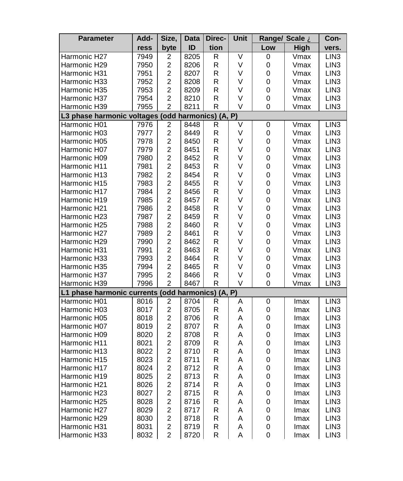| <b>Parameter</b>                                  | Add- | Size,                   | Data | Direc- | <b>Unit</b> | Range/ Scale À |      | Con-             |  |
|---------------------------------------------------|------|-------------------------|------|--------|-------------|----------------|------|------------------|--|
|                                                   | ress | byte                    | ID   | tion   |             | Low            | High | vers.            |  |
| Harmonic H27                                      | 7949 | 2                       | 8205 | R      | ٧           | 0              | Vmax | LIN <sub>3</sub> |  |
| Harmonic H29                                      | 7950 | $\overline{\mathbf{c}}$ | 8206 | R      | V           | 0              | Vmax | LIN <sub>3</sub> |  |
| Harmonic H31                                      | 7951 | $\overline{c}$          | 8207 | R      | V           | 0              | Vmax | LIN <sub>3</sub> |  |
| Harmonic H33                                      | 7952 | $\overline{c}$          | 8208 | R      | V           | 0              | Vmax | LIN <sub>3</sub> |  |
| Harmonic H35                                      | 7953 | 2                       | 8209 | R      | V           | 0              | Vmax | LIN <sub>3</sub> |  |
| Harmonic H37                                      | 7954 | $\overline{2}$          | 8210 | R      | V           | 0              | Vmax | LIN <sub>3</sub> |  |
| Harmonic H39                                      | 7955 | $\overline{2}$          | 8211 | R      | V           | 0              | Vmax | LIN <sub>3</sub> |  |
| L3 phase harmonic voltages (odd harmonics) (A, P) |      |                         |      |        |             |                |      |                  |  |
| Harmonic H01                                      | 7976 | 2                       | 8448 | R      | V           | 0              | Vmax | LIN <sub>3</sub> |  |
| Harmonic H03                                      | 7977 | $\overline{2}$          | 8449 | R      | V           | 0              | Vmax | LIN <sub>3</sub> |  |
| Harmonic H05                                      | 7978 | $\overline{c}$          | 8450 | R      | V           | 0              | Vmax | LIN <sub>3</sub> |  |
| Harmonic H07                                      | 7979 | $\overline{2}$          | 8451 | R      | V           | 0              | Vmax | LIN <sub>3</sub> |  |
| Harmonic H09                                      | 7980 | $\overline{c}$          | 8452 | R      | V           | 0              | Vmax | LIN <sub>3</sub> |  |
| Harmonic H11                                      | 7981 | $\overline{c}$          | 8453 | R      | V           | 0              | Vmax | LIN <sub>3</sub> |  |
| Harmonic H13                                      | 7982 | $\overline{c}$          | 8454 | R      | V           | 0              | Vmax | LIN <sub>3</sub> |  |
| Harmonic H15                                      | 7983 | $\overline{c}$          | 8455 | R      | V           | 0              | Vmax | LIN <sub>3</sub> |  |
| Harmonic H17                                      | 7984 | $\overline{\mathbf{c}}$ | 8456 | R      | V           | 0              | Vmax | LIN <sub>3</sub> |  |
| Harmonic H19                                      | 7985 | $\overline{2}$          | 8457 | R      | V           | 0              | Vmax | LIN <sub>3</sub> |  |
| Harmonic H21                                      | 7986 | $\overline{c}$          | 8458 | R      | V           | 0              | Vmax | LIN <sub>3</sub> |  |
| Harmonic H23                                      | 7987 | $\overline{c}$          | 8459 | R      | V           | 0              | Vmax | LIN <sub>3</sub> |  |
| Harmonic H25                                      | 7988 | $\overline{\mathbf{c}}$ | 8460 | R      | V           | 0              | Vmax | LIN <sub>3</sub> |  |
| Harmonic H27                                      | 7989 | $\overline{\mathbf{c}}$ | 8461 | R      | V           | 0              | Vmax | LIN <sub>3</sub> |  |
| Harmonic H29                                      | 7990 | $\overline{c}$          | 8462 | R      | ٧           | 0              | Vmax | LIN <sub>3</sub> |  |
| Harmonic H31                                      | 7991 | $\overline{c}$          | 8463 | R      | V           | 0              | Vmax | LIN <sub>3</sub> |  |
| Harmonic H33                                      | 7993 | $\overline{2}$          | 8464 | R      | V           | 0              | Vmax | LIN <sub>3</sub> |  |
| Harmonic H35                                      | 7994 | $\overline{c}$          | 8465 | R      | V           | 0              | Vmax | LIN <sub>3</sub> |  |
| Harmonic H37                                      | 7995 | 2                       | 8466 | R      | V           | 0              | Vmax | LIN <sub>3</sub> |  |
| Harmonic H39                                      | 7996 | $\overline{2}$          | 8467 | R      | V           | 0              | Vmax | LIN <sub>3</sub> |  |
| L1 phase harmonic currents (odd harmonics) (A, P) |      |                         |      |        |             |                |      |                  |  |
| Harmonic H01                                      | 8016 | $\overline{\mathbf{c}}$ | 8704 | R      | Α           | 0              | Imax | LIN <sub>3</sub> |  |
| Harmonic H03                                      | 8017 | $\overline{c}$          | 8705 | R      | Α           | 0              | Imax | LIN <sub>3</sub> |  |
| Harmonic H05                                      | 8018 | $\overline{2}$          | 8706 | R      | A           | 0              | Imax | LIN <sub>3</sub> |  |
| Harmonic H07                                      | 8019 | $\overline{c}$          | 8707 | R      | A           | 0              | Imax | LIN <sub>3</sub> |  |
| Harmonic H09                                      | 8020 | $\overline{2}$          | 8708 | R      | A           | 0              | Imax | LIN <sub>3</sub> |  |
| Harmonic H11                                      | 8021 | $\overline{c}$          | 8709 | R      | A           | 0              | Imax | LIN <sub>3</sub> |  |
| Harmonic H13                                      | 8022 | $\overline{c}$          | 8710 | R      | Α           | 0              | Imax | LIN <sub>3</sub> |  |
| Harmonic H15                                      | 8023 | $\overline{c}$          | 8711 | R      | A           | 0              | Imax | LIN <sub>3</sub> |  |
| Harmonic H17                                      | 8024 | $\overline{c}$          | 8712 | R      | Α           | 0              | Imax | LIN <sub>3</sub> |  |
| Harmonic H19                                      | 8025 | $\overline{\mathbf{c}}$ | 8713 | R      | A           | 0              | Imax | LIN <sub>3</sub> |  |
| Harmonic H21                                      | 8026 | $\overline{c}$          | 8714 | R      | Α           | 0              | Imax | LIN <sub>3</sub> |  |
| Harmonic H23                                      | 8027 | $\overline{\mathbf{c}}$ | 8715 | R      | Α           | 0              | Imax | LIN <sub>3</sub> |  |
| Harmonic H25                                      | 8028 | $\overline{c}$          | 8716 | R      | A           | 0              | Imax | LIN <sub>3</sub> |  |
| Harmonic H27                                      | 8029 | $\overline{\mathbf{c}}$ | 8717 | R      | Α           | 0              | Imax | LIN <sub>3</sub> |  |
| Harmonic H29                                      | 8030 | $\overline{c}$          | 8718 | R      | A           | 0              | Imax | LIN <sub>3</sub> |  |
| Harmonic H31                                      | 8031 | $\overline{c}$          | 8719 | R      | Α           | 0              | Imax | LIN <sub>3</sub> |  |
| Harmonic H33                                      | 8032 | $\overline{2}$          | 8720 | R      | A           | 0              | Imax | LIN <sub>3</sub> |  |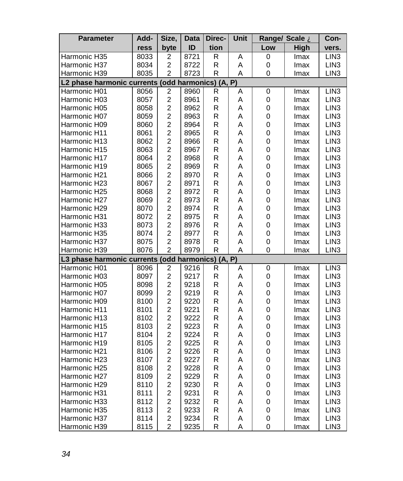| <b>Parameter</b>                                  | Add- | Size,                   | Data | Direc- | Unit |     | Range/ Scale A | Con-             |
|---------------------------------------------------|------|-------------------------|------|--------|------|-----|----------------|------------------|
|                                                   | ress | byte                    | ID   | tion   |      | Low | <b>High</b>    | vers.            |
| Harmonic H35                                      | 8033 | 2                       | 8721 | R      | A    | 0   | Imax           | LIN <sub>3</sub> |
| Harmonic H37                                      | 8034 | 2                       | 8722 | R      | A    | 0   | Imax           | LIN3             |
| Harmonic H39                                      | 8035 | $\overline{2}$          | 8723 | R      | Α    | 0   | Imax           | LIN <sub>3</sub> |
| L2 phase harmonic currents (odd harmonics) (A, P) |      |                         |      |        |      |     |                |                  |
| Harmonic H01                                      | 8056 | 2                       | 8960 | R      | A    | 0   | Imax           | LIN <sub>3</sub> |
| Harmonic H03                                      | 8057 | $\overline{c}$          | 8961 | R      | Α    | 0   | Imax           | LIN <sub>3</sub> |
| Harmonic H05                                      | 8058 | $\overline{c}$          | 8962 | R      | Α    | 0   | Imax           | LIN <sub>3</sub> |
| Harmonic H07                                      | 8059 | $\overline{2}$          | 8963 | R      | A    | 0   | Imax           | LIN <sub>3</sub> |
| Harmonic H09                                      | 8060 | $\overline{\mathbf{c}}$ | 8964 | R      | Α    | 0   | Imax           | LIN <sub>3</sub> |
| Harmonic H11                                      | 8061 | $\overline{c}$          | 8965 | R      | Α    | 0   | Imax           | LIN <sub>3</sub> |
| Harmonic H13                                      | 8062 | $\overline{\mathbf{c}}$ | 8966 | R      | Α    | 0   | Imax           | LIN <sub>3</sub> |
| Harmonic H15                                      | 8063 | $\overline{\mathbf{c}}$ | 8967 | R      | A    | 0   | Imax           | LIN <sub>3</sub> |
| Harmonic H17                                      | 8064 | $\overline{c}$          | 8968 | R      | Α    | 0   | Imax           | LIN <sub>3</sub> |
| Harmonic H19                                      | 8065 | $\overline{c}$          | 8969 | R      | Α    | 0   | Imax           | LIN <sub>3</sub> |
| Harmonic H21                                      | 8066 | $\overline{c}$          | 8970 | R      | A    | 0   | Imax           | LIN <sub>3</sub> |
| Harmonic H23                                      | 8067 | $\overline{c}$          | 8971 | R      | Α    | 0   | Imax           | LIN3             |
| Harmonic H25                                      | 8068 | $\overline{c}$          | 8972 | R      | A    | 0   | Imax           | LIN <sub>3</sub> |
| Harmonic H27                                      | 8069 | $\overline{c}$          | 8973 | R      | Α    | 0   | Imax           | LIN <sub>3</sub> |
| Harmonic H29                                      | 8070 | $\overline{c}$          | 8974 | R      | A    | 0   | Imax           | LIN <sub>3</sub> |
| Harmonic H31                                      | 8072 | $\overline{2}$          | 8975 | R      | A    | 0   | Imax           | LIN <sub>3</sub> |
| Harmonic H33                                      | 8073 | $\overline{c}$          | 8976 | R      | Α    | 0   | Imax           | LIN <sub>3</sub> |
| Harmonic H35                                      | 8074 | $\overline{c}$          | 8977 | R      | A    | 0   | Imax           | LIN <sub>3</sub> |
| Harmonic H37                                      | 8075 | $\overline{c}$          | 8978 | R      | Α    | 0   | Imax           | LIN <sub>3</sub> |
| Harmonic H39                                      | 8076 | $\overline{2}$          | 8979 | R      | A    | 0   | Imax           | LIN <sub>3</sub> |
| L3 phase harmonic currents (odd harmonics) (A, P) |      |                         |      |        |      |     |                |                  |
| Harmonic H01                                      | 8096 | $\overline{\mathbf{c}}$ | 9216 | R      | А    | 0   | Imax           | LIN <sub>3</sub> |
| Harmonic H03                                      | 8097 | $\overline{c}$          | 9217 | R      | A    | 0   | Imax           | LIN <sub>3</sub> |
| Harmonic H05                                      | 8098 | $\overline{\mathbf{c}}$ | 9218 | R      | A    | 0   | Imax           | LIN <sub>3</sub> |
| Harmonic H07                                      | 8099 | $\overline{c}$          | 9219 | R      | A    | 0   | Imax           | LIN <sub>3</sub> |
| Harmonic H09                                      | 8100 | $\overline{c}$          | 9220 | R      | A    | 0   | Imax           | LIN <sub>3</sub> |
| Harmonic H11                                      | 8101 | $\overline{c}$          | 9221 | R      | Α    | 0   | Imax           | LIN <sub>3</sub> |
| Harmonic H13                                      | 8102 | $\overline{c}$          | 9222 | R      | Α    | 0   | Imax           | LIN <sub>3</sub> |
| Harmonic H15                                      | 8103 | $\overline{c}$          | 9223 | R      | Α    | 0   | Imax           | LIN <sub>3</sub> |
| Harmonic H17                                      | 8104 | $\overline{c}$          | 9224 | R      | А    | 0   | Imax           | LIN <sub>3</sub> |
| Harmonic H19                                      | 8105 | $\overline{\mathbf{c}}$ | 9225 | R      | Α    | 0   | Imax           | LIN <sub>3</sub> |
| Harmonic H21                                      | 8106 | $\overline{c}$          | 9226 | R      | Α    | 0   | Imax           | LIN <sub>3</sub> |
| Harmonic H23                                      | 8107 | $\overline{\mathbf{c}}$ | 9227 | R      | Α    | 0   | Imax           | LIN <sub>3</sub> |
| Harmonic H25                                      | 8108 | $\overline{c}$          | 9228 | R      | Α    | 0   | Imax           | LIN <sub>3</sub> |
| Harmonic H27                                      | 8109 | $\overline{c}$          | 9229 | R      | Α    | 0   | Imax           | LIN <sub>3</sub> |
| Harmonic H29                                      | 8110 | $\overline{\mathbf{c}}$ | 9230 | R      | Α    | 0   | Imax           | LIN <sub>3</sub> |
| Harmonic H31                                      | 8111 | $\overline{c}$          | 9231 | R      | A    | 0   | Imax           | LIN <sub>3</sub> |
| Harmonic H33                                      | 8112 | 2                       | 9232 | R      | A    | 0   | Imax           | LIN3             |
| Harmonic H35                                      | 8113 | $\overline{c}$          | 9233 | R      | Α    | 0   | Imax           | LIN <sub>3</sub> |
| Harmonic H37                                      | 8114 | $\overline{c}$          | 9234 | R      | Α    | 0   | Imax           | LIN <sub>3</sub> |
| Harmonic H39                                      | 8115 | $\overline{2}$          | 9235 | R      | Α    | 0   | Imax           | LIN <sub>3</sub> |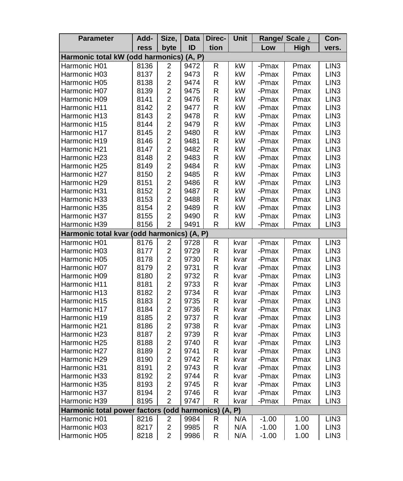| Parameter                                                | Add- | Size,                   | Data | Direc- | Unit | Range/ Scale A |             | Con-             |  |
|----------------------------------------------------------|------|-------------------------|------|--------|------|----------------|-------------|------------------|--|
|                                                          | ress | byte                    | ID   | tion   |      | Low            | <b>High</b> | vers.            |  |
| Harmonic total kW (odd harmonics)<br>(A, P)              |      |                         |      |        |      |                |             |                  |  |
| Harmonic H01                                             | 8136 | 2                       | 9472 | R      | kW   | -Pmax          | Pmax        | LIN <sub>3</sub> |  |
| Harmonic H03                                             | 8137 | $\overline{c}$          | 9473 | R      | kW   | -Pmax          | Pmax        | LIN <sub>3</sub> |  |
| Harmonic H05                                             | 8138 | $\overline{c}$          | 9474 | R      | kW   | -Pmax          | Pmax        | LIN <sub>3</sub> |  |
| Harmonic H07                                             | 8139 | $\overline{c}$          | 9475 | R      | kW   | -Pmax          | Pmax        | LIN <sub>3</sub> |  |
| Harmonic H09                                             | 8141 | $\overline{c}$          | 9476 | R      | kW   | -Pmax          | Pmax        | LIN <sub>3</sub> |  |
| Harmonic H11                                             | 8142 | $\overline{c}$          | 9477 | R      | kW   | -Pmax          | Pmax        | LIN <sub>3</sub> |  |
| Harmonic H13                                             | 8143 | $\overline{c}$          | 9478 | R      | kW   | -Pmax          | Pmax        | LIN <sub>3</sub> |  |
| Harmonic H15                                             | 8144 | $\overline{c}$          | 9479 | R      | kW   | -Pmax          | Pmax        | LIN <sub>3</sub> |  |
| Harmonic H17                                             | 8145 | $\overline{c}$          | 9480 | R      | kW   | -Pmax          | Pmax        | LIN <sub>3</sub> |  |
| Harmonic H19                                             | 8146 | $\overline{2}$          | 9481 | R      | kW   | -Pmax          | Pmax        | LIN <sub>3</sub> |  |
| Harmonic H21                                             | 8147 | $\overline{c}$          | 9482 | R      | kW   | -Pmax          | Pmax        | LIN3             |  |
| Harmonic H23                                             | 8148 | $\overline{2}$          | 9483 | R      | kW   | -Pmax          | Pmax        | LIN <sub>3</sub> |  |
| Harmonic H25                                             | 8149 | $\overline{c}$          | 9484 | R      | kW   | -Pmax          | Pmax        | LIN <sub>3</sub> |  |
| Harmonic H27                                             | 8150 | $\overline{c}$          | 9485 | R      | kW   | -Pmax          | Pmax        | LIN <sub>3</sub> |  |
| Harmonic H29                                             | 8151 | $\overline{c}$          | 9486 | R      | kW   | -Pmax          | Pmax        | LIN <sub>3</sub> |  |
| Harmonic H31                                             | 8152 | $\overline{c}$          | 9487 | R      | kW   | -Pmax          | Pmax        | LIN <sub>3</sub> |  |
| Harmonic H33                                             | 8153 | 2                       | 9488 | R      | kW   | -Pmax          | Pmax        | LIN <sub>3</sub> |  |
| Harmonic H35                                             | 8154 | $\overline{c}$          | 9489 | R      | kW   | -Pmax          | Pmax        | LIN <sub>3</sub> |  |
| Harmonic H37                                             | 8155 | $\overline{c}$          | 9490 | R      | kW   | -Pmax          | Pmax        | LIN3             |  |
| Harmonic H39                                             | 8156 | 2                       | 9491 | R      | kW   | -Pmax          | Pmax        | LIN <sub>3</sub> |  |
| Harmonic total kvar (odd harmonics) (A, P)               |      |                         |      |        |      |                |             |                  |  |
| Harmonic H01                                             | 8176 | $\overline{\mathbf{c}}$ | 9728 | R      | kvar | -Pmax          | Pmax        | LIN <sub>3</sub> |  |
| Harmonic H03                                             | 8177 | $\overline{c}$          | 9729 | R      | kvar | -Pmax          | Pmax        | LIN <sub>3</sub> |  |
| Harmonic H05                                             | 8178 | $\overline{2}$          | 9730 | R      | kvar | -Pmax          | Pmax        | LIN <sub>3</sub> |  |
| Harmonic H07                                             | 8179 | $\overline{c}$          | 9731 | R      | kvar | -Pmax          | Pmax        | LIN <sub>3</sub> |  |
| Harmonic H09                                             | 8180 | $\overline{\mathbf{c}}$ | 9732 | R      | kvar | -Pmax          | Pmax        | LIN3             |  |
| Harmonic H11                                             | 8181 | $\overline{c}$          | 9733 | R      | kvar | -Pmax          | Pmax        | LIN <sub>3</sub> |  |
| Harmonic H13                                             | 8182 | $\overline{\mathbf{c}}$ | 9734 | R      | kvar | -Pmax          | Pmax        | LIN <sub>3</sub> |  |
| Harmonic H15                                             | 8183 | $\overline{\mathbf{c}}$ | 9735 | R      | kvar | -Pmax          | Pmax        | LIN <sub>3</sub> |  |
| Harmonic H17                                             | 8184 | $\overline{c}$          | 9736 | R      | kvar | -Pmax          | Pmax        | LIN <sub>3</sub> |  |
| Harmonic H19                                             | 8185 | $\overline{\mathbf{c}}$ | 9737 | R      | kvar | -Pmax          | Pmax        | LIN3             |  |
| Harmonic H21                                             | 8186 | $\overline{c}$          | 9738 | R      | kvar | -Pmax          | Pmax        | LIN <sub>3</sub> |  |
| Harmonic H23                                             | 8187 | $\overline{\mathbf{c}}$ | 9739 | R      | kvar | -Pmax          | Pmax        | LIN3             |  |
| Harmonic H25                                             | 8188 | $\overline{c}$          | 9740 | R      | kvar | -Pmax          | Pmax        | LIN <sub>3</sub> |  |
| Harmonic H27                                             | 8189 | $\overline{c}$          | 9741 | R      | kvar | -Pmax          | Pmax        | LIN3             |  |
| Harmonic H29                                             | 8190 | $\overline{\mathbf{c}}$ | 9742 | R      | kvar | -Pmax          | Pmax        | LIN <sub>3</sub> |  |
| Harmonic H31                                             | 8191 | $\overline{\mathbf{c}}$ | 9743 | R      | kvar | -Pmax          | Pmax        | LIN <sub>3</sub> |  |
| Harmonic H33                                             | 8192 | $\overline{c}$          | 9744 | R      | kvar | -Pmax          | Pmax        | LIN <sub>3</sub> |  |
| Harmonic H35                                             | 8193 | $\overline{c}$          | 9745 | R      | kvar | -Pmax          | Pmax        | LIN <sub>3</sub> |  |
| Harmonic H37                                             | 8194 | $\overline{\mathbf{c}}$ | 9746 | R      | kvar | -Pmax          | Pmax        | LIN <sub>3</sub> |  |
| Harmonic H39                                             | 8195 | $\overline{2}$          | 9747 | R      | kvar | -Pmax          | Pmax        | LIN3             |  |
| Harmonic total power factors (<br>(odd harmonics) (A, P) |      |                         |      |        |      |                |             |                  |  |
| Harmonic H01                                             | 8216 | 2                       | 9984 | R      | N/A  | $-1.00$        | 1.00        | LIN <sub>3</sub> |  |
| Harmonic H03                                             | 8217 | $\overline{\mathbf{c}}$ | 9985 | R      | N/A  | $-1.00$        | 1.00        | LIN <sub>3</sub> |  |
| Harmonic H05                                             | 8218 | $\overline{2}$          | 9986 | R      | N/A  | $-1.00$        | 1.00        | LIN <sub>3</sub> |  |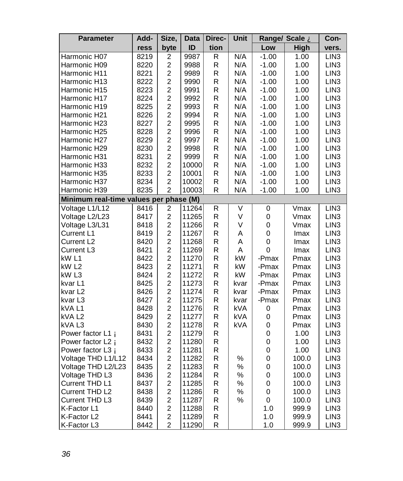| <b>Parameter</b>             | Add- | Size,                   | <b>Data</b> | Direc- | Unit                    |             | Range/ Scale A | Con-             |
|------------------------------|------|-------------------------|-------------|--------|-------------------------|-------------|----------------|------------------|
|                              | ress | byte                    | ID          | tion   |                         | Low         | High           | vers.            |
| Harmonic H07                 | 8219 | 2                       | 9987        | R      | N/A                     | $-1.00$     | 1.00           | LIN <sub>3</sub> |
| Harmonic H09                 | 8220 | $\overline{\mathbf{c}}$ | 9988        | R      | N/A                     | $-1.00$     | 1.00           | LIN <sub>3</sub> |
| Harmonic H11                 | 8221 | $\overline{c}$          | 9989        | R      | N/A                     | $-1.00$     | 1.00           | LIN <sub>3</sub> |
| Harmonic H13                 | 8222 | $\overline{c}$          | 9990        | R      | N/A                     | $-1.00$     | 1.00           | LIN <sub>3</sub> |
| Harmonic H15                 | 8223 | $\overline{c}$          | 9991        | R      | N/A                     | $-1.00$     | 1.00           | LIN <sub>3</sub> |
| Harmonic H17                 | 8224 | $\overline{\mathbf{c}}$ | 9992        | R      | N/A                     | $-1.00$     | 1.00           | LIN <sub>3</sub> |
| Harmonic H19                 | 8225 | $\overline{c}$          | 9993        | R      | N/A                     | $-1.00$     | 1.00           | LIN <sub>3</sub> |
| Harmonic H21                 | 8226 | $\overline{c}$          | 9994        | R      | N/A                     | $-1.00$     | 1.00           | LIN <sub>3</sub> |
| Harmonic H23                 | 8227 | $\overline{c}$          | 9995        | R      | N/A                     | $-1.00$     | 1.00           | LIN <sub>3</sub> |
| Harmonic H25                 | 8228 | $\overline{c}$          | 9996        | R      | N/A                     | $-1.00$     | 1.00           | LIN <sub>3</sub> |
| Harmonic H27                 | 8229 | $\overline{c}$          | 9997        | R      | N/A                     | $-1.00$     | 1.00           | LIN <sub>3</sub> |
| Harmonic H29                 | 8230 | $\overline{c}$          | 9998        | R      | N/A                     | $-1.00$     | 1.00           | LIN3             |
| Harmonic H31                 | 8231 | $\overline{c}$          | 9999        | R      | N/A                     | $-1.00$     | 1.00           | LIN <sub>3</sub> |
| Harmonic H33                 | 8232 | $\overline{c}$          | 10000       | R      | N/A                     | $-1.00$     | 1.00           | LIN <sub>3</sub> |
| Harmonic H35                 | 8233 | $\overline{c}$          | 10001       | R      | N/A                     | $-1.00$     | 1.00           | LIN <sub>3</sub> |
| Harmonic H37                 | 8234 | $\overline{c}$          | 10002       | R      | N/A                     | $-1.00$     | 1.00           | LIN <sub>3</sub> |
| Harmonic H39                 | 8235 | $\overline{c}$          | 10003       | R      | N/A                     | $-1.00$     | 1.00           | LIN <sub>3</sub> |
| Minimum real-time values per |      |                         | phase (M)   |        |                         |             |                |                  |
| Voltage L1/L12               | 8416 | 2                       | 11264       | R      | $\overline{\mathsf{v}}$ | 0           | Vmax           | LIN <sub>3</sub> |
| Voltage L2/L23               | 8417 | $\overline{c}$          | 11265       | R      | V                       | 0           | Vmax           | LIN <sub>3</sub> |
| Voltage L3/L31               | 8418 | $\overline{\mathbf{c}}$ | 11266       | R      | V                       | 0           | Vmax           | LIN <sub>3</sub> |
| Current L1                   | 8419 | $\overline{c}$          | 11267       | R      | A                       | 0           | Imax           | LIN <sub>3</sub> |
| Current L <sub>2</sub>       | 8420 | $\overline{c}$          | 11268       | R      | A                       | 0           | Imax           | LIN <sub>3</sub> |
| Current L3                   | 8421 | $\overline{c}$          | 11269       | R      | A                       | 0           | Imax           | LIN <sub>3</sub> |
| kW <sub>L1</sub>             | 8422 | $\overline{c}$          | 11270       | R      | kW                      | -Pmax       | Pmax           | LIN <sub>3</sub> |
| kW <sub>L2</sub>             | 8423 | $\overline{\mathbf{c}}$ | 11271       | R      | kW                      | -Pmax       | Pmax           | LIN <sub>3</sub> |
| kW <sub>L3</sub>             | 8424 | $\overline{c}$          | 11272       | R      | kW                      | -Pmax       | Pmax           | LIN <sub>3</sub> |
| kvar L1                      | 8425 | $\overline{\mathbf{c}}$ | 11273       | R      | kvar                    | -Pmax       | Pmax           | LIN3             |
| kvar L <sub>2</sub>          | 8426 | $\overline{c}$          | 11274       | R      | kvar                    | -Pmax       | Pmax           | LIN <sub>3</sub> |
| kvar L3                      | 8427 | $\overline{\mathbf{c}}$ | 11275       | R      | kvar                    | -Pmax       | Pmax           | LIN <sub>3</sub> |
| kVA L1                       | 8428 | $\overline{c}$          | 11276       | R      | kVA                     | 0           | Pmax           | LIN <sub>3</sub> |
| kVA L2                       | 8429 | $\overline{c}$          | 11277       | R      | kVA                     | 0           | Pmax           | LIN <sub>3</sub> |
| kVA L3                       | 8430 | $\overline{c}$          | 11278       | R      | kVA                     | 0           | Pmax           | LIN <sub>3</sub> |
| Power factor L1 Á            | 8431 | $\overline{c}$          | 11279       | R      |                         | 0           | 1.00           | LIN <sub>3</sub> |
| Power factor L2 A            | 8432 | $\overline{\mathbf{c}}$ | 11280       | R      |                         | 0           | 1.00           | LIN <sub>3</sub> |
| Power factor L3 A            | 8433 | $\overline{c}$          | 11281       | R      |                         | 0           | 1.00           | LIN <sub>3</sub> |
| Voltage THD L1/L12           | 8434 | $\overline{\mathbf{c}}$ | 11282       | R      | $\%$                    | 0           | 100.0          | LIN <sub>3</sub> |
| Voltage THD L2/L23           | 8435 | $\overline{c}$          | 11283       | R      | $\%$                    | 0           | 100.0          | LIN <sub>3</sub> |
| Voltage THD L3               | 8436 | $\overline{c}$          | 11284       | R      | %                       | 0           | 100.0          | LIN <sub>3</sub> |
| Current THD L1               | 8437 | $\overline{c}$          | 11285       | R      | $\%$                    | 0           | 100.0          | LIN <sub>3</sub> |
| Current THD L2               | 8438 | $\overline{c}$          | 11286       | R      | $\%$                    | 0           | 100.0          | LIN <sub>3</sub> |
| Current THD L3               | 8439 | 2                       | 11287       | R      | $\%$                    | $\mathbf 0$ | 100.0          | LIN <sub>3</sub> |
| K-Factor L1                  | 8440 | $\overline{c}$          | 11288       | R      |                         | 1.0         | 999.9          | LIN <sub>3</sub> |
| K-Factor L2                  | 8441 | $\overline{\mathbf{c}}$ | 11289       | R      |                         | 1.0         | 999.9          | LIN <sub>3</sub> |
| K-Factor L3                  | 8442 | $\overline{2}$          | 11290       | R      |                         | 1.0         | 999.9          | LIN <sub>3</sub> |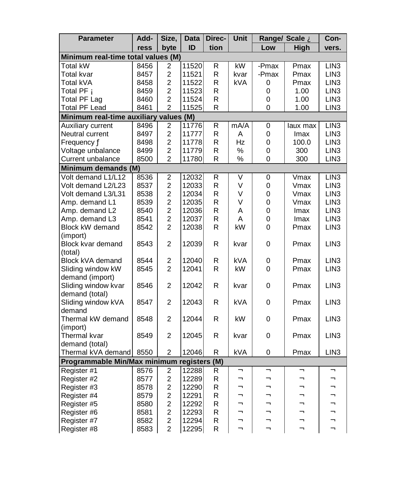| <b>Parameter</b>                       | Add- | Size,                   | Data  | Direc- | Unit       |        | Range/ Scale A | Con-             |
|----------------------------------------|------|-------------------------|-------|--------|------------|--------|----------------|------------------|
|                                        | ress | byte                    | ID    | tion   |            | Low    | <b>High</b>    | vers.            |
| Minimum real-time total values (M)     |      |                         |       |        |            |        |                |                  |
| Total kW                               | 8456 | 2                       | 11520 | R      | kW         | -Pmax  | Pmax           | LIN <sub>3</sub> |
| Total kvar                             | 8457 | $\overline{2}$          | 11521 | R      | kvar       | -Pmax  | Pmax           | LIN <sub>3</sub> |
| Total kVA                              | 8458 | $\overline{c}$          | 11522 | R      | kVA        | 0      | Pmax           | LIN <sub>3</sub> |
| Total PF Á                             | 8459 | $\overline{2}$          | 11523 | R      |            | 0      | 1.00           | LIN <sub>3</sub> |
| <b>Total PF Lag</b>                    | 8460 | 2                       | 11524 | R      |            | 0      | 1.00           | LIN3             |
| Total PF Lead                          | 8461 | $\overline{2}$          | 11525 | R      |            | 0      | 1.00           | LIN <sub>3</sub> |
| Minimum real-time auxiliary values (M) |      |                         |       |        |            |        |                |                  |
| Auxiliary current                      | 8496 | $\overline{c}$          | 11776 | R      | mA/A       | 0      | laux max       | LIN <sub>3</sub> |
| Neutral current                        | 8497 | $\overline{c}$          | 11777 | R      | A          | 0      | Imax           | LIN <sub>3</sub> |
| Frequency Ä                            | 8498 | $\overline{\mathbf{c}}$ | 11778 | R      | Hz         | 0      | 100.0          | LIN <sub>3</sub> |
| Voltage unbalance                      | 8499 | $\overline{c}$          | 11779 | R      | %          | 0      | 300            | LIN <sub>3</sub> |
| Current unbalance                      | 8500 | $\overline{2}$          | 11780 | R      | %          | 0      | 300            | LIN <sub>3</sub> |
| Minimum demands (M)                    |      |                         |       |        |            |        |                |                  |
| Volt demand L1/L12                     | 8536 | $\overline{\mathbf{c}}$ | 12032 | R      | V          | 0      | Vmax           | LIN3             |
| Volt demand L2/L23                     | 8537 | $\overline{\mathbf{c}}$ | 12033 | R      | V          | 0      | Vmax           | LIN <sub>3</sub> |
| Volt demand L3/L31                     | 8538 | $\overline{c}$          | 12034 | R      | V          | 0      | Vmax           | LIN <sub>3</sub> |
| Amp. demand L1                         | 8539 | $\overline{c}$          | 12035 | R      | V          | 0      | Vmax           | LIN <sub>3</sub> |
| Amp. demand L2                         | 8540 | $\overline{2}$          | 12036 | R      | A          | 0      | Imax           | LIN <sub>3</sub> |
| Amp. demand L3                         | 8541 | $\overline{2}$          | 12037 | R      | A          | 0      | Imax           | LIN <sub>3</sub> |
| Block kW demand                        | 8542 | $\overline{2}$          | 12038 | R      | kW         | 0      | Pmax           | LIN <sub>3</sub> |
| (import)                               |      |                         |       |        |            |        |                |                  |
| Block kvar demand                      | 8543 | 2                       | 12039 | R      | kvar       | 0      | Pmax           | LIN <sub>3</sub> |
| (total)                                |      |                         |       |        |            |        |                |                  |
| Block kVA demand                       | 8544 | $\overline{c}$          | 12040 | R      | <b>kVA</b> | 0      | Pmax           | LIN <sub>3</sub> |
| Sliding window kW                      | 8545 | $\overline{2}$          | 12041 | R      | kW         | 0      | Pmax           | LIN <sub>3</sub> |
| demand (import)                        |      |                         |       |        |            |        |                |                  |
| Sliding window kvar                    | 8546 | 2                       | 12042 | R      | kvar       | 0      | Pmax           | LIN <sub>3</sub> |
| demand (total)                         |      |                         |       |        |            |        |                |                  |
| Sliding window kVA                     | 8547 | $\overline{2}$          | 12043 | R      | kVA        | 0      | Pmax           | LIN <sub>3</sub> |
| demand                                 |      |                         |       |        |            |        |                |                  |
| Thermal kW demand                      | 8548 | $\overline{2}$          | 12044 | R      | kW         | 0      | Pmax           | LIN <sub>3</sub> |
| (import)                               |      |                         |       |        |            |        |                |                  |
| Thermal kvar                           | 8549 | $\overline{2}$          | 12045 | R      | kvar       | 0      | Pmax           | LIN <sub>3</sub> |
| demand (total)                         |      |                         |       |        |            |        |                |                  |
| Thermal kVA demand                     | 8550 | $\overline{c}$          | 12046 | R      | kVA        | 0      | Pmax           | LIN <sub>3</sub> |
| Programmable Min/Max minimum registers |      |                         |       | (M)    |            |        |                |                  |
| Register #1                            | 8576 | 2                       | 12288 | R      | Â<br>Â     | Â<br>Â | Â<br>Â         | Â<br>Â           |
| Register #2                            | 8577 | $\overline{\mathbf{c}}$ | 12289 | R      | Â          | Â      | Â              | Â                |
| Register #3                            | 8578 | $\overline{2}$          | 12290 | R      |            |        |                |                  |
| Register #4                            | 8579 | $\overline{c}$          | 12291 | R      | Â<br>Â     | Â<br>Â | Â<br>Â         | Â<br>Â           |
| Register #5                            | 8580 | $\overline{c}$          | 12292 | R      | Â          | Â      | Â              | Â                |
| Register #6                            | 8581 | $\overline{c}$          | 12293 | R      | Â          | Â      | Â              | Â                |
| Register #7                            | 8582 | $\overline{2}$          | 12294 | R      | Â          | Â      | Â              | Â                |
| Register #8                            | 8583 | $\overline{2}$          | 12295 | R      |            |        |                |                  |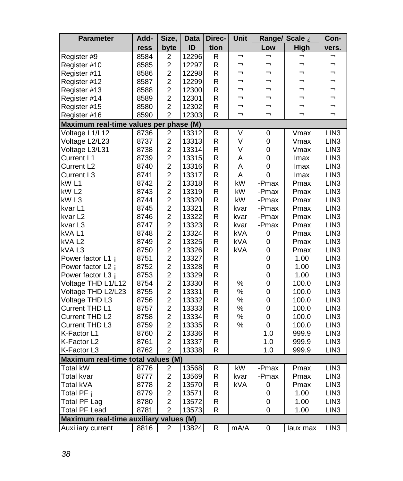| <b>Parameter</b>                       | Add- | Size,                   | Data  | Direc-      | Unit       |             | Range/ Scale À | Con-             |
|----------------------------------------|------|-------------------------|-------|-------------|------------|-------------|----------------|------------------|
|                                        | ress | byte                    | ID    | tion        |            | Low         | <b>High</b>    | vers.            |
| Register #9                            | 8584 | 2                       | 12296 | R           | Â          | Â           | Ã              | Â                |
| Register #10                           | 8585 | $\overline{c}$          | 12297 | R           | Â          | Â           | Â              | Â                |
| Register #11                           | 8586 | $\overline{c}$          | 12298 | R           | Â          | Â           | Â              | Â                |
| Register #12                           | 8587 | $\overline{c}$          | 12299 | R           | Â          | Â           | Â              | Â                |
| Register #13                           | 8588 | $\overline{c}$          | 12300 | R           | Â          | Â           | Â              | Â                |
| Register #14                           | 8589 | $\overline{\mathbf{c}}$ | 12301 | R           | Â          | Â           | Â              | Â                |
| Register #15                           | 8580 | $\overline{c}$          | 12302 | R           | Â          | Â           | Â              | Â                |
| Register #16                           | 8590 | 2                       | 12303 | R           | Â          | Â           | Â              | Â                |
| Maximum real-time values per phase (M) |      |                         |       |             |            |             |                |                  |
| Voltage L1/L12                         | 8736 | $\boldsymbol{2}$        | 13312 | R           | V          | 0           | Vmax           | LIN3             |
| Voltage L2/L23                         | 8737 | $\overline{c}$          | 13313 | R           | V          | $\mathbf 0$ | Vmax           | LIN <sub>3</sub> |
| Voltage L3/L31                         | 8738 | $\overline{c}$          | 13314 | R           | V          | 0           | Vmax           | LIN <sub>3</sub> |
| Current L1                             | 8739 | $\overline{c}$          | 13315 | R           | Α          | 0           | Imax           | LIN <sub>3</sub> |
| Current L <sub>2</sub>                 | 8740 | $\overline{2}$          | 13316 | R           | A          | 0           | Imax           | LIN <sub>3</sub> |
| Current L3                             | 8741 | $\overline{2}$          | 13317 | R           | A          | 0           | Imax           | LIN <sub>3</sub> |
| kW L1                                  | 8742 | $\overline{c}$          | 13318 | R           | kW         | -Pmax       | Pmax           | LIN <sub>3</sub> |
| kW <sub>L2</sub>                       | 8743 | $\overline{c}$          | 13319 | R           | kW         | -Pmax       | Pmax           | LIN <sub>3</sub> |
| kW L3                                  | 8744 | $\overline{c}$          | 13320 | R           | kW         | -Pmax       | Pmax           | LIN <sub>3</sub> |
| kvar L1                                | 8745 | $\overline{c}$          | 13321 | R           | kvar       | -Pmax       | Pmax           | LIN <sub>3</sub> |
| kvar L2                                | 8746 | $\overline{c}$          | 13322 | R           | kvar       | -Pmax       | Pmax           | LIN <sub>3</sub> |
| kvar L3                                | 8747 | $\overline{c}$          | 13323 | R           | kvar       | -Pmax       | Pmax           | LIN <sub>3</sub> |
| kVA L1                                 | 8748 | $\overline{2}$          | 13324 | R           | kVA        | 0           | Pmax           | LIN <sub>3</sub> |
| kVA L <sub>2</sub>                     | 8749 | $\overline{2}$          | 13325 | R           | kVA        | 0           | Pmax           | LIN <sub>3</sub> |
| kVAL3                                  | 8750 | $\overline{2}$          | 13326 | R           | kVA        | 0           | Pmax           | LIN <sub>3</sub> |
| Power factor L1 Á                      | 8751 | $\overline{c}$          | 13327 | R           |            | 0           | 1.00           | LIN <sub>3</sub> |
| Power factor L2 A                      | 8752 | $\overline{c}$          | 13328 | R           |            | 0           | 1.00           | LIN <sub>3</sub> |
| Power factor L3 A                      | 8753 | $\overline{\mathbf{c}}$ | 13329 | R           |            | 0           | 1.00           | LIN <sub>3</sub> |
| Voltage THD L1/L12                     | 8754 | $\overline{2}$          | 13330 | R           | %          | 0           | 100.0          | LIN <sub>3</sub> |
| Voltage THD L2/L23                     | 8755 | $\overline{\mathbf{c}}$ | 13331 | R           | $\%$       | 0           | 100.0          | LIN <sub>3</sub> |
| Voltage THD L3                         | 8756 | $\overline{c}$          | 13332 | R           | %          | 0           | 100.0          | LIN <sub>3</sub> |
| Current THD L1                         | 8757 | $\overline{c}$          | 13333 | R           | %          | 0           | 100.0          | LIN <sub>3</sub> |
| Current THD L2                         | 8758 | $\overline{c}$          | 13334 | R           | %          | 0           | 100.0          | LIN <sub>3</sub> |
| Current THD L3                         | 8759 | $\overline{c}$          | 13335 | R           | ℅          | $\mathbf 0$ | 100.0          | LIN <sub>3</sub> |
| K-Factor L1                            | 8760 | $\overline{c}$          | 13336 | R           |            | 1.0         | 999.9          | LIN3             |
| K-Factor L2                            | 8761 | $\overline{2}$          | 13337 | R           |            | 1.0         | 999.9          | LIN <sub>3</sub> |
| K-Factor L3                            | 8762 | $\overline{2}$          | 13338 | R           |            | 1.0         | 999.9          | LIN <sub>3</sub> |
| Maximum real-time total values (M)     |      |                         |       |             |            |             |                |                  |
| Total kW                               | 8776 | $\overline{\mathbf{c}}$ | 13568 | R           | kW         | -Pmax       | Pmax           | LIN <sub>3</sub> |
| Total kvar                             | 8777 | $\overline{\mathbf{c}}$ | 13569 | $\mathsf R$ | kvar       | -Pmax       | Pmax           | LIN <sub>3</sub> |
| Total kVA                              | 8778 | $\overline{c}$          | 13570 | R           | <b>kVA</b> | 0           | Pmax           | LIN <sub>3</sub> |
| Total PF Á                             | 8779 | $\overline{c}$          | 13571 | $\mathsf R$ |            | 0           | 1.00           | LIN <sub>3</sub> |
| <b>Total PF Lag</b>                    | 8780 | $\overline{c}$          | 13572 | $\mathsf R$ |            | 0           | 1.00           | LIN <sub>3</sub> |
| <b>Total PF Lead</b>                   | 8781 | $\overline{c}$          | 13573 | R           |            | 0           | 1.00           | LIN <sub>3</sub> |
| Maximum real-time auxiliary values (M) |      |                         |       |             |            |             |                |                  |
| Auxiliary current                      | 8816 | 2                       | 13824 | $\mathsf R$ | mA/A       | 0           | laux max       | LIN <sub>3</sub> |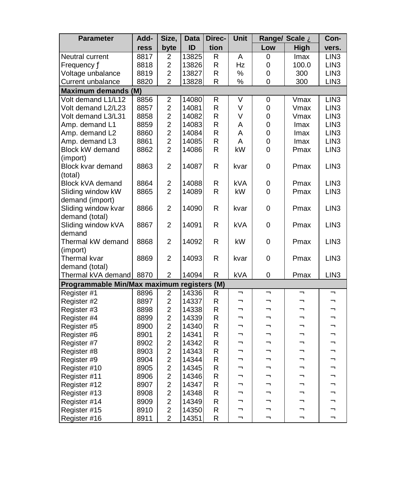| <b>Parameter</b>                           | Add- | Size,                   | <b>Data</b> | Direc- | Unit       |     | Range/ Scale A | Con-             |
|--------------------------------------------|------|-------------------------|-------------|--------|------------|-----|----------------|------------------|
|                                            | ress | byte                    | ID          | tion   |            | Low | High           | vers.            |
| Neutral current                            | 8817 | 2                       | 13825       | R      | A          | 0   | Imax           | LIN <sub>3</sub> |
| Frequency Ä                                | 8818 | 2                       | 13826       | R      | Hz         | 0   | 100.0          | LIN <sub>3</sub> |
| Voltage unbalance                          | 8819 | $\overline{c}$          | 13827       | R      | $\%$       | 0   | 300            | LIN <sub>3</sub> |
| Current unbalance                          | 8820 | $\overline{2}$          | 13828       | R      | $\%$       | 0   | 300            | LIN <sub>3</sub> |
| Maximum demands (M)                        |      |                         |             |        |            |     |                |                  |
| Volt demand L1/L12                         | 8856 | $\overline{\mathbf{c}}$ | 14080       | R      | V          | 0   | Vmax           | LIN3             |
| Volt demand L2/L23                         | 8857 | $\overline{c}$          | 14081       | R      | V          | 0   | Vmax           | LIN <sub>3</sub> |
| Volt demand L3/L31                         | 8858 | $\overline{c}$          | 14082       | R      | V          | 0   | Vmax           | LIN <sub>3</sub> |
| Amp. demand L1                             | 8859 | $\overline{c}$          | 14083       | R      | A          | 0   | Imax           | LIN <sub>3</sub> |
| Amp. demand L2                             | 8860 | $\overline{c}$          | 14084       | R      | Α          | 0   | Imax           | LIN3             |
| Amp. demand L3                             | 8861 | $\overline{c}$          | 14085       | R      | A          | 0   | Imax           | LIN <sub>3</sub> |
| Block kW demand                            | 8862 | $\overline{c}$          | 14086       | R      | kW         | 0   | Pmax           | LIN <sub>3</sub> |
| (import)                                   |      |                         |             |        |            |     |                |                  |
| Block kvar demand                          | 8863 | $\overline{c}$          | 14087       | R      | kvar       | 0   | Pmax           | LIN <sub>3</sub> |
| (total)                                    |      |                         |             |        |            |     |                |                  |
| Block kVA demand                           | 8864 | 2                       | 14088       | R      | kVA        | 0   | Pmax           | LIN <sub>3</sub> |
| Sliding window kW                          | 8865 | $\overline{c}$          | 14089       | R      | kW         | 0   | Pmax           | LIN <sub>3</sub> |
| demand (import)                            |      |                         |             |        |            |     |                |                  |
| Sliding window kvar                        | 8866 | 2                       | 14090       | R      | kvar       | 0   | Pmax           | LIN <sub>3</sub> |
| demand (total)                             |      |                         |             |        |            |     |                |                  |
| Sliding window kVA                         | 8867 | $\overline{c}$          | 14091       | R      | <b>kVA</b> | 0   | Pmax           | LIN <sub>3</sub> |
| demand                                     |      |                         |             |        |            |     |                |                  |
| Thermal kW demand                          | 8868 | 2                       | 14092       | R      | kW         | 0   | Pmax           | LIN <sub>3</sub> |
| (import)                                   |      |                         |             |        |            |     |                |                  |
| Thermal kvar                               | 8869 | $\overline{2}$          | 14093       | R      | kvar       | 0   | Pmax           | LIN <sub>3</sub> |
| demand (total)                             |      |                         |             |        |            |     |                |                  |
| Thermal kVA demand                         | 8870 | $\overline{\mathbf{c}}$ | 14094       | R      | <b>kVA</b> | 0   | Pmax           | LIN <sub>3</sub> |
| Programmable Min/Max maximum registers (M) |      |                         |             |        |            |     |                |                  |
| Register <sub>#1</sub>                     | 8896 | $\overline{\mathbf{c}}$ | 14336       | R      | Â          | Â   | Â              | Â                |
| Register #2                                | 8897 | $\overline{c}$          | 14337       | R      | Â          | Â   | Â              | Â                |
| Register #3                                | 8898 | $\overline{c}$          | 14338       | R      | Â          | Â   | Â              | Â                |
| Register #4                                | 8899 | $\overline{c}$          | 14339       | R      | Â          | Â   | Â              | Â                |
| Register #5                                | 8900 | $\overline{\mathbf{c}}$ | 14340       | R      | Â          | Â   | Â              | Â                |
| Register #6                                | 8901 | $\overline{c}$          | 14341       | R      | Â          | Â   | Â              | Â                |
| Register #7                                | 8902 | $\overline{2}$          | 14342       | R      | Â          | Â   | Â              | Â                |
| Register #8                                | 8903 | $\overline{c}$          | 14343       | R      | Â          | Â   | Â              | Â                |
| Register #9                                | 8904 | $\overline{c}$          | 14344       | R      | Â          | Â   | Â              | Â                |
| Register #10                               | 8905 | $\overline{c}$          | 14345       | R      | Â          | Â   | Â              | Â                |
| Register #11                               | 8906 | $\overline{c}$          | 14346       | R      | Â          | Â   | Â              | Â                |
| Register #12                               | 8907 | $\overline{c}$          | 14347       | R      | Â          | Â   | Â              | Â                |
| Register #13                               | 8908 | $\overline{c}$          | 14348       | R      | Â          | Â   | Â              | Â                |
| Register #14                               | 8909 | $\overline{c}$          | 14349       | R      | Â          | Â   | Â              | Â                |
| Register #15                               | 8910 | $\overline{\mathbf{c}}$ | 14350       | R      | Â          | Â   | Â              | Â                |
| Register #16                               | 8911 | $\overline{2}$          | 14351       | R      | Â          | Â   | Â              | Â                |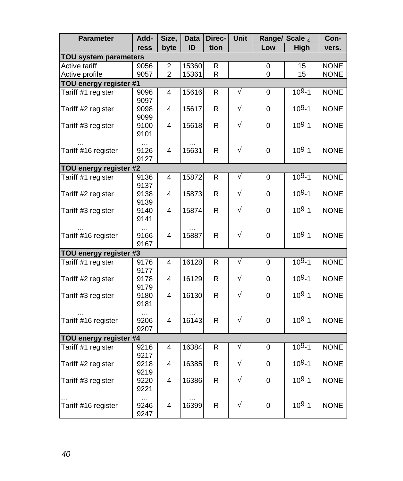| <b>Parameter</b>             | Add-                     | Size,          | <b>Data</b> | Direc-       | Unit |             | Range/ Scale A | Con-        |
|------------------------------|--------------------------|----------------|-------------|--------------|------|-------------|----------------|-------------|
|                              | ress                     | byte           | ID          | tion         |      | Low         | High           | vers.       |
| <b>TOU system parameters</b> |                          |                |             |              |      |             |                |             |
| Active tariff                | 9056                     | 2              | 15360       | R            |      | 0           | 15             | <b>NONE</b> |
| Active profile               | 9057                     | $\overline{2}$ | 15361       | $\mathsf{R}$ |      | 0           | 15             | <b>NONE</b> |
| TOU energy register #1       |                          |                |             |              |      |             |                |             |
| Tariff #1 register           | 9096<br>9097             | 4              | 15616       | R            | Ã    | 0           | $109-1$        | <b>NONE</b> |
| Tariff #2 register           | 9098                     | 4              | 15617       | $\mathsf{R}$ | Ã    | 0           | $109 - 1$      | <b>NONE</b> |
| Tariff #3 register           | 9099<br>9100<br>9101     | 4              | 15618       | $\mathsf{R}$ | Ã    | 0           | $109 - 1$      | <b>NONE</b> |
| Tariff #16 register          | <br>9126<br>9127         | 4              | 15631       | R            | Ã    | 0           | $109 - 1$      | <b>NONE</b> |
| TOU energy register #2       |                          |                |             |              |      |             |                |             |
| Tariff #1 register           | 9136<br>9137             | 4              | 15872       | $\mathsf R$  | Ã    | 0           | $109-1$        | <b>NONE</b> |
| Tariff #2 register           | 9138                     | 4              | 15873       | $\mathsf{R}$ | Ã    | 0           | $109 - 1$      | <b>NONE</b> |
| Tariff #3 register           | 9139<br>9140<br>9141     | 4              | 15874       | $\mathsf{R}$ | Ã    | 0           | $109 - 1$      | <b>NONE</b> |
| Tariff #16 register          | $\cdots$<br>9166<br>9167 | 4              | 15887       | R            | Ã    | 0           | $109 - 1$      | <b>NONE</b> |
| TOU energy register #3       |                          |                |             |              |      |             |                |             |
| Tariff #1 register           | 9176<br>9177             | 4              | 16128       | $\mathsf R$  | Ã    | 0           | $109 - 1$      | <b>NONE</b> |
| Tariff #2 register           | 9178<br>9179             | 4              | 16129       | $\mathsf R$  | Ã    | 0           | $109 - 1$      | <b>NONE</b> |
| Tariff #3 register           | 9180<br>9181             | 4              | 16130       | R            | Ã    | 0           | $109 - 1$      | <b>NONE</b> |
| Tariff #16 register          | <br>9206<br>9207         | 4              | 16143       | R            | Ã    | 0           | $109 - 1$      | <b>NONE</b> |
| TOU energy register #4       |                          |                |             |              |      |             |                |             |
| Tariff #1 register           | 9216                     | 4              | 16384       | $\mathsf R$  | Ã    | $\mathbf 0$ | $109 - 1$      | <b>NONE</b> |
| Tariff #2 register           | 9217<br>9218             | 4              | 16385       | $\mathsf{R}$ | Ã    | 0           | $109 - 1$      | <b>NONE</b> |
| Tariff #3 register           | 9219<br>9220<br>9221     | 4              | 16386       | R            | Ã    | $\mathbf 0$ | $109 - 1$      | <b>NONE</b> |
| Tariff #16 register          | 9246<br>9247             | 4              | 16399       | R            | Ã    | 0           | $109 - 1$      | <b>NONE</b> |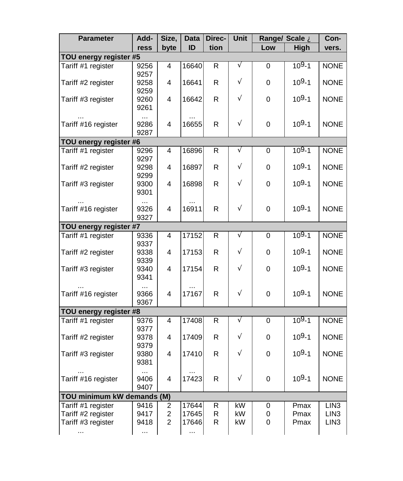| <b>Parameter</b>           | Add-                 | Size,          | <b>Data</b> | Direc-         | Unit |          | Range/ Scale À | Con-             |
|----------------------------|----------------------|----------------|-------------|----------------|------|----------|----------------|------------------|
|                            | ress                 | byte           | ID          | tion           |      | Low      | High           | vers.            |
| TOU energy register #5     |                      |                |             |                |      |          |                |                  |
| Tariff #1 register         | 9256                 | 4              | 16640       | $\mathsf{R}$   | Ã    | 0        | $109-1$        | <b>NONE</b>      |
| Tariff #2 register         | 9257<br>9258         | 4              | 16641       | R              | Ã    | $\Omega$ | $109 - 1$      | <b>NONE</b>      |
| Tariff #3 register         | 9259<br>9260         | 4              | 16642       | R              | Ã    | 0        | $109 - 1$      | <b>NONE</b>      |
|                            | 9261                 |                |             |                |      |          |                |                  |
| Tariff #16 register        | 9286<br>9287         | 4              | 16655       | R              | Ã    | 0        | $109 - 1$      | <b>NONE</b>      |
| TOU energy register #6     |                      |                |             |                |      |          |                |                  |
| Tariff #1 register         | 9296<br>9297         | 4              | 16896       | R              | Ã    | 0        | $109-1$        | <b>NONE</b>      |
| Tariff #2 register         | 9298<br>9299         | 4              | 16897       | $\mathsf R$    | Ã    | 0        | $109 - 1$      | <b>NONE</b>      |
| Tariff #3 register         | 9300                 | 4              | 16898       | R              | Ã    | $\Omega$ | $109 - 1$      | <b>NONE</b>      |
|                            | 9301                 |                |             |                |      |          |                |                  |
| Tariff #16 register        | 9326                 | 4              | 16911       | R              | Ã    | 0        | $109 - 1$      | <b>NONE</b>      |
|                            | 9327                 |                |             |                |      |          |                |                  |
| TOU energy register #7     |                      |                |             |                |      |          |                |                  |
| Tariff #1 register         | 9336<br>9337         | 4              | 17152       | R              | Ã    | 0        | $109-1$        | <b>NONE</b>      |
| Tariff #2 register         | 9338                 | 4              | 17153       | R              | Ã    | 0        | $109 - 1$      | <b>NONE</b>      |
| Tariff #3 register         | 9339<br>9340<br>9341 | 4              | 17154       | R              | Ã    | 0        | $109 - 1$      | <b>NONE</b>      |
| Tariff #16 register        | 9366<br>9367         | 4              | 17167       | R              | Ã    | 0        | $109 - 1$      | <b>NONE</b>      |
| TOU energy register #8     |                      |                |             |                |      |          |                |                  |
| Tariff #1 register         | 9376<br>9377         | 4              | 17408       | $\overline{R}$ | Ã    | 0        | $109-1$        | <b>NONE</b>      |
| Tariff #2 register         | 9378<br>9379         | 4              | 17409       | R              | Ã    | 0        | $109 - 1$      | <b>NONE</b>      |
| Tariff #3 register         | 9380<br>9381         | 4              | 17410       | R.             | Ã    | 0        | $109 - 1$      | <b>NONE</b>      |
| Tariff #16 register        | 9406<br>9407         | 4              | 17423       | R              | Ã    | 0        | $109 - 1$      | <b>NONE</b>      |
| TOU minimum kW demands (M) |                      |                |             |                |      |          |                |                  |
| Tariff #1 register         | 9416                 | 2              | 17644       | R              | kW   | 0        | Pmax           | LIN <sub>3</sub> |
| Tariff #2 register         | 9417                 | $\overline{c}$ | 17645       | R              | kW   | 0        | Pmax           | LIN <sub>3</sub> |
| Tariff #3 register         | 9418                 | $\overline{2}$ | 17646       | R              | kW   | 0        | Pmax           | LIN <sub>3</sub> |
|                            | .                    |                | .           |                |      |          |                |                  |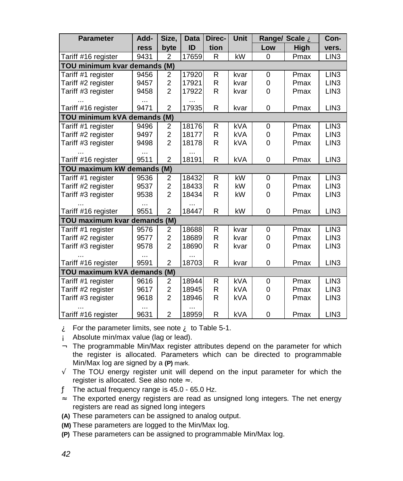| <b>Parameter</b>             | Add- | Size,                   | <b>Data</b> | Direc- | <b>Unit</b> |     | Range/ Scale A | Con-             |
|------------------------------|------|-------------------------|-------------|--------|-------------|-----|----------------|------------------|
|                              | ress | byte                    | ID          | tion   |             | Low | <b>High</b>    | vers.            |
| Tariff #16 register          | 9431 | 2                       | 17659       | R      | kW          | 0   | Pmax           | LIN <sub>3</sub> |
| TOU minimum kvar demands (M) |      |                         |             |        |             |     |                |                  |
| Tariff #1 register           | 9456 | 2                       | 17920       | R      | kvar        | 0   | Pmax           | LIN <sub>3</sub> |
| Tariff #2 register           | 9457 | $\overline{c}$          | 17921       | R      | kvar        | 0   | Pmax           | LIN <sub>3</sub> |
| Tariff #3 register           | 9458 | $\overline{2}$          | 17922       | R      | kvar        | 0   | Pmax           | LIN <sub>3</sub> |
|                              | .    |                         |             |        |             |     |                |                  |
| Tariff #16 register          | 9471 | $\overline{2}$          | 17935       | R      | kvar        | 0   | Pmax           | LIN <sub>3</sub> |
| TOU minimum kVA demands (M)  |      |                         |             |        |             |     |                |                  |
| Tariff #1 register           | 9496 | 2                       | 18176       | R      | <b>kVA</b>  | 0   | Pmax           | LIN <sub>3</sub> |
| Tariff #2 register           | 9497 | 2                       | 18177       | R      | <b>kVA</b>  | 0   | Pmax           | LIN <sub>3</sub> |
| Tariff #3 register           | 9498 | $\overline{2}$          | 18178       | R      | kVA         | 0   | Pmax           | LIN <sub>3</sub> |
|                              |      |                         |             |        |             |     |                |                  |
| Tariff #16 register          | 9511 | $\overline{2}$          | 18191       | R      | <b>kVA</b>  | 0   | Pmax           | LIN <sub>3</sub> |
| TOU maximum kW demands (M)   |      |                         |             |        |             |     |                |                  |
| Tariff #1 register           | 9536 | 2                       | 18432       | R      | kW          | 0   | Pmax           | LIN <sub>3</sub> |
| Tariff #2 register           | 9537 | $\overline{c}$          | 18433       | R      | kW          | 0   | Pmax           | LIN <sub>3</sub> |
| Tariff #3 register           | 9538 | $\overline{2}$          | 18434       | R      | kW          | 0   | Pmax           | LIN <sub>3</sub> |
|                              |      |                         |             |        |             |     |                |                  |
| Tariff #16 register          | 9551 | $\overline{2}$          | 18447       | R      | kW          | 0   | Pmax           | LIN <sub>3</sub> |
| TOU maximum kvar demands (M) |      |                         |             |        |             |     |                |                  |
| Tariff #1 register           | 9576 | 2                       | 18688       | R      | kvar        | 0   | Pmax           | LIN <sub>3</sub> |
| Tariff #2 register           | 9577 | 2                       | 18689       | R      | kvar        | 0   | Pmax           | LIN <sub>3</sub> |
| Tariff #3 register           | 9578 | 2                       | 18690       | R      | kvar        | 0   | Pmax           | LIN <sub>3</sub> |
|                              |      |                         |             |        |             |     |                |                  |
| Tariff #16 register          | 9591 | $\overline{2}$          | 18703       | R      | kvar        | 0   | Pmax           | LIN <sub>3</sub> |
| TOU maximum kVA demands      |      | (M)                     |             |        |             |     |                |                  |
| Tariff #1 register           | 9616 | $\overline{2}$          | 18944       | R      | <b>kVA</b>  | 0   | Pmax           | LIN <sub>3</sub> |
| Tariff #2 register           | 9617 | $\overline{\mathbf{c}}$ | 18945       | R      | <b>kVA</b>  | 0   | Pmax           | LIN <sub>3</sub> |
| Tariff #3 register           | 9618 | 2                       | 18946       | R      | kVA         | 0   | Pmax           | LIN <sub>3</sub> |
|                              |      |                         |             |        |             |     |                |                  |
| Tariff #16 register          | 9631 | $\overline{2}$          | 18959       | R      | kVA         | 0   | Pmax           | LIN <sub>3</sub> |

 $\mathbf{\hat{A}}$  For the parameter limits, see note  $\mathbf{\hat{A}}$  to Table 5-1.

- Á Absolute min/max value (lag or lead).
- Â The programmable Min/Max register attributes depend on the parameter for which the register is allocated. Parameters which can be directed to programmable Min/Max log are signed by a **(P)** mark.
- Ã The TOU energy register unit will depend on the input parameter for which the register is allocated. See also note Å.
- Ä The actual frequency range is 45.0 65.0 Hz.
- Å The exported energy registers are read as unsigned long integers. The net energy registers are read as signed long integers
- **(A)** These parameters can be assigned to analog output.
- **(M)** These parameters are logged to the Min/Max log.
- **(P)** These parameters can be assigned to programmable Min/Max log.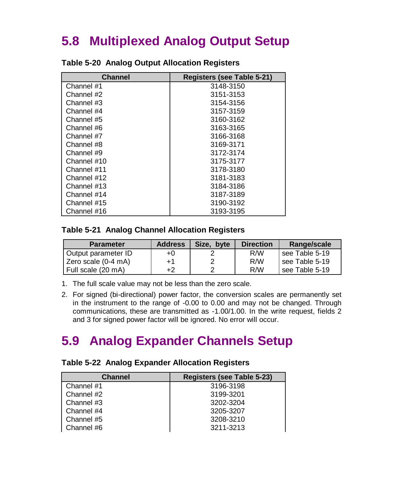# **5.8 Multiplexed Analog Output Setup**

| <b>Channel</b> | Registers (see Table 5-21) |
|----------------|----------------------------|
| Channel #1     | 3148-3150                  |
| Channel #2     | 3151-3153                  |
| Channel #3     | 3154-3156                  |
| Channel #4     | 3157-3159                  |
| Channel #5     | 3160-3162                  |
| Channel #6     | 3163-3165                  |
| Channel #7     | 3166-3168                  |
| Channel #8     | 3169-3171                  |
| Channel #9     | 3172-3174                  |
| Channel #10    | 3175-3177                  |
| Channel #11    | 3178-3180                  |
| Channel #12    | 3181-3183                  |
| Channel #13    | 3184-3186                  |
| Channel #14    | 3187-3189                  |
| Channel #15    | 3190-3192                  |
| Channel #16    | 3193-3195                  |

#### **Table 5-20 Analog Output Allocation Registers**

#### **Table 5-21 Analog Channel Allocation Registers**

| <b>Parameter</b>    | <b>Address</b> | Size, byte | <b>Direction</b> | Range/scale    |
|---------------------|----------------|------------|------------------|----------------|
| Output parameter ID | +0             |            | R/W              | see Table 5-19 |
| Zero scale (0-4 mA) | $+1$           |            | R/W              | see Table 5-19 |
| Full scale (20 mA)  | +2             |            | R/W              | see Table 5-19 |

- 1. The full scale value may not be less than the zero scale.
- 2. For signed (bi-directional) power factor, the conversion scales are permanently set in the instrument to the range of -0.00 to 0.00 and may not be changed. Through communications, these are transmitted as -1.00/1.00. In the write request, fields 2 and 3 for signed power factor will be ignored. No error will occur.

# **5.9 Analog Expander Channels Setup**

| <b>Channel</b> | <b>Registers (see Table 5-23)</b> |
|----------------|-----------------------------------|
| Channel #1     | 3196-3198                         |
| Channel #2     | 3199-3201                         |
| Channel #3     | 3202-3204                         |
| Channel #4     | 3205-3207                         |
| Channel #5     | 3208-3210                         |
| Channel #6     | 3211-3213                         |

#### **Table 5-22 Analog Expander Allocation Registers**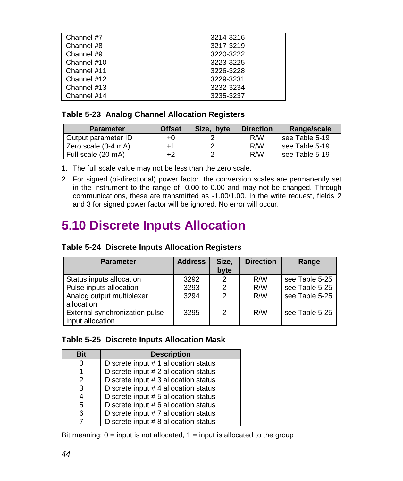| Channel #7  | 3214-3216 |
|-------------|-----------|
| Channel #8  | 3217-3219 |
| Channel #9  | 3220-3222 |
| Channel #10 | 3223-3225 |
| Channel #11 | 3226-3228 |
| Channel #12 | 3229-3231 |
| Channel #13 | 3232-3234 |
| Channel #14 | 3235-3237 |

#### **Table 5-23 Analog Channel Allocation Registers**

| <b>Parameter</b>    | <b>Offset</b> | Size.<br>byte | <b>Direction</b> | Range/scale    |
|---------------------|---------------|---------------|------------------|----------------|
| Output parameter ID | +0            |               | R/W              | see Table 5-19 |
| Zero scale (0-4 mA) | +1            | ◠             | R/W              | see Table 5-19 |
| Full scale (20 mA)  | +2            |               | R/W              | see Table 5-19 |

1. The full scale value may not be less than the zero scale.

2. For signed (bi-directional) power factor, the conversion scales are permanently set in the instrument to the range of -0.00 to 0.00 and may not be changed. Through communications, these are transmitted as -1.00/1.00. In the write request, fields 2 and 3 for signed power factor will be ignored. No error will occur.

# **5.10 Discrete Inputs Allocation**

| Table 5-24 Discrete Inputs Allocation Registers |  |  |
|-------------------------------------------------|--|--|
|                                                 |  |  |

| <b>Parameter</b>               | <b>Address</b> | Size,<br>byte  | <b>Direction</b> | Range          |
|--------------------------------|----------------|----------------|------------------|----------------|
| Status inputs allocation       | 3292           | 2              | R/W              | see Table 5-25 |
| Pulse inputs allocation        | 3293           | 2              | R/W              | see Table 5-25 |
| Analog output multiplexer      | 3294           | $\overline{2}$ | R/W              | see Table 5-25 |
| allocation                     |                |                |                  |                |
| External synchronization pulse | 3295           | 2              | R/W              | see Table 5-25 |
| input allocation               |                |                |                  |                |

#### **Table 5-25 Discrete Inputs Allocation Mask**

| <b>Bit</b>    | <b>Description</b>                   |
|---------------|--------------------------------------|
| 0             | Discrete input # 1 allocation status |
|               | Discrete input # 2 allocation status |
| $\mathcal{P}$ | Discrete input # 3 allocation status |
| 3             | Discrete input # 4 allocation status |
| 4             | Discrete input # 5 allocation status |
| 5             | Discrete input # 6 allocation status |
| 6             | Discrete input #7 allocation status  |
|               | Discrete input # 8 allocation status |

Bit meaning:  $0 =$  input is not allocated,  $1 =$  input is allocated to the group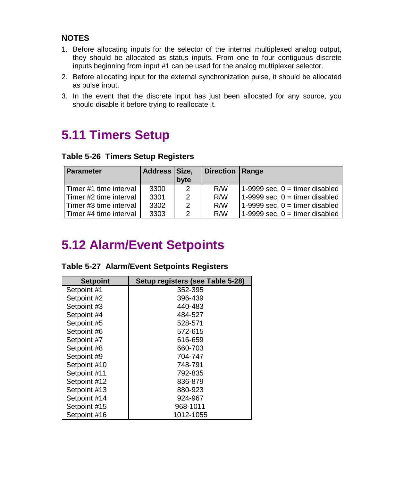#### **NOTES**

- 1. Before allocating inputs for the selector of the internal multiplexed analog output, they should be allocated as status inputs. From one to four contiguous discrete inputs beginning from input #1 can be used for the analog multiplexer selector.
- 2. Before allocating input for the external synchronization pulse, it should be allocated as pulse input.
- 3. In the event that the discrete input has just been allocated for any source, you should disable it before trying to reallocate it.

# **5.11 Timers Setup**

**Table 5-26 Timers Setup Registers**

| <b>Parameter</b>         | Address Size. |      | <b>Direction Range</b> |                                  |
|--------------------------|---------------|------|------------------------|----------------------------------|
|                          |               | byte |                        |                                  |
| Timer #1 time interval   | 3300          | 2    | R/W                    | 1-9999 sec, $0 =$ timer disabled |
| l Timer #2 time interval | 3301          | 2    | R/W                    | 1-9999 sec, $0 =$ timer disabled |
| l Timer #3 time interval | 3302          | 2    | R/W                    | 1-9999 sec, $0 =$ timer disabled |
| Timer #4 time interval   | 3303          | 2    | R/W                    | 1-9999 sec, $0 =$ timer disabled |

# **5.12 Alarm/Event Setpoints**

| <b>Setpoint</b> | Setup registers (see Table 5-28) |
|-----------------|----------------------------------|
| Setpoint #1     | 352-395                          |
| Setpoint #2     | 396-439                          |
| Setpoint #3     | 440-483                          |
| Setpoint #4     | 484-527                          |
| Setpoint #5     | 528-571                          |
| Setpoint #6     | 572-615                          |
| Setpoint #7     | 616-659                          |
| Setpoint #8     | 660-703                          |
| Setpoint #9     | 704-747                          |
| Setpoint #10    | 748-791                          |
| Setpoint #11    | 792-835                          |
| Setpoint #12    | 836-879                          |
| Setpoint #13    | 880-923                          |
| Setpoint #14    | 924-967                          |
| Setpoint #15    | 968-1011                         |
| Setpoint #16    | 1012-1055                        |

|  | Table 5-27 Alarm/Event Setpoints Registers |  |  |
|--|--------------------------------------------|--|--|
|--|--------------------------------------------|--|--|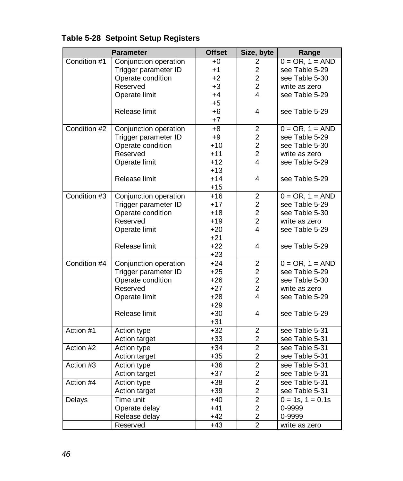|              | <b>Parameter</b>      | <b>Offset</b> | Size, byte              | Range                |
|--------------|-----------------------|---------------|-------------------------|----------------------|
| Condition #1 | Conjunction operation | $+0$          | 2                       | $0 = OR$ , $1 = AND$ |
|              | Trigger parameter ID  | $+1$          | $\overline{c}$          | see Table 5-29       |
|              | Operate condition     | $+2$          | $\overline{2}$          | see Table 5-30       |
|              | Reserved              | $+3$          | $\overline{2}$          | write as zero        |
|              | Operate limit         | $+4$          | 4                       | see Table 5-29       |
|              |                       | $+5$          |                         |                      |
|              | Release limit         | $+6$          | 4                       | see Table 5-29       |
|              |                       | $+7$          |                         |                      |
| Condition #2 | Conjunction operation | $+8$          | $\boldsymbol{2}$        | $0 = OR$ , $1 = AND$ |
|              | Trigger parameter ID  | $+9$          | $\overline{c}$          | see Table 5-29       |
|              | Operate condition     | $+10$         | $\overline{c}$          | see Table 5-30       |
|              | Reserved              | $+11$         | $\overline{2}$          | write as zero        |
|              | Operate limit         | $+12$         | 4                       | see Table 5-29       |
|              |                       | $+13$         |                         |                      |
|              | Release limit         | $+14$         | 4                       | see Table 5-29       |
|              |                       | $+15$         |                         |                      |
| Condition #3 | Conjunction operation | $+16$         | $\boldsymbol{2}$        | $0 = OR, 1 = AND$    |
|              | Trigger parameter ID  | $+17$         | $\overline{c}$          | see Table 5-29       |
|              | Operate condition     | $+18$         | $\overline{c}$          | see Table 5-30       |
|              | Reserved              | $+19$         | $\overline{2}$          | write as zero        |
|              | Operate limit         | $+20$         | 4                       | see Table 5-29       |
|              |                       | $+21$         |                         |                      |
|              | Release limit         | $+22$         | 4                       | see Table 5-29       |
|              |                       | $+23$         |                         |                      |
| Condition #4 | Conjunction operation | $+24$         | $\overline{\mathbf{c}}$ | $0 = OR$ , $1 = AND$ |
|              | Trigger parameter ID  | $+25$         | $\overline{c}$          | see Table 5-29       |
|              | Operate condition     | $+26$         | $\overline{c}$          | see Table 5-30       |
|              | Reserved              | $+27$         | $\overline{2}$          | write as zero        |
|              | Operate limit         | $+28$         | 4                       | see Table 5-29       |
|              |                       | $+29$         |                         |                      |
|              | Release limit         | $+30$         | 4                       | see Table 5-29       |
|              |                       | $+31$         |                         |                      |
| Action #1    | Action type           | $+32$         | $\overline{c}$          | see Table 5-31       |
|              | Action target         | $+33$         | $\overline{c}$          | see Table 5-31       |
| Action #2    | Action type           | $+34$         | $\overline{2}$          | see Table 5-31       |
|              | Action target         | $+35$         | $\overline{c}$          | see Table 5-31       |
| Action #3    | Action type           | $+36$         | $\overline{2}$          | see Table 5-31       |
|              | Action target         | $+37$         | $\overline{c}$          | see Table 5-31       |
| Action #4    | Action type           | $+38$         | $\overline{2}$          | see Table 5-31       |
|              | Action target         | $+39$         | $\overline{\mathbf{c}}$ | see Table 5-31       |
| Delays       | Time unit             | $+40$         | $\overline{2}$          | $0 = 1s, 1 = 0.1s$   |
|              | Operate delay         | $+41$         | $\overline{c}$          | 0-9999               |
|              | Release delay         | $+42$         | $\overline{c}$          | 0-9999               |
|              | Reserved              | $+43$         | $\overline{2}$          | write as zero        |

### **Table 5-28 Setpoint Setup Registers**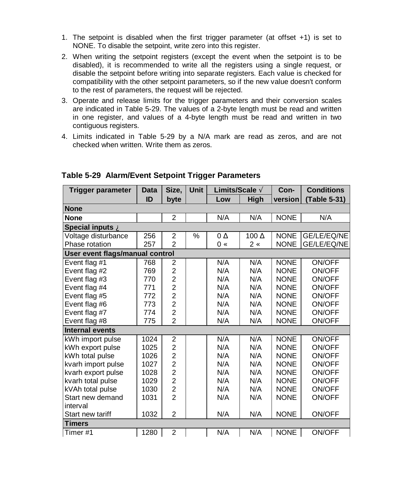- 1. The setpoint is disabled when the first trigger parameter (at offset +1) is set to NONE. To disable the setpoint, write zero into this register.
- 2. When writing the setpoint registers (except the event when the setpoint is to be disabled), it is recommended to write all the registers using a single request, or disable the setpoint before writing into separate registers. Each value is checked for compatibility with the other setpoint parameters, so if the new value doesn't conform to the rest of parameters, the request will be rejected.
- 3. Operate and release limits for the trigger parameters and their conversion scales are indicated in Table 5-29. The values of a 2-byte length must be read and written in one register, and values of a 4-byte length must be read and written in two contiguous registers.
- 4. Limits indicated in Table 5-29 by a N/A mark are read as zeros, and are not checked when written. Write them as zeros.

| <b>Trigger parameter</b>        | <b>Data</b> | Size,          | <b>Unit</b> | Limits/Scale A        |                  | Con-        | <b>Conditions</b> |
|---------------------------------|-------------|----------------|-------------|-----------------------|------------------|-------------|-------------------|
|                                 | ID          | byte           |             | Low                   | High             | version     | Table 5-31)       |
| <b>None</b>                     |             |                |             |                       |                  |             |                   |
| <b>None</b>                     |             | $\overline{2}$ |             | N/A                   | N/A              | <b>NONE</b> | N/A               |
| Special inputs A                |             |                |             |                       |                  |             |                   |
| Voltage disturbance             | 256         | $\overline{2}$ | $\%$        | $0 \nightharpoonup E$ | 100 $AE$         | <b>NONE</b> | GE/LE/EQ/NE       |
| Phase rotation                  | 257         | $\overline{2}$ |             | $0 \subset$           | $2 \, \varsigma$ | <b>NONE</b> | GE/LE/EQ/NE       |
| User event flags/manual control |             |                |             |                       |                  |             |                   |
| Event flag #1                   | 768         | 2              |             | N/A                   | N/A              | <b>NONE</b> | ON/OFF            |
| Event flag #2                   | 769         | $\overline{2}$ |             | N/A                   | N/A              | <b>NONE</b> | ON/OFF            |
| Event flag #3                   | 770         | $\overline{2}$ |             | N/A                   | N/A              | <b>NONE</b> | ON/OFF            |
| Event flag #4                   | 771         | $\overline{2}$ |             | N/A                   | N/A              | <b>NONE</b> | ON/OFF            |
| Event flag #5                   | 772         | $\overline{2}$ |             | N/A                   | N/A              | <b>NONE</b> | ON/OFF            |
| Event flag #6                   | 773         | $\overline{2}$ |             | N/A                   | N/A              | <b>NONE</b> | ON/OFF            |
| Event flag #7                   | 774         | $\overline{2}$ |             | N/A                   | N/A              | <b>NONE</b> | ON/OFF            |
| Event flag #8                   | 775         | $\overline{2}$ |             | N/A                   | N/A              | <b>NONE</b> | ON/OFF            |
| <b>Internal events</b>          |             |                |             |                       |                  |             |                   |
| kWh import pulse                | 1024        | $\overline{2}$ |             | N/A                   | N/A              | <b>NONE</b> | ON/OFF            |
| kWh export pulse                | 1025        | $\overline{2}$ |             | N/A                   | N/A              | <b>NONE</b> | ON/OFF            |
| kWh total pulse                 | 1026        | $\overline{c}$ |             | N/A                   | N/A              | <b>NONE</b> | ON/OFF            |
| kvarh import pulse              | 1027        | $\overline{c}$ |             | N/A                   | N/A              | <b>NONE</b> | ON/OFF            |
| kvarh export pulse              | 1028        | $\overline{2}$ |             | N/A                   | N/A              | <b>NONE</b> | ON/OFF            |
| kvarh total pulse               | 1029        | $\overline{2}$ |             | N/A                   | N/A              | <b>NONE</b> | ON/OFF            |
| kVAh total pulse                | 1030        | $\overline{2}$ |             | N/A                   | N/A              | <b>NONE</b> | ON/OFF            |
| Start new demand                | 1031        | $\overline{2}$ |             | N/A                   | N/A              | <b>NONE</b> | ON/OFF            |
| interval                        |             |                |             |                       |                  |             |                   |
| Start new tariff                | 1032        | $\overline{2}$ |             | N/A                   | N/A              | <b>NONE</b> | ON/OFF            |
| <b>Timers</b>                   |             |                |             |                       |                  |             |                   |
| Timer #1                        | 1280        | $\overline{2}$ |             | N/A                   | N/A              | <b>NONE</b> | ON/OFF            |

#### **Table 5-29 Alarm/Event Setpoint Trigger Parameters**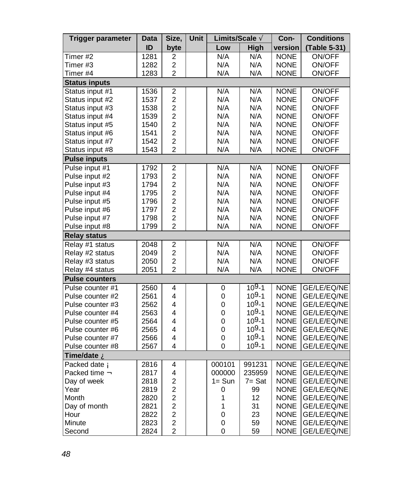| <b>Trigger parameter</b> | Data | Size,                   | Unit | Limits/Scale A |           | Con-        | <b>Conditions</b> |
|--------------------------|------|-------------------------|------|----------------|-----------|-------------|-------------------|
|                          | ID   | byte                    |      | Low            | High      | version     | (Table 5-31)      |
| Timer $#2$               | 1281 | $\overline{c}$          |      | N/A            | N/A       | <b>NONE</b> | ON/OFF            |
| Timer #3                 | 1282 | $\overline{c}$          |      | N/A            | N/A       | <b>NONE</b> | ON/OFF            |
| Timer #4                 | 1283 | $\overline{c}$          |      | N/A            | N/A       | <b>NONE</b> | ON/OFF            |
| <b>Status inputs</b>     |      |                         |      |                |           |             |                   |
| Status input #1          | 1536 | $\overline{2}$          |      | N/A            | N/A       | <b>NONE</b> | <b>ON/OFF</b>     |
| Status input #2          | 1537 | $\overline{c}$          |      | N/A            | N/A       | <b>NONE</b> | ON/OFF            |
| Status input #3          | 1538 | $\overline{c}$          |      | N/A            | N/A       | <b>NONE</b> | ON/OFF            |
| Status input #4          | 1539 | $\overline{c}$          |      | N/A            | N/A       | <b>NONE</b> | ON/OFF            |
| Status input #5          | 1540 | $\overline{c}$          |      | N/A            | N/A       | <b>NONE</b> | ON/OFF            |
| Status input #6          | 1541 | $\overline{c}$          |      | N/A            | N/A       | <b>NONE</b> | ON/OFF            |
| Status input #7          | 1542 | $\overline{c}$          |      | N/A            | N/A       | <b>NONE</b> | ON/OFF            |
| Status input #8          | 1543 | $\overline{2}$          |      | N/A            | N/A       | <b>NONE</b> | ON/OFF            |
| <b>Pulse inputs</b>      |      |                         |      |                |           |             |                   |
| Pulse input #1           | 1792 | $\overline{c}$          |      | N/A            | N/A       | <b>NONE</b> | ON/OFF            |
| Pulse input #2           | 1793 | $\overline{c}$          |      | N/A            | N/A       | <b>NONE</b> | ON/OFF            |
| Pulse input #3           | 1794 | $\overline{c}$          |      | N/A            | N/A       | <b>NONE</b> | ON/OFF            |
| Pulse input #4           | 1795 | $\overline{c}$          |      | N/A            | N/A       | <b>NONE</b> | ON/OFF            |
| Pulse input #5           | 1796 | $\overline{c}$          |      | N/A            | N/A       | <b>NONE</b> | ON/OFF            |
| Pulse input #6           | 1797 | $\overline{c}$          |      | N/A            | N/A       | <b>NONE</b> | ON/OFF            |
| Pulse input #7           | 1798 | $\overline{c}$          |      | N/A            | N/A       | <b>NONE</b> | <b>ON/OFF</b>     |
| Pulse input #8           | 1799 | $\overline{2}$          |      | N/A            | N/A       | <b>NONE</b> | ON/OFF            |
| <b>Relay status</b>      |      |                         |      |                |           |             |                   |
| Relay #1 status          | 2048 | 2                       |      | N/A            | N/A       | <b>NONE</b> | ON/OFF            |
| Relay #2 status          | 2049 | $\overline{c}$          |      | N/A            | N/A       | <b>NONE</b> | ON/OFF            |
| Relay #3 status          | 2050 | $\overline{c}$          |      | N/A            | N/A       | <b>NONE</b> | ON/OFF            |
| Relay #4 status          | 2051 | $\overline{c}$          |      | N/A            | N/A       | <b>NONE</b> | ON/OFF            |
| <b>Pulse counters</b>    |      |                         |      |                |           |             |                   |
| Pulse counter #1         | 2560 | 4                       |      | 0              | $109 - 1$ | <b>NONE</b> | GE/LE/EQ/NE       |
| Pulse counter #2         | 2561 | $\overline{\mathbf{4}}$ |      | 0              | $109 - 1$ | <b>NONE</b> | GE/LE/EQ/NE       |
| Pulse counter #3         | 2562 | 4                       |      | $\pmb{0}$      | $109 - 1$ | <b>NONE</b> | GE/LE/EQ/NE       |
| Pulse counter #4         | 2563 | 4                       |      | 0              | $109 - 1$ | <b>NONE</b> | GE/LE/EQ/NE       |
| Pulse counter #5         | 2564 | 4                       |      | 0              | $109 - 1$ | <b>NONE</b> | GE/LE/EQ/NE       |
| Pulse counter #6         | 2565 | 4                       |      | 0              | $109 - 1$ | <b>NONE</b> | GE/LE/EQ/NE       |
| Pulse counter #7         | 2566 | 4                       |      | $\pmb{0}$      | $109 - 1$ | <b>NONE</b> | GE/LE/EQ/NE       |
| Pulse counter #8         | 2567 | 4                       |      | $\Omega$       | $109 - 1$ | <b>NONE</b> | GE/LE/EQ/NE       |
| Time/date A              |      |                         |      |                |           |             |                   |
| Packed date Á            | 2816 | 4                       |      | 000101         | 991231    | <b>NONE</b> | GE/LE/EQ/NE       |
| Packed time $\hat{A}$    | 2817 | 4                       |      | 000000         | 235959    | <b>NONE</b> | GE/LE/EQ/NE       |
| Day of week              | 2818 | $\overline{c}$          |      | $1 = Sun$      | $7 = Sat$ | <b>NONE</b> | GE/LE/EQ/NE       |
| Year                     | 2819 | $\overline{c}$          |      | 0              | 99        | <b>NONE</b> | GE/LE/EQ/NE       |
| Month                    | 2820 | $\overline{c}$          |      | 1              | 12        | <b>NONE</b> | GE/LE/EQ/NE       |
| Day of month             | 2821 | $\overline{c}$          |      | 1              | 31        | <b>NONE</b> | GE/LE/EQ/NE       |
| Hour                     | 2822 | $\overline{c}$          |      | $\mathbf 0$    | 23        | <b>NONE</b> | GE/LE/EQ/NE       |
| Minute                   | 2823 | $\overline{c}$          |      | 0              | 59        | <b>NONE</b> | GE/LE/EQ/NE       |
| Second                   | 2824 | $\overline{c}$          |      | $\mathbf 0$    | 59        | <b>NONE</b> | GE/LE/EQ/NE       |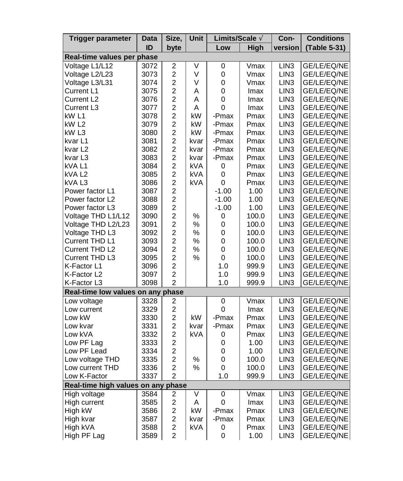| Trigger parameter                  | Data | Size,                   | Unit | Limits/Scale A |       | Con-             | <b>Conditions</b> |
|------------------------------------|------|-------------------------|------|----------------|-------|------------------|-------------------|
|                                    | ID   | byte                    |      | Low            | High  | version          | (Table 5-31)      |
| Real-time values per phase         |      |                         |      |                |       |                  |                   |
| Voltage L1/L12                     | 3072 | $\overline{\mathbf{c}}$ | ٧    | 0              | Vmax  | LIN <sub>3</sub> | GE/LE/EQ/NE       |
| Voltage L2/L23                     | 3073 | $\overline{c}$          | V    | 0              | Vmax  | LIN <sub>3</sub> | GE/LE/EQ/NE       |
| Voltage L3/L31                     | 3074 | $\overline{c}$          | V    | $\pmb{0}$      | Vmax  | LIN <sub>3</sub> | GE/LE/EQ/NE       |
| Current L1                         | 3075 | $\overline{c}$          | A    | 0              | Imax  | LIN <sub>3</sub> | GE/LE/EQ/NE       |
| Current L <sub>2</sub>             | 3076 | $\overline{c}$          | A    | 0              | lmax  | LIN <sub>3</sub> | GE/LE/EQ/NE       |
| Current L <sub>3</sub>             | 3077 | $\overline{c}$          | A    | 0              | Imax  | LIN <sub>3</sub> | GE/LE/EQ/NE       |
| kW L1                              | 3078 | $\overline{2}$          | kW   | -Pmax          | Pmax  | LIN <sub>3</sub> | GE/LE/EQ/NE       |
| kW L2                              | 3079 | $\overline{c}$          | kW   | -Pmax          | Pmax  | LIN <sub>3</sub> | GE/LE/EQ/NE       |
| kW L3                              | 3080 | $\overline{c}$          | kW   | -Pmax          | Pmax  | LIN <sub>3</sub> | GE/LE/EQ/NE       |
| kvar L1                            | 3081 | $\overline{c}$          | kvar | -Pmax          | Pmax  | LIN <sub>3</sub> | GE/LE/EQ/NE       |
| kvar <sub>L2</sub>                 | 3082 | $\overline{c}$          | kvar | -Pmax          | Pmax  | LIN <sub>3</sub> | GE/LE/EQ/NE       |
| kvar L3                            | 3083 | $\overline{c}$          | kvar | -Pmax          | Pmax  | LIN <sub>3</sub> | GE/LE/EQ/NE       |
| kVA L1                             | 3084 | $\overline{c}$          | kVA  | 0              | Pmax  | LIN <sub>3</sub> | GE/LE/EQ/NE       |
| kVA L2                             | 3085 | $\overline{c}$          | kVA  | 0              | Pmax  | LIN <sub>3</sub> | GE/LE/EQ/NE       |
| kVA L3                             | 3086 | $\boldsymbol{2}$        | kVA  | 0              | Pmax  | LIN <sub>3</sub> | GE/LE/EQ/NE       |
| Power factor L1                    | 3087 | $\overline{2}$          |      | $-1.00$        | 1.00  | LIN <sub>3</sub> | GE/LE/EQ/NE       |
| Power factor L2                    | 3088 | $\overline{c}$          |      | -1.00          | 1.00  | LIN <sub>3</sub> | GE/LE/EQ/NE       |
| Power factor L3                    | 3089 | $\overline{c}$          |      | $-1.00$        | 1.00  | LIN <sub>3</sub> | GE/LE/EQ/NE       |
| Voltage THD L1/L12                 | 3090 | $\overline{c}$          | %    | 0              | 100.0 | LIN <sub>3</sub> | GE/LE/EQ/NE       |
| Voltage THD L2/L23                 | 3091 | $\overline{c}$          | %    | 0              | 100.0 | LIN <sub>3</sub> | GE/LE/EQ/NE       |
| Voltage THD L3                     | 3092 | $\overline{c}$          | %    | 0              | 100.0 | LIN <sub>3</sub> | GE/LE/EQ/NE       |
| Current THD L1                     | 3093 | $\overline{c}$          | %    | 0              | 100.0 | LIN <sub>3</sub> | GE/LE/EQ/NE       |
| Current THD L2                     | 3094 | $\overline{c}$          | %    | 0              | 100.0 | LIN <sub>3</sub> | GE/LE/EQ/NE       |
| Current THD L3                     | 3095 | $\overline{c}$          | $\%$ | 0              | 100.0 | LIN <sub>3</sub> | GE/LE/EQ/NE       |
| K-Factor L1                        | 3096 | $\overline{c}$          |      | 1.0            | 999.9 | LIN <sub>3</sub> | GE/LE/EQ/NE       |
| K-Factor L2                        | 3097 | $\overline{c}$          |      | 1.0            | 999.9 | LIN <sub>3</sub> | GE/LE/EQ/NE       |
| K-Factor L3                        | 3098 | $\overline{2}$          |      | 1.0            | 999.9 | LIN <sub>3</sub> | GE/LE/EQ/NE       |
| Real-time low values on any phase  |      |                         |      |                |       |                  |                   |
| Low voltage                        | 3328 | 2                       |      | 0              | Vmax  | LIN <sub>3</sub> | GE/LE/EQ/NE       |
| Low current                        | 3329 | $\overline{c}$          |      | 0              | Imax  | LIN <sub>3</sub> | GE/LE/EQ/NE       |
| Low kW                             | 3330 | $\overline{c}$          | kW   | -Pmax          | Pmax  | LIN <sub>3</sub> | GE/LE/EQ/NE       |
| Low kvar                           | 3331 | $\overline{c}$          | kvar | -Pmax          | Pmax  | LIN <sub>3</sub> | GE/LE/EQ/NE       |
| Low kVA                            | 3332 | $\overline{c}$          | kVA  | 0              | Pmax  | LIN <sub>3</sub> | GE/LE/EQ/NE       |
| Low PF Lag                         | 3333 | $\overline{c}$          |      | 0              | 1.00  | LIN <sub>3</sub> | GE/LE/EQ/NE       |
| Low PF Lead                        | 3334 | $\overline{c}$          |      | 0              | 1.00  | LIN <sub>3</sub> | GE/LE/EQ/NE       |
| Low voltage THD                    | 3335 | $\overline{c}$          | %    | 0              | 100.0 | LIN <sub>3</sub> | GE/LE/EQ/NE       |
| Low current THD                    | 3336 | $\overline{c}$          | $\%$ | 0              | 100.0 | LIN <sub>3</sub> | GE/LE/EQ/NE       |
| Low K-Factor                       | 3337 | $\overline{2}$          |      | 1.0            | 999.9 | LIN <sub>3</sub> | GE/LE/EQ/NE       |
| Real-time high values on any phase |      |                         |      |                |       |                  |                   |
| High voltage                       | 3584 | 2                       | ٧    | 0              | Vmax  | LIN <sub>3</sub> | GE/LE/EQ/NE       |
| High current                       | 3585 | $\overline{c}$          | A    | 0              | Imax  | LIN <sub>3</sub> | GE/LE/EQ/NE       |
| High kW                            | 3586 | $\overline{c}$          | kW   | -Pmax          | Pmax  | LIN <sub>3</sub> | GE/LE/EQ/NE       |
| High kvar                          | 3587 | $\overline{c}$          | kvar | -Pmax          | Pmax  | LIN <sub>3</sub> | GE/LE/EQ/NE       |
| High kVA                           | 3588 | $\overline{c}$          | kVA  | 0              | Pmax  | LIN <sub>3</sub> | GE/LE/EQ/NE       |
| High PF Lag                        | 3589 | $\overline{2}$          |      | 0              | 1.00  | LIN <sub>3</sub> | GE/LE/EQ/NE       |
|                                    |      |                         |      |                |       |                  |                   |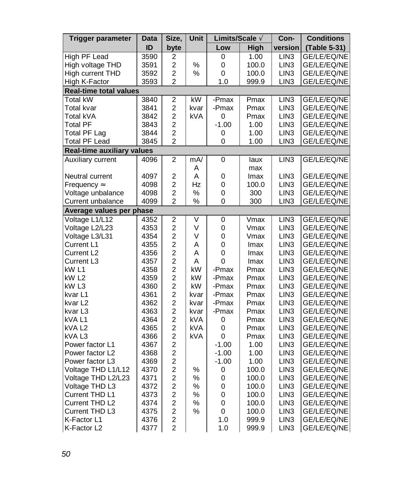| <b>Trigger parameter</b>          | Data | Size,                   | Unit | Limits/Scale Ã |                    | Con-             | <b>Conditions</b> |
|-----------------------------------|------|-------------------------|------|----------------|--------------------|------------------|-------------------|
|                                   | ID   | byte                    |      | Low            | High               | version          | (Table 5-31)      |
| High PF Lead                      | 3590 | 2                       |      | 0              | 1.00               | LIN <sub>3</sub> | GE/LE/EQ/NE       |
| High voltage THD                  | 3591 | $\overline{c}$          | %    | 0              | 100.0              | LIN <sub>3</sub> | GE/LE/EQ/NE       |
| High current THD                  | 3592 | $\overline{c}$          | %    | 0              | 100.0              | LIN <sub>3</sub> | GE/LE/EQ/NE       |
| High K-Factor                     | 3593 | $\overline{2}$          |      | 1.0            | 999.9              | LIN <sub>3</sub> | GE/LE/EQ/NE       |
| <b>Real-time total values</b>     |      |                         |      |                |                    |                  |                   |
| <b>Total kW</b>                   | 3840 | $\overline{c}$          | kW   | -Pmax          | Pmax               | LIN <sub>3</sub> | GE/LE/EQ/NE       |
| Total kvar                        | 3841 | $\overline{2}$          | kvar | -Pmax          | Pmax               | LIN <sub>3</sub> | GE/LE/EQ/NE       |
| Total kVA                         | 3842 | $\overline{c}$          | kVA  | 0              | Pmax               | LIN <sub>3</sub> | GE/LE/EQ/NE       |
| <b>Total PF</b>                   | 3843 | $\overline{2}$          |      | $-1.00$        | 1.00               | LIN <sub>3</sub> | GE/LE/EQ/NE       |
| Total PF Lag                      | 3844 | $\overline{c}$          |      | 0              | 1.00               | LIN <sub>3</sub> | GE/LE/EQ/NE       |
| <b>Total PF Lead</b>              | 3845 | $\overline{2}$          |      | 0              | 1.00               | LIN <sub>3</sub> | GE/LE/EQ/NE       |
| <b>Real-time auxiliary values</b> |      |                         |      |                |                    |                  |                   |
| Auxiliary current                 | 4096 | $\overline{c}$          | mA/  | 0              | laux               | LIN <sub>3</sub> | GE/LE/EQ/NE       |
|                                   |      |                         | Α    |                | max                |                  |                   |
| Neutral current                   | 4097 | $\overline{\mathbf{c}}$ | A    | 0              | Imax               | LIN <sub>3</sub> | GE/LE/EQ/NE       |
| Frequency Å                       | 4098 | $\overline{\mathbf{c}}$ | Hz   | 0              | 100.0              | LIN <sub>3</sub> | GE/LE/EQ/NE       |
| Voltage unbalance                 | 4098 | $\overline{c}$          | %    | 0              | 300                | LIN <sub>3</sub> | GE/LE/EQ/NE       |
| Current unbalance                 | 4099 | $\overline{c}$          | $\%$ | 0              | 300                | LIN <sub>3</sub> | GE/LE/EQ/NE       |
| Average values per phase          |      |                         |      |                |                    |                  |                   |
| Voltage L1/L12                    | 4352 | $\overline{\mathbf{c}}$ | ٧    | 0              | $\overline{V}$ max | LIN <sub>3</sub> | GE/LE/EQ/NE       |
| Voltage L2/L23                    | 4353 | $\overline{\mathbf{c}}$ | ٧    | $\mathbf 0$    | Vmax               | LIN <sub>3</sub> | GE/LE/EQ/NE       |
| Voltage L3/L31                    | 4354 | $\overline{\mathbf{c}}$ | ٧    | 0              | Vmax               | LIN <sub>3</sub> | GE/LE/EQ/NE       |
| Current L1                        | 4355 | $\overline{\mathbf{c}}$ | A    | 0              | Imax               | LIN <sub>3</sub> | GE/LE/EQ/NE       |
| Current L2                        | 4356 | $\overline{c}$          | A    | 0              | Imax               | LIN <sub>3</sub> | GE/LE/EQ/NE       |
| Current L3                        | 4357 | $\overline{c}$          | A    | 0              | Imax               | LIN <sub>3</sub> | GE/LE/EQ/NE       |
| kW L1                             | 4358 | $\overline{c}$          | kW   | -Pmax          | Pmax               | LIN <sub>3</sub> | GE/LE/EQ/NE       |
| kW L2                             | 4359 | $\overline{c}$          | kW   | -Pmax          | Pmax               | LIN <sub>3</sub> | GE/LE/EQ/NE       |
| kW <sub>L3</sub>                  | 4360 | $\overline{\mathbf{c}}$ | kW   | -Pmax          | Pmax               | LIN <sub>3</sub> | GE/LE/EQ/NE       |
| kvar L1                           | 4361 | $\overline{c}$          | kvar | -Pmax          | Pmax               | LIN <sub>3</sub> | GE/LE/EQ/NE       |
| kvar L2                           | 4362 | $\overline{\mathbf{c}}$ | kvar | -Pmax          | Pmax               | LIN <sub>3</sub> | GE/LE/EQ/NE       |
| kvar L3                           | 4363 | $\overline{c}$          | kvar | -Pmax          | Pmax               | LIN <sub>3</sub> | GE/LE/EQ/NE       |
| kVA L1                            | 4364 | $\overline{a}$          | kVA  | 0              | Pmax               | LIN <sub>3</sub> | GE/LE/EQ/NE       |
| kVA L2                            | 4365 | $\overline{c}$          | kVA  | 0              | Pmax               | LIN <sub>3</sub> | GE/LE/EQ/NE       |
| kVA L3                            | 4366 | $\overline{c}$          | kVA  | 0              | Pmax               | LIN <sub>3</sub> | GE/LE/EQ/NE       |
| Power factor L1                   | 4367 | $\overline{c}$          |      | $-1.00$        | 1.00               | LIN <sub>3</sub> | GE/LE/EQ/NE       |
| Power factor L2                   | 4368 | $\overline{c}$          |      | $-1.00$        | 1.00               | LIN <sub>3</sub> | GE/LE/EQ/NE       |
| Power factor L3                   | 4369 | $\overline{c}$          |      | $-1.00$        | 1.00               | LIN <sub>3</sub> | GE/LE/EQ/NE       |
| Voltage THD L1/L12                | 4370 | $\overline{c}$          | $\%$ | 0              | 100.0              | LIN <sub>3</sub> | GE/LE/EQ/NE       |
| Voltage THD L2/L23                | 4371 | $\overline{c}$          | %    | 0              | 100.0              | LIN <sub>3</sub> | GE/LE/EQ/NE       |
| Voltage THD L3                    | 4372 | $\overline{c}$          | ℅    | 0              | 100.0              | LIN <sub>3</sub> | GE/LE/EQ/NE       |
| Current THD L1                    | 4373 | $\overline{c}$          | %    | 0              | 100.0              | LIN <sub>3</sub> | GE/LE/EQ/NE       |
| Current THD L2                    | 4374 | $\overline{\mathbf{c}}$ | ℅    | 0              | 100.0              | LIN <sub>3</sub> | GE/LE/EQ/NE       |
| Current THD L3                    | 4375 | $\overline{c}$          | %    | 0              | 100.0              | LIN <sub>3</sub> | GE/LE/EQ/NE       |
| K-Factor L1                       | 4376 | $\overline{\mathbf{c}}$ |      | 1.0            | 999.9              | LIN <sub>3</sub> | GE/LE/EQ/NE       |
| K-Factor L2                       | 4377 | $\overline{2}$          |      | 1.0            | 999.9              | LIN <sub>3</sub> | GE/LE/EQ/NE       |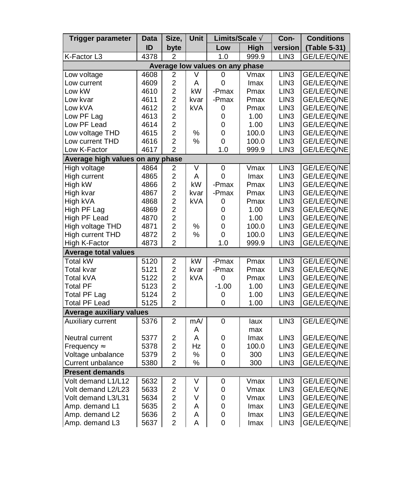| Trigger parameter                | Data | Size,                   | Unit | Limits/Scale A                  |       | Con-             | <b>Conditions</b> |
|----------------------------------|------|-------------------------|------|---------------------------------|-------|------------------|-------------------|
|                                  | ID   | byte                    |      | Low                             | High  | version          | (Table 5-31)      |
| K-Factor L3                      | 4378 | $\overline{2}$          |      | 1.0                             | 999.9 | LIN3             | GE/LE/EQ/NE       |
|                                  |      |                         |      | Average low values on any phase |       |                  |                   |
| Low voltage                      | 4608 | 2                       | V    | 0                               | Vmax  | LIN <sub>3</sub> | GE/LE/EQ/NE       |
| Low current                      | 4609 | $\overline{c}$          | Α    | 0                               | Imax  | LIN <sub>3</sub> | GE/LE/EQ/NE       |
| Low kW                           | 4610 | $\overline{c}$          | kW   | -Pmax                           | Pmax  | LIN <sub>3</sub> | GE/LE/EQ/NE       |
| Low kvar                         | 4611 | $\overline{c}$          | kvar | -Pmax                           | Pmax  | LIN <sub>3</sub> | GE/LE/EQ/NE       |
| Low kVA                          | 4612 | $\overline{c}$          | kVA  | 0                               | Pmax  | LIN <sub>3</sub> | GE/LE/EQ/NE       |
| Low PF Lag                       | 4613 | $\overline{c}$          |      | 0                               | 1.00  | LIN <sub>3</sub> | GE/LE/EQ/NE       |
| Low PF Lead                      | 4614 | $\overline{c}$          |      | 0                               | 1.00  | LIN <sub>3</sub> | GE/LE/EQ/NE       |
| Low voltage THD                  | 4615 | $\overline{2}$          | %    | 0                               | 100.0 | LIN <sub>3</sub> | GE/LE/EQ/NE       |
| Low current THD                  | 4616 | $\overline{c}$          | %    | 0                               | 100.0 | LIN <sub>3</sub> | GE/LE/EQ/NE       |
| Low K-Factor                     | 4617 | $\overline{2}$          |      | 1.0                             | 999.9 | LIN <sub>3</sub> | GE/LE/EQ/NE       |
| Average high values on any phase |      |                         |      |                                 |       |                  |                   |
| <b>High voltage</b>              | 4864 | $\overline{c}$          | V    | 0                               | Vmax  | LIN <sub>3</sub> | GE/LE/EQ/NE       |
| High current                     | 4865 | $\overline{c}$          | A    | 0                               | Imax  | LIN <sub>3</sub> | GE/LE/EQ/NE       |
| High kW                          | 4866 | $\overline{c}$          | kW   | -Pmax                           | Pmax  | LIN <sub>3</sub> | GE/LE/EQ/NE       |
| High kvar                        | 4867 | $\boldsymbol{2}$        | kvar | -Pmax                           | Pmax  | LIN <sub>3</sub> | GE/LE/EQ/NE       |
| High kVA                         | 4868 | $\overline{2}$          | kVA  | 0                               | Pmax  | LIN <sub>3</sub> | GE/LE/EQ/NE       |
| High PF Lag                      | 4869 | $\overline{c}$          |      | 0                               | 1.00  | LIN <sub>3</sub> | GE/LE/EQ/NE       |
| High PF Lead                     | 4870 | $\overline{c}$          |      | 0                               | 1.00  | LIN <sub>3</sub> | GE/LE/EQ/NE       |
| High voltage THD                 | 4871 | $\overline{c}$          | %    | 0                               | 100.0 | LIN <sub>3</sub> | GE/LE/EQ/NE       |
| High current THD                 | 4872 | $\overline{2}$          | $\%$ | 0                               | 100.0 | LIN <sub>3</sub> | GE/LE/EQ/NE       |
| High K-Factor                    | 4873 | $\overline{2}$          |      | 1.0                             | 999.9 | LIN <sub>3</sub> | GE/LE/EQ/NE       |
| <b>Average total values</b>      |      |                         |      |                                 |       |                  |                   |
| <b>Total kW</b>                  | 5120 | $\overline{\mathbf{c}}$ | kW   | -Pmax                           | Pmax  | LIN <sub>3</sub> | GE/LE/EQ/NE       |
| Total kvar                       | 5121 | $\overline{c}$          | kvar | -Pmax                           | Pmax  | LIN <sub>3</sub> | GE/LE/EQ/NE       |
| Total kVA                        | 5122 | $\overline{c}$          | kVA  | 0                               | Pmax  | LIN <sub>3</sub> | GE/LE/EQ/NE       |
| <b>Total PF</b>                  | 5123 | $\overline{c}$          |      | $-1.00$                         | 1.00  | LIN <sub>3</sub> | GE/LE/EQ/NE       |
| <b>Total PF Lag</b>              | 5124 | $\overline{c}$          |      | 0                               | 1.00  | LIN <sub>3</sub> | GE/LE/EQ/NE       |
| Total PF Lead                    | 5125 | $\overline{2}$          |      | 0                               | 1.00  | LIN <sub>3</sub> | GE/LE/EQ/NE       |
| Average auxiliary values         |      |                         |      |                                 |       |                  |                   |
| Auxiliary current                | 5376 | $\overline{c}$          | mA/  | 0                               | laux  | LIN <sub>3</sub> | GE/LE/EQ/NE       |
|                                  |      |                         | A    |                                 | max   |                  |                   |
| Neutral current                  | 5377 | 2                       | A    | 0                               | Imax  | LIN <sub>3</sub> | GE/LE/EQ/NE       |
| Frequency Å                      | 5378 | $\boldsymbol{2}$        | Hz   | 0                               | 100.0 | LIN <sub>3</sub> | GE/LE/EQ/NE       |
| Voltage unbalance                | 5379 | $\overline{c}$          | %    | 0                               | 300   | LIN <sub>3</sub> | GE/LE/EQ/NE       |
| Current unbalance                | 5380 | $\overline{2}$          | $\%$ | 0                               | 300   | LIN <sub>3</sub> | GE/LE/EQ/NE       |
| <b>Present demands</b>           |      |                         |      |                                 |       |                  |                   |
| Volt demand L1/L12               | 5632 | $\overline{\mathbf{c}}$ | V    | 0                               | Vmax  | LIN <sub>3</sub> | GE/LE/EQ/NE       |
| Volt demand L2/L23               | 5633 | $\overline{c}$          | V    | 0                               | Vmax  | LIN <sub>3</sub> | GE/LE/EQ/NE       |
| Volt demand L3/L31               | 5634 | $\overline{c}$          | V    | 0                               | Vmax  | LIN <sub>3</sub> | GE/LE/EQ/NE       |
| Amp. demand L1                   | 5635 | $\overline{c}$          | А    | 0                               | Imax  | LIN <sub>3</sub> | GE/LE/EQ/NE       |
| Amp. demand L2                   | 5636 | $\overline{c}$          | Α    | 0                               | lmax  | LIN <sub>3</sub> | GE/LE/EQ/NE       |
| Amp. demand L3                   | 5637 | $\overline{2}$          | A    | 0                               | lmax  | LIN <sub>3</sub> | GE/LE/EQ/NE       |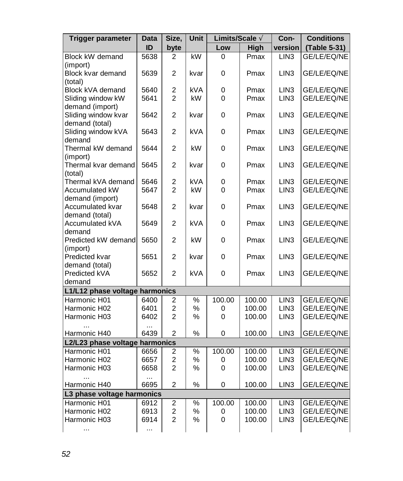| Trigger parameter              | Data     | Size,          | Unit          | Limits/Scale A |        | Con-             | <b>Conditions</b> |
|--------------------------------|----------|----------------|---------------|----------------|--------|------------------|-------------------|
|                                | ID       | byte           |               | Low            | High   | version          | (Table 5-31)      |
| Block kW demand                | 5638     | $\overline{2}$ | kW            | 0              | Pmax   | LIN <sub>3</sub> | GE/LE/EQ/NE       |
| (import)                       |          |                |               |                |        |                  |                   |
| Block kvar demand              | 5639     | 2              | kvar          | $\Omega$       | Pmax   | LIN <sub>3</sub> | GE/LE/EQ/NE       |
| (total)                        |          |                |               |                |        |                  |                   |
| Block kVA demand               | 5640     | $\overline{c}$ | <b>kVA</b>    | 0              | Pmax   | LIN <sub>3</sub> | GE/LE/EQ/NE       |
| Sliding window kW              | 5641     | $\overline{2}$ | kW            | 0              | Pmax   | LIN <sub>3</sub> | GE/LE/EQ/NE       |
| demand (import)                |          |                |               |                |        |                  |                   |
| Sliding window kvar            | 5642     | 2              | kvar          | 0              | Pmax   | LIN <sub>3</sub> | GE/LE/EQ/NE       |
| demand (total)                 |          |                |               |                |        |                  |                   |
| Sliding window kVA             | 5643     | $\overline{2}$ | <b>kVA</b>    | 0              | Pmax   | LIN <sub>3</sub> | GE/LE/EQ/NE       |
| demand                         |          |                |               |                |        |                  |                   |
| Thermal kW demand              | 5644     | $\overline{c}$ | kW            | 0              | Pmax   | LIN <sub>3</sub> | GE/LE/EQ/NE       |
| (import)                       |          |                |               |                |        |                  |                   |
| Thermal kvar demand            | 5645     | $\overline{2}$ | kvar          | 0              | Pmax   | LIN <sub>3</sub> | GE/LE/EQ/NE       |
| (total)                        |          |                |               |                |        |                  |                   |
| Thermal kVA demand             | 5646     | 2              | <b>kVA</b>    | 0              | Pmax   | LIN <sub>3</sub> | GE/LE/EQ/NE       |
| Accumulated kW                 | 5647     | $\overline{2}$ | kW            | 0              | Pmax   | LIN <sub>3</sub> | GE/LE/EQ/NE       |
| demand (import)                |          |                |               |                |        |                  |                   |
| Accumulated kvar               | 5648     | $\overline{2}$ | kvar          | 0              | Pmax   | LIN <sub>3</sub> | GE/LE/EQ/NE       |
| demand (total)                 |          |                |               |                |        |                  |                   |
| Accumulated kVA                | 5649     | $\overline{c}$ | <b>kVA</b>    | $\Omega$       | Pmax   | LIN <sub>3</sub> | GE/LE/EQ/NE       |
| demand                         |          |                |               |                |        |                  |                   |
| Predicted kW demand            | 5650     | $\overline{2}$ | kW            | $\Omega$       | Pmax   | LIN <sub>3</sub> | GE/LE/EQ/NE       |
| (import)                       |          |                |               |                |        |                  |                   |
| Predicted kvar                 | 5651     | $\overline{2}$ | kvar          | 0              | Pmax   | LIN <sub>3</sub> | GE/LE/EQ/NE       |
| demand (total)                 |          |                |               |                |        |                  |                   |
| Predicted kVA                  | 5652     | $\overline{2}$ | kVA           | 0              | Pmax   | LIN <sub>3</sub> | GE/LE/EQ/NE       |
| demand                         |          |                |               |                |        |                  |                   |
| L1/L12 phase voltage harmonics |          |                |               |                |        |                  |                   |
| Harmonic H01                   | 6400     | $\overline{2}$ | $\frac{9}{6}$ | 100.00         | 100.00 | LIN <sub>3</sub> | GE/LE/EQ/NE       |
| Harmonic H02                   | 6401     | $\overline{c}$ | $\%$          | 0              | 100.00 | LIN <sub>3</sub> | GE/LE/EQ/NE       |
| Harmonic H03                   | 6402     | $\overline{2}$ | $\%$          | 0              | 100.00 | LIN <sub>3</sub> | GE/LE/EQ/NE       |
|                                | $\cdots$ |                |               |                |        |                  |                   |
| Harmonic H40                   | 6439     | $\mathfrak{p}$ | $\%$          | 0              | 100.00 | LIN <sub>3</sub> | GE/LE/EQ/NE       |
| L2/L23 phase voltage harmonics |          |                |               |                |        |                  |                   |
| Harmonic H01                   | 6656     | 2              | ℅             | 100.00         | 100.00 | LIN3             | GE/LE/EQ/NE       |
| Harmonic H02                   | 6657     | $\overline{c}$ | $\%$          | 0              | 100.00 | LIN <sub>3</sub> | GE/LE/EQ/NE       |
| Harmonic H03                   | 6658     | $\overline{2}$ | %             | 0              | 100.00 | LIN <sub>3</sub> | GE/LE/EQ/NE       |
|                                | .        |                |               |                |        |                  |                   |
| Harmonic H40                   | 6695     | $\overline{c}$ | ℅             | 0              | 100.00 | LIN <sub>3</sub> | GE/LE/EQ/NE       |
| L3 phase voltage harmonics     |          |                |               |                |        |                  |                   |
| Harmonic H01                   | 6912     | 2              | $\%$          | 100.00         | 100.00 | LIN3             | GE/LE/EQ/NE       |
| Harmonic H02                   | 6913     | $\overline{c}$ | %             | 0              | 100.00 | LIN <sub>3</sub> | GE/LE/EQ/NE       |
| Harmonic H03                   | 6914     | $\overline{2}$ | $\%$          | 0              | 100.00 | LIN <sub>3</sub> | GE/LE/EQ/NE       |
| $\ddotsc$                      | .        |                |               |                |        |                  |                   |
|                                |          |                |               |                |        |                  |                   |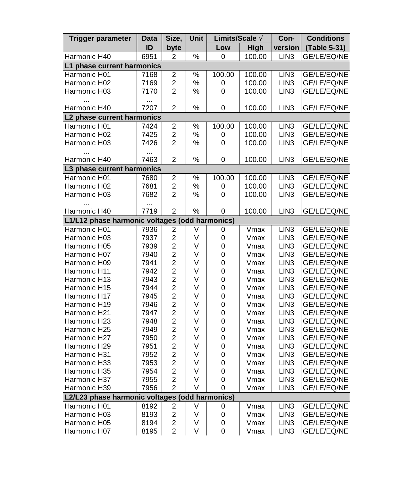| Trigger parameter                              | Data             | Size,                   | Unit          | Limits/Scale A |        | Con-             | <b>Conditions</b> |
|------------------------------------------------|------------------|-------------------------|---------------|----------------|--------|------------------|-------------------|
|                                                | ID               | byte                    |               | Low            | High   | version          | (Table 5-31)      |
| Harmonic H40                                   | 6951             | 2                       | $\frac{1}{2}$ | 0              | 100.00 | LIN <sub>3</sub> | GE/LE/EQ/NE       |
| L1 phase current harmonics                     |                  |                         |               |                |        |                  |                   |
| Harmonic H01                                   | 7168             | $\overline{c}$          | %             | 100.00         | 100.00 | LIN <sub>3</sub> | GE/LE/EQ/NE       |
| Harmonic H02                                   | 7169             | $\overline{c}$          | %             | 0              | 100.00 | LIN <sub>3</sub> | GE/LE/EQ/NE       |
| Harmonic H03                                   | 7170             | $\overline{2}$          | $\%$          | 0              | 100.00 | LIN <sub>3</sub> | GE/LE/EQ/NE       |
| Harmonic H40                                   | $\cdots$<br>7207 | $\overline{c}$          | %             | 0              | 100.00 | LIN <sub>3</sub> | GE/LE/EQ/NE       |
| L2 phase current harmonics                     |                  |                         |               |                |        |                  |                   |
| Harmonic H01                                   | 7424             | $\overline{c}$          | %             | 100.00         | 100.00 | LIN <sub>3</sub> | GE/LE/EQ/NE       |
| Harmonic H02                                   | 7425             | $\overline{c}$          | %             | 0              | 100.00 | LIN <sub>3</sub> | GE/LE/EQ/NE       |
| Harmonic H03                                   | 7426             | $\overline{2}$          | %             | 0              | 100.00 | LIN3             | GE/LE/EQ/NE       |
|                                                | $\cdots$         |                         |               |                |        |                  |                   |
| Harmonic H40                                   | 7463             | $\overline{c}$          | $\%$          | 0              | 100.00 | LIN <sub>3</sub> | GE/LE/EQ/NE       |
| L3 phase current harmonics                     |                  |                         |               |                |        |                  |                   |
| Harmonic H01                                   | 7680             | $\overline{\mathbf{c}}$ | $\%$          | 100.00         | 100.00 | LIN3             | GE/LE/EQ/NE       |
| Harmonic H02                                   | 7681             | $\overline{c}$          | %             | 0              | 100.00 | LIN <sub>3</sub> | GE/LE/EQ/NE       |
| Harmonic H03                                   | 7682             | $\overline{2}$          | ℅             | 0              | 100.00 | LIN <sub>3</sub> | GE/LE/EQ/NE       |
|                                                |                  |                         |               |                |        |                  |                   |
| Harmonic H40                                   | 7719             | $\overline{2}$          | $\%$          | 0              | 100.00 | LIN <sub>3</sub> | GE/LE/EQ/NE       |
| L1/L12 phase harmonic voltages (odd harmonics) |                  |                         |               |                |        |                  |                   |
| Harmonic H01                                   | 7936             | $\overline{\mathbf{c}}$ | V             | 0              | Vmax   | LIN <sub>3</sub> | GE/LE/EQ/NE       |
| Harmonic H03                                   | 7937             | $\overline{c}$          | V             | 0              | Vmax   | LIN <sub>3</sub> | GE/LE/EQ/NE       |
| Harmonic H05                                   | 7939             | $\overline{c}$          | V             | 0              | Vmax   | LIN <sub>3</sub> | GE/LE/EQ/NE       |
| Harmonic H07                                   | 7940             | $\overline{c}$          | V             | 0              | Vmax   | LIN <sub>3</sub> | GE/LE/EQ/NE       |
| Harmonic H09                                   | 7941             | $\overline{\mathbf{c}}$ | V             | 0              | Vmax   | LIN <sub>3</sub> | GE/LE/EQ/NE       |
| Harmonic H11                                   | 7942             | $\overline{c}$          | V             | 0              | Vmax   | LIN <sub>3</sub> | GE/LE/EQ/NE       |
| Harmonic H13                                   | 7943             | $\overline{a}$          | V             | 0              | Vmax   | LIN <sub>3</sub> | GE/LE/EQ/NE       |
| Harmonic H15                                   | 7944             | $\overline{\mathbf{c}}$ | ٧             | $\mathbf 0$    | Vmax   | LIN <sub>3</sub> | GE/LE/EQ/NE       |
| Harmonic H17                                   | 7945             | $\overline{\mathbf{c}}$ | V             | 0              | Vmax   | LIN <sub>3</sub> | GE/LE/EQ/NE       |
| Harmonic H19                                   | 7946             | $\overline{c}$          | V             | 0              | Vmax   | LIN <sub>3</sub> | GE/LE/EQ/NE       |
| Harmonic H21                                   | 7947             | $\overline{c}$          | V             | 0              | Vmax   | LIN <sub>3</sub> | GE/LE/EQ/NE       |
| Harmonic H23                                   | 7948             | $\overline{c}$          | V             | 0              | Vmax   | LIN <sub>3</sub> | GE/LE/EQ/NE       |
| Harmonic H25                                   | 7949             | $\overline{c}$          | ٧             | 0              | Vmax   | LIN <sub>3</sub> | GE/LE/EQ/NE       |
| Harmonic H27                                   | 7950             | $\overline{\mathbf{c}}$ | V             | 0              | Vmax   | LIN <sub>3</sub> | GE/LE/EQ/NE       |
| Harmonic H29                                   | 7951             | $\overline{c}$          | V             | 0              | Vmax   | LIN <sub>3</sub> | GE/LE/EQ/NE       |
| Harmonic H31                                   | 7952             | $\overline{c}$          | V             | 0              | Vmax   | LIN <sub>3</sub> | GE/LE/EQ/NE       |
| Harmonic H33                                   | 7953             | $\overline{c}$          | V             | 0              | Vmax   | LIN <sub>3</sub> | GE/LE/EQ/NE       |
| Harmonic H35                                   | 7954             | $\overline{2}$          | V             | 0              | Vmax   | LIN <sub>3</sub> | GE/LE/EQ/NE       |
| Harmonic H37                                   | 7955             | $\overline{c}$          | V             | 0              | Vmax   | LIN <sub>3</sub> | GE/LE/EQ/NE       |
| Harmonic H39                                   | 7956             | $\overline{2}$          | $\vee$        | 0              | Vmax   | LIN <sub>3</sub> | GE/LE/EQ/NE       |
| L2/L23 phase harmonic voltages (               |                  |                         |               | odd harmonics) |        |                  |                   |
| Harmonic H01                                   | 8192             | $\overline{\mathbf{c}}$ | V             | 0              | Vmax   | LIN <sub>3</sub> | GE/LE/EQ/NE       |
| Harmonic H03                                   | 8193             | $\overline{c}$          | V             | 0              | Vmax   | LIN <sub>3</sub> | GE/LE/EQ/NE       |
| Harmonic H05                                   | 8194             | $\overline{c}$          | V             | 0              | Vmax   | LIN <sub>3</sub> | GE/LE/EQ/NE       |
| Harmonic H07                                   | 8195             | $\overline{2}$          | V             | 0              | Vmax   | LIN <sub>3</sub> | GE/LE/EQ/NE       |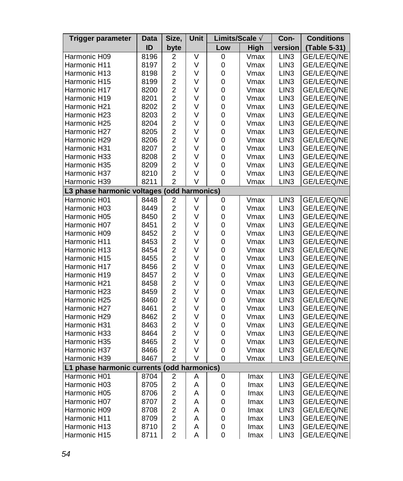| Trigger parameter                          | Data | Size,                            | Unit | Limits/Scale A |              | Con-             | <b>Conditions</b> |
|--------------------------------------------|------|----------------------------------|------|----------------|--------------|------------------|-------------------|
|                                            | ID   | byte                             |      | Low            | High         | version          | (Table 5-31)      |
| Harmonic H09                               | 8196 | 2                                | V    | 0              | Vmax         | LIN <sub>3</sub> | GE/LE/EQ/NE       |
| Harmonic H11                               | 8197 | $\overline{\mathbf{c}}$          | V    | 0              | Vmax         | LIN <sub>3</sub> | GE/LE/EQ/NE       |
| Harmonic H13                               | 8198 | $\overline{c}$                   | V    | 0              | Vmax         | LIN <sub>3</sub> | GE/LE/EQ/NE       |
| Harmonic H15                               | 8199 | $\overline{\mathbf{c}}$          | V    | 0              | Vmax         | LIN <sub>3</sub> | GE/LE/EQ/NE       |
| Harmonic H17                               | 8200 | $\overline{c}$                   | V    | 0              | Vmax         | LIN <sub>3</sub> | GE/LE/EQ/NE       |
| Harmonic H19                               | 8201 | $\overline{c}$                   | V    | $\mathbf 0$    | Vmax         | LIN <sub>3</sub> | GE/LE/EQ/NE       |
| Harmonic H21                               | 8202 | $\overline{c}$                   | V    | 0              | Vmax         | LIN <sub>3</sub> | GE/LE/EQ/NE       |
| Harmonic H23                               | 8203 | $\overline{c}$                   | V    | $\mathbf 0$    | Vmax         | LIN <sub>3</sub> | GE/LE/EQ/NE       |
| Harmonic H25                               | 8204 | $\overline{c}$                   | V    | 0              | Vmax         | LIN <sub>3</sub> | GE/LE/EQ/NE       |
| Harmonic H27                               | 8205 | $\overline{c}$                   | V    | 0              | Vmax         | LIN <sub>3</sub> | GE/LE/EQ/NE       |
| Harmonic H29                               | 8206 | $\overline{c}$                   | V    | 0              | Vmax         | LIN <sub>3</sub> | GE/LE/EQ/NE       |
| Harmonic H31                               | 8207 | $\overline{c}$                   | V    | 0              | Vmax         | LIN <sub>3</sub> | GE/LE/EQ/NE       |
| Harmonic H33                               | 8208 | $\overline{c}$                   | V    | 0              | Vmax         | LIN <sub>3</sub> | GE/LE/EQ/NE       |
| Harmonic H35                               | 8209 | $\overline{c}$                   | V    | 0              | Vmax         | LIN <sub>3</sub> | GE/LE/EQ/NE       |
| Harmonic H37                               | 8210 | $\overline{2}$                   | V    | 0              | Vmax         | LIN <sub>3</sub> | GE/LE/EQ/NE       |
| Harmonic H39                               | 8211 | $\overline{c}$                   | V    | 0              | Vmax         | LIN <sub>3</sub> | GE/LE/EQ/NE       |
| L3 phase harmonic voltages (odd harmonics) |      |                                  |      |                |              |                  |                   |
| Harmonic H01                               | 8448 | 2                                | V    | 0              | Vmax         | LIN <sub>3</sub> | GE/LE/EQ/NE       |
| Harmonic H03                               | 8449 | $\overline{c}$                   | V    | 0              | Vmax         | LIN <sub>3</sub> | GE/LE/EQ/NE       |
| Harmonic H05                               | 8450 | $\overline{\mathbf{c}}$          | V    | 0              | Vmax         | LIN <sub>3</sub> | GE/LE/EQ/NE       |
| Harmonic H07                               | 8451 | $\overline{c}$                   | V    | 0              | Vmax         | LIN <sub>3</sub> | GE/LE/EQ/NE       |
| Harmonic H09                               | 8452 | $\overline{c}$                   | V    | 0              | Vmax         | LIN <sub>3</sub> | GE/LE/EQ/NE       |
| Harmonic H11                               | 8453 | $\overline{c}$                   | V    | 0              | Vmax         | LIN <sub>3</sub> | GE/LE/EQ/NE       |
| Harmonic H13                               | 8454 | $\overline{c}$                   | V    | 0              | Vmax         | LIN <sub>3</sub> | GE/LE/EQ/NE       |
| Harmonic H15                               | 8455 | $\overline{c}$                   | V    | 0              | Vmax         | LIN <sub>3</sub> | GE/LE/EQ/NE       |
| Harmonic H17                               | 8456 | $\overline{c}$                   | V    | 0              | Vmax         | LIN <sub>3</sub> | GE/LE/EQ/NE       |
| Harmonic H19                               | 8457 | $\overline{c}$                   | V    | $\mathbf 0$    | Vmax         | LIN <sub>3</sub> | GE/LE/EQ/NE       |
| Harmonic H21                               | 8458 | $\overline{c}$                   | V    | 0              | Vmax         | LIN <sub>3</sub> | GE/LE/EQ/NE       |
| Harmonic H23                               | 8459 | $\overline{c}$                   | ٧    | $\mathbf 0$    | Vmax         | LIN <sub>3</sub> | GE/LE/EQ/NE       |
| Harmonic H25                               | 8460 | $\overline{c}$                   | V    | 0              | Vmax         | LIN <sub>3</sub> | GE/LE/EQ/NE       |
| Harmonic H27                               | 8461 | $\overline{c}$                   | V    | 0              |              | LIN <sub>3</sub> | GE/LE/EQ/NE       |
| Harmonic H29                               | 8462 | $\overline{c}$                   | V    | 0              | Vmax<br>Vmax | LIN <sub>3</sub> |                   |
|                                            |      | $\overline{c}$                   | V    | 0              |              |                  | GE/LE/EQ/NE       |
| Harmonic H31                               | 8463 | $\overline{c}$                   |      |                | Vmax         | LIN <sub>3</sub> | GE/LE/EQ/NE       |
| Harmonic H33                               | 8464 |                                  | ٧    | 0              | Vmax         | LIN <sub>3</sub> | GE/LE/EQ/NE       |
| Harmonic H35                               | 8465 | $\overline{c}$                   | V    | 0              | Vmax         | LIN <sub>3</sub> | GE/LE/EQ/NE       |
| Harmonic H37                               | 8466 | $\overline{c}$<br>$\overline{2}$ | V    | 0              | Vmax         | LIN <sub>3</sub> | GE/LE/EQ/NE       |
| Harmonic H39                               | 8467 |                                  | V    | 0              | Vmax         | LIN <sub>3</sub> | GE/LE/EQ/NE       |
| L1 phase harmonic currents (odd harmonics) |      |                                  |      |                |              |                  |                   |
| Harmonic H01                               | 8704 | $\overline{\mathbf{c}}$          | A    | 0              | Imax         | LIN <sub>3</sub> | GE/LE/EQ/NE       |
| Harmonic H03                               | 8705 | $\overline{c}$                   | Α    | 0              | lmax         | LIN <sub>3</sub> | GE/LE/EQ/NE       |
| Harmonic H05                               | 8706 | $\overline{c}$                   | Α    | 0              | Imax         | LIN <sub>3</sub> | GE/LE/EQ/NE       |
| Harmonic H07                               | 8707 | $\overline{c}$                   | Α    | 0              | lmax         | LIN <sub>3</sub> | GE/LE/EQ/NE       |
| Harmonic H09                               | 8708 | $\overline{\mathbf{c}}$          | A    | 0              | Imax         | LIN <sub>3</sub> | GE/LE/EQ/NE       |
| Harmonic H11                               | 8709 | $\overline{c}$                   | Α    | 0              | Imax         | LIN <sub>3</sub> | GE/LE/EQ/NE       |
| Harmonic H13                               | 8710 | $\overline{c}$                   | A    | 0              | Imax         | LIN <sub>3</sub> | GE/LE/EQ/NE       |
| Harmonic H15                               | 8711 | $\overline{2}$                   | A    | 0              | Imax         | LIN <sub>3</sub> | GE/LE/EQ/NE       |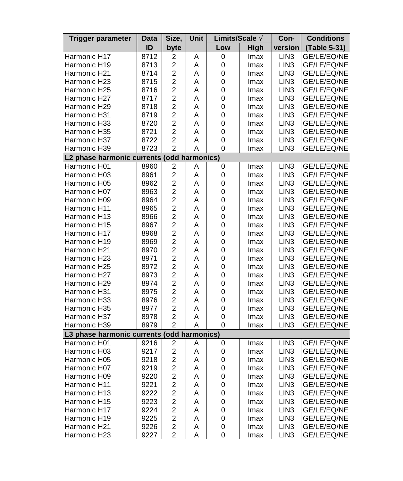| Trigger parameter                          | Data | Size,                   | Unit | Limits/Scale A |      | Con-             | <b>Conditions</b> |
|--------------------------------------------|------|-------------------------|------|----------------|------|------------------|-------------------|
|                                            | ID   | byte                    |      | Low            | High | version          | (Table 5-31)      |
| Harmonic H17                               | 8712 | 2                       | Α    | 0              | Imax | LIN3             | GE/LE/EQ/NE       |
| Harmonic H19                               | 8713 | $\overline{c}$          | A    | 0              | Imax | LIN <sub>3</sub> | GE/LE/EQ/NE       |
| Harmonic H21                               | 8714 | $\overline{\mathbf{c}}$ | A    | 0              | Imax | LIN <sub>3</sub> | GE/LE/EQ/NE       |
| Harmonic H23                               | 8715 | $\overline{c}$          | A    | 0              | Imax | LIN <sub>3</sub> | GE/LE/EQ/NE       |
| Harmonic H25                               | 8716 | $\overline{c}$          | A    | 0              | Imax | LIN <sub>3</sub> | GE/LE/EQ/NE       |
| Harmonic H27                               | 8717 | $\overline{c}$          | Α    | 0              | Imax | LIN <sub>3</sub> | GE/LE/EQ/NE       |
| Harmonic H29                               | 8718 | $\overline{c}$          | A    | 0              | Imax | LIN <sub>3</sub> | GE/LE/EQ/NE       |
| Harmonic H31                               | 8719 | $\overline{c}$          | Α    | 0              | Imax | LIN <sub>3</sub> | GE/LE/EQ/NE       |
| Harmonic H33                               | 8720 | $\overline{c}$          | A    | 0              | Imax | LIN <sub>3</sub> | GE/LE/EQ/NE       |
| Harmonic H35                               | 8721 | $\overline{2}$          | A    | 0              | Imax | LIN <sub>3</sub> | GE/LE/EQ/NE       |
| Harmonic H37                               | 8722 | $\overline{c}$          | A    | 0              | Imax | LIN <sub>3</sub> | GE/LE/EQ/NE       |
| Harmonic H39                               | 8723 | $\overline{2}$          | Α    | 0              | Imax | LIN <sub>3</sub> | GE/LE/EQ/NE       |
| L2 phase harmonic currents (odd harmonics) |      |                         |      |                |      |                  |                   |
| Harmonic H01                               | 8960 | 2                       | Α    | 0              | Imax | LIN <sub>3</sub> | GE/LE/EQ/NE       |
| Harmonic H03                               | 8961 | $\overline{c}$          | A    | 0              | Imax | LIN <sub>3</sub> | GE/LE/EQ/NE       |
| Harmonic H05                               | 8962 | $\overline{c}$          | A    | 0              | Imax | LIN <sub>3</sub> | GE/LE/EQ/NE       |
| Harmonic H07                               | 8963 | $\overline{c}$          | A    | 0              | Imax | LIN <sub>3</sub> | GE/LE/EQ/NE       |
| Harmonic H09                               | 8964 | $\overline{c}$          | A    | 0              | Imax | LIN <sub>3</sub> | GE/LE/EQ/NE       |
| Harmonic H11                               | 8965 | $\overline{c}$          | A    | 0              | Imax | LIN <sub>3</sub> | GE/LE/EQ/NE       |
| Harmonic H13                               | 8966 | $\overline{c}$          | Α    | 0              | Imax | LIN <sub>3</sub> | GE/LE/EQ/NE       |
| Harmonic H15                               | 8967 | $\overline{c}$          | Α    | 0              | Imax | LIN <sub>3</sub> | GE/LE/EQ/NE       |
| Harmonic H17                               | 8968 | $\overline{c}$          | Α    | 0              | Imax | LIN <sub>3</sub> | GE/LE/EQ/NE       |
| Harmonic H19                               | 8969 | $\overline{c}$          | A    | 0              | Imax | LIN <sub>3</sub> | GE/LE/EQ/NE       |
| Harmonic H21                               | 8970 | $\overline{c}$          | A    | 0              | Imax | LIN <sub>3</sub> | GE/LE/EQ/NE       |
| Harmonic H23                               | 8971 | $\overline{c}$          | A    | 0              | Imax | LIN <sub>3</sub> | GE/LE/EQ/NE       |
| Harmonic H25                               | 8972 | $\overline{c}$          | Α    | 0              | Imax | LIN <sub>3</sub> | GE/LE/EQ/NE       |
| Harmonic H27                               | 8973 | $\overline{c}$          | Α    | 0              | Imax | LIN <sub>3</sub> | GE/LE/EQ/NE       |
| Harmonic H29                               | 8974 | $\overline{c}$          | Α    | 0              | Imax | LIN <sub>3</sub> | GE/LE/EQ/NE       |
| Harmonic H31                               | 8975 | $\overline{c}$          | A    | 0              | Imax | LIN <sub>3</sub> | GE/LE/EQ/NE       |
| Harmonic H33                               | 8976 | $\overline{2}$          | A    | 0              | Imax | LIN <sub>3</sub> | GE/LE/EQ/NE       |
| Harmonic H35                               | 8977 | $\overline{2}$          | A    | 0              | Imax | LIN <sub>3</sub> | GE/LE/EQ/NE       |
| Harmonic H37                               | 8978 | $\overline{c}$          | A    | 0              | Imax | LIN <sub>3</sub> | GE/LE/EQ/NE       |
| Harmonic H39                               | 8979 | $\overline{c}$          | Α    | 0              | Imax | LIN <sub>3</sub> | GE/LE/EQ/NE       |
| L3 phase harmonic currents (odd harmonics) |      |                         |      |                |      |                  |                   |
| Harmonic H01                               | 9216 | $\overline{\mathbf{c}}$ | A    | 0              | Imax | LIN <sub>3</sub> | GE/LE/EQ/NE       |
| Harmonic H03                               | 9217 | $\overline{c}$          | A    | 0              | Imax | LIN <sub>3</sub> | GE/LE/EQ/NE       |
| Harmonic H05                               | 9218 | $\overline{\mathbf{c}}$ | A    | 0              | Imax | LIN <sub>3</sub> | GE/LE/EQ/NE       |
| Harmonic H07                               | 9219 | $\overline{c}$          | A    | 0              | Imax | LIN <sub>3</sub> | GE/LE/EQ/NE       |
| Harmonic H09                               | 9220 | $\overline{c}$          | Α    | 0              | Imax | LIN <sub>3</sub> | GE/LE/EQ/NE       |
| Harmonic H11                               | 9221 | $\overline{c}$          | Α    | 0              | Imax | LIN <sub>3</sub> | GE/LE/EQ/NE       |
| Harmonic H13                               | 9222 | $\overline{c}$          | Α    | 0              | Imax | LIN <sub>3</sub> | GE/LE/EQ/NE       |
| Harmonic H15                               | 9223 | $\overline{c}$          | A    | 0              | Imax | LIN <sub>3</sub> | GE/LE/EQ/NE       |
| Harmonic H17                               | 9224 | $\overline{c}$          | A    | 0              | Imax | LIN <sub>3</sub> | GE/LE/EQ/NE       |
| Harmonic H19                               | 9225 | $\overline{\mathbf{c}}$ | A    | 0              | Imax | LIN <sub>3</sub> | GE/LE/EQ/NE       |
| Harmonic H21                               | 9226 | $\overline{c}$          | Α    | 0              | Imax | LIN <sub>3</sub> | GE/LE/EQ/NE       |
| Harmonic H23                               | 9227 | $\overline{2}$          | A    | 0              | Imax | LIN <sub>3</sub> | GE/LE/EQ/NE       |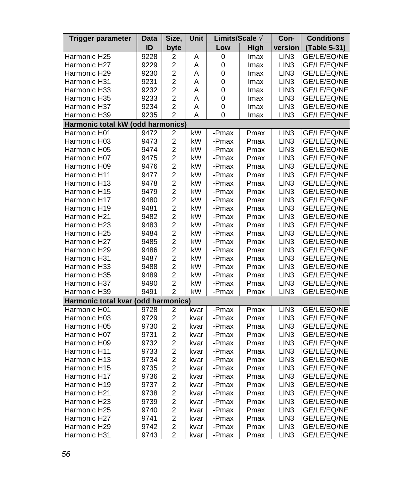| Trigger parameter                   | Data | Size,                   | Unit | Limits/Scale Ä |      | Con-             | <b>Conditions</b> |
|-------------------------------------|------|-------------------------|------|----------------|------|------------------|-------------------|
|                                     | ID   | byte                    |      | Low            | High | version          | (Table 5-31)      |
| Harmonic H25                        | 9228 | 2                       | Α    | 0              | Imax | LIN3             | GE/LE/EQ/NE       |
| Harmonic H27                        | 9229 | $\overline{\mathbf{c}}$ | A    | 0              | Imax | LIN <sub>3</sub> | GE/LE/EQ/NE       |
| Harmonic H29                        | 9230 | $\overline{c}$          | Α    | 0              | Imax | LIN <sub>3</sub> | GE/LE/EQ/NE       |
| Harmonic H31                        | 9231 | $\overline{\mathbf{c}}$ | A    | 0              | Imax | LIN <sub>3</sub> | GE/LE/EQ/NE       |
| Harmonic H33                        | 9232 | $\overline{\mathbf{c}}$ | Α    | 0              | Imax | LIN3             | GE/LE/EQ/NE       |
| Harmonic H35                        | 9233 | $\overline{\mathbf{c}}$ | A    | 0              | Imax | LIN <sub>3</sub> | GE/LE/EQ/NE       |
| Harmonic H37                        | 9234 | $\overline{c}$          | A    | 0              | Imax | LIN <sub>3</sub> | GE/LE/EQ/NE       |
| Harmonic H39                        | 9235 | $\overline{2}$          | A    | 0              | Imax | LIN <sub>3</sub> | GE/LE/EQ/NE       |
| Harmonic total kW (odd harmonics)   |      |                         |      |                |      |                  |                   |
| Harmonic H01                        | 9472 | $\overline{\mathbf{c}}$ | kW   | -Pmax          | Pmax | LIN <sub>3</sub> | GE/LE/EQ/NE       |
| Harmonic H03                        | 9473 | $\overline{c}$          | kW   | -Pmax          | Pmax | LIN <sub>3</sub> | GE/LE/EQ/NE       |
| Harmonic H05                        | 9474 | $\overline{\mathbf{c}}$ | kW   | -Pmax          | Pmax | LIN <sub>3</sub> | GE/LE/EQ/NE       |
| Harmonic H07                        | 9475 | $\overline{c}$          | kW   | -Pmax          | Pmax | LIN <sub>3</sub> | GE/LE/EQ/NE       |
| Harmonic H09                        | 9476 | $\overline{c}$          | kW   | -Pmax          | Pmax | LIN <sub>3</sub> | GE/LE/EQ/NE       |
| Harmonic H11                        | 9477 | $\overline{c}$          | kW   | -Pmax          | Pmax | LIN3             | GE/LE/EQ/NE       |
| Harmonic H13                        | 9478 | $\overline{c}$          | kW   | -Pmax          | Pmax | LIN <sub>3</sub> | GE/LE/EQ/NE       |
| Harmonic H15                        | 9479 | $\overline{\mathbf{c}}$ | kW   | -Pmax          | Pmax | LIN3             | GE/LE/EQ/NE       |
| Harmonic H17                        | 9480 | $\overline{\mathbf{c}}$ | kW   | -Pmax          | Pmax | LIN <sub>3</sub> | GE/LE/EQ/NE       |
| Harmonic H19                        | 9481 | $\overline{c}$          | kW   | -Pmax          | Pmax | LIN3             | GE/LE/EQ/NE       |
| Harmonic H21                        | 9482 | $\overline{c}$          | kW   | -Pmax          | Pmax | LIN <sub>3</sub> | GE/LE/EQ/NE       |
| Harmonic H23                        | 9483 | $\overline{\mathbf{c}}$ | kW   | -Pmax          | Pmax | LIN <sub>3</sub> | GE/LE/EQ/NE       |
| Harmonic H25                        | 9484 | $\overline{2}$          | kW   | -Pmax          | Pmax | LIN <sub>3</sub> | GE/LE/EQ/NE       |
| Harmonic H27                        | 9485 | $\overline{\mathbf{c}}$ | kW   | -Pmax          | Pmax | LIN <sub>3</sub> | GE/LE/EQ/NE       |
| Harmonic H29                        | 9486 | $\overline{c}$          | kW   | -Pmax          | Pmax | LIN <sub>3</sub> | GE/LE/EQ/NE       |
| Harmonic H31                        | 9487 | $\overline{\mathbf{c}}$ | kW   | -Pmax          | Pmax | LIN <sub>3</sub> | GE/LE/EQ/NE       |
| Harmonic H33                        | 9488 | $\overline{2}$          | kW   | -Pmax          | Pmax | LIN <sub>3</sub> | GE/LE/EQ/NE       |
| Harmonic H35                        | 9489 | $\overline{c}$          | kW   | -Pmax          | Pmax | LIN <sub>3</sub> | GE/LE/EQ/NE       |
| Harmonic H37                        | 9490 | $\overline{c}$          | kW   | -Pmax          | Pmax | LIN <sub>3</sub> | GE/LE/EQ/NE       |
| Harmonic H39                        | 9491 | $\overline{2}$          | kW   | -Pmax          | Pmax | LIN <sub>3</sub> | GE/LE/EQ/NE       |
| Harmonic total kvar (odd harmonics) |      |                         |      |                |      |                  |                   |
| Harmonic H01                        | 9728 | 2                       | kvar | -Pmax          | Pmax | LIN <sub>3</sub> | GE/LE/EQ/NE       |
| Harmonic H03                        | 9729 | $\overline{c}$          | kvar | -Pmax          | Pmax | LIN3             | GE/LE/EQ/NE       |
| Harmonic H05                        | 9730 | $\overline{c}$          | kvar | -Pmax          | Pmax | LIN <sub>3</sub> | GE/LE/EQ/NE       |
| Harmonic H07                        | 9731 | $\overline{c}$          | kvar | -Pmax          | Pmax | LIN <sub>3</sub> | GE/LE/EQ/NE       |
| Harmonic H09                        | 9732 | $\overline{2}$          | kvar | -Pmax          | Pmax | LIN <sub>3</sub> | GE/LE/EQ/NE       |
| Harmonic H11                        | 9733 | $\overline{c}$          | kvar | -Pmax          | Pmax | LIN <sub>3</sub> | GE/LE/EQ/NE       |
| Harmonic H13                        | 9734 | $\overline{c}$          | kvar | -Pmax          | Pmax | LIN3             | GE/LE/EQ/NE       |
| Harmonic H15                        | 9735 | $\overline{c}$          | kvar | -Pmax          | Pmax | LIN <sub>3</sub> | GE/LE/EQ/NE       |
| Harmonic H17                        | 9736 | $\overline{\mathbf{c}}$ | kvar | -Pmax          | Pmax | LIN <sub>3</sub> | GE/LE/EQ/NE       |
| Harmonic H19                        | 9737 | $\overline{c}$          | kvar | -Pmax          | Pmax | LIN <sub>3</sub> | GE/LE/EQ/NE       |
| Harmonic H21                        | 9738 | $\overline{c}$          | kvar | -Pmax          | Pmax | LIN3             | GE/LE/EQ/NE       |
| Harmonic H23                        | 9739 | $\overline{c}$          | kvar | -Pmax          | Pmax | LIN <sub>3</sub> | GE/LE/EQ/NE       |
| Harmonic H25                        | 9740 | $\overline{c}$          | kvar | -Pmax          | Pmax | LIN3             | GE/LE/EQ/NE       |
| Harmonic H27                        | 9741 | $\overline{c}$          | kvar | -Pmax          | Pmax | LIN <sub>3</sub> | GE/LE/EQ/NE       |
| Harmonic H29                        | 9742 | $\overline{2}$          | kvar | -Pmax          | Pmax | LIN <sub>3</sub> | GE/LE/EQ/NE       |
| Harmonic H31                        | 9743 | $\overline{2}$          | kvar | -Pmax          | Pmax | LIN <sub>3</sub> | GE/LE/EQ/NE       |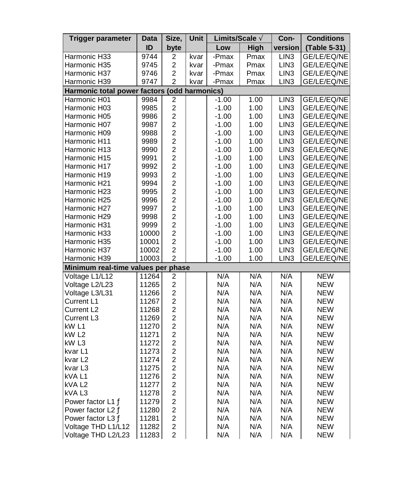| Trigger parameter                            | Data  | Size,                                      | Unit | Limits/Scale A |      | Con-             | <b>Conditions</b> |
|----------------------------------------------|-------|--------------------------------------------|------|----------------|------|------------------|-------------------|
|                                              | ID    | byte                                       |      | Low            | High | version          | (Table 5-31)      |
| Harmonic H33                                 | 9744  | $\overline{c}$                             | kvar | -Pmax          | Pmax | LIN <sub>3</sub> | GE/LE/EQ/NE       |
| Harmonic H35                                 | 9745  | $\overline{c}$                             | kvar | -Pmax          | Pmax | LIN <sub>3</sub> | GE/LE/EQ/NE       |
| Harmonic H37                                 | 9746  | $\overline{c}$                             | kvar | -Pmax          | Pmax | LIN <sub>3</sub> | GE/LE/EQ/NE       |
| Harmonic H39                                 | 9747  | $\overline{2}$                             | kvar | -Pmax          | Pmax | LIN <sub>3</sub> | GE/LE/EQ/NE       |
| Harmonic total power factors (odd harmonics) |       |                                            |      |                |      |                  |                   |
| Harmonic H01                                 | 9984  | $\boldsymbol{2}$                           |      | $-1.00$        | 1.00 | LIN3             | GE/LE/EQ/NE       |
| Harmonic H03                                 | 9985  | $\overline{c}$                             |      | $-1.00$        | 1.00 | LIN <sub>3</sub> | GE/LE/EQ/NE       |
| Harmonic H05                                 | 9986  | $\overline{c}$                             |      | $-1.00$        | 1.00 | LIN <sub>3</sub> | GE/LE/EQ/NE       |
| Harmonic H07                                 | 9987  | $\overline{a}$                             |      | $-1.00$        | 1.00 | LIN <sub>3</sub> | GE/LE/EQ/NE       |
| Harmonic H09                                 | 9988  |                                            |      | $-1.00$        | 1.00 | LIN <sub>3</sub> | GE/LE/EQ/NE       |
| Harmonic H11                                 | 9989  | $\begin{array}{c} 2 \\ 2 \\ 2 \end{array}$ |      | $-1.00$        | 1.00 | LIN <sub>3</sub> | GE/LE/EQ/NE       |
| Harmonic H13                                 | 9990  |                                            |      | $-1.00$        | 1.00 | LIN <sub>3</sub> | GE/LE/EQ/NE       |
| Harmonic H15                                 | 9991  | $\overline{a}$                             |      | $-1.00$        | 1.00 | LIN <sub>3</sub> | GE/LE/EQ/NE       |
| Harmonic H17                                 | 9992  | $\overline{c}$                             |      | $-1.00$        | 1.00 | LIN <sub>3</sub> | GE/LE/EQ/NE       |
| Harmonic H19                                 | 9993  | $\overline{a}$                             |      | $-1.00$        | 1.00 | LIN <sub>3</sub> | GE/LE/EQ/NE       |
| Harmonic H21                                 | 9994  | $\overline{c}$                             |      | $-1.00$        | 1.00 | LIN <sub>3</sub> | GE/LE/EQ/NE       |
| Harmonic H23                                 | 9995  |                                            |      | $-1.00$        | 1.00 | LIN <sub>3</sub> | GE/LE/EQ/NE       |
| Harmonic H25                                 | 9996  |                                            |      | $-1.00$        | 1.00 | LIN <sub>3</sub> | GE/LE/EQ/NE       |
| Harmonic H27                                 | 9997  | $\begin{array}{c} 2 \\ 2 \\ 2 \end{array}$ |      | $-1.00$        | 1.00 | LIN3             | GE/LE/EQ/NE       |
| Harmonic H29                                 | 9998  | $\overline{c}$                             |      | $-1.00$        | 1.00 | LIN <sub>3</sub> | GE/LE/EQ/NE       |
| Harmonic H31                                 | 9999  | $\overline{c}$                             |      | $-1.00$        | 1.00 | LIN <sub>3</sub> | GE/LE/EQ/NE       |
| Harmonic H33                                 | 10000 | $\overline{a}$                             |      | $-1.00$        | 1.00 | LIN <sub>3</sub> | GE/LE/EQ/NE       |
| Harmonic H35                                 | 10001 | $\overline{c}$                             |      | $-1.00$        | 1.00 | LIN <sub>3</sub> | GE/LE/EQ/NE       |
| Harmonic H37                                 | 10002 | $\overline{c}$                             |      | $-1.00$        | 1.00 | LIN <sub>3</sub> | GE/LE/EQ/NE       |
| Harmonic H39                                 | 10003 | $\overline{2}$                             |      | $-1.00$        | 1.00 | LIN <sub>3</sub> | GE/LE/EQ/NE       |
| Minimum real-time values per phase           |       |                                            |      |                |      |                  |                   |
| Voltage L1/L12                               | 11264 | $\overline{\mathbf{c}}$                    |      | N/A            | N/A  | N/A              | <b>NEW</b>        |
| Voltage L2/L23                               | 11265 | $\overline{\mathbf{c}}$                    |      | N/A            | N/A  | N/A              | <b>NEW</b>        |
| Voltage L3/L31                               | 11266 | $\overline{\mathbf{c}}$                    |      | N/A            | N/A  | N/A              | <b>NEW</b>        |
| Current L1                                   | 11267 | $\overline{c}$                             |      | N/A            | N/A  | N/A              | <b>NEW</b>        |
| Current L <sub>2</sub>                       | 11268 | $\overline{a}$                             |      | N/A            | N/A  | N/A              | <b>NEW</b>        |
| Current L3                                   | 11269 | $\overline{c}$                             |      | N/A            | N/A  | N/A              | <b>NEW</b>        |
| kW L1                                        | 11270 | $\overline{c}$                             |      | N/A            | N/A  | N/A              | <b>NEW</b>        |
| kW L2                                        | 11271 | $\overline{a}$                             |      | N/A            | N/A  | N/A              | <b>NEW</b>        |
| kW <sub>L3</sub>                             | 11272 | $\overline{c}$                             |      | N/A            | N/A  | N/A              | <b>NEW</b>        |
| kvar L1                                      | 11273 | $\overline{2}$                             |      | N/A            | N/A  | N/A              | <b>NEW</b>        |
| kvar L <sub>2</sub>                          | 11274 | $\overline{c}$                             |      | N/A            | N/A  | N/A              | <b>NEW</b>        |
| kvar L3                                      | 11275 | $\overline{c}$                             |      | N/A            | N/A  | N/A              | <b>NEW</b>        |
| kVA L1                                       | 11276 | $\overline{c}$                             |      | N/A            | N/A  | N/A              | <b>NEW</b>        |
| kVA L2                                       | 11277 | $\overline{c}$                             |      | N/A            | N/A  | N/A              | <b>NEW</b>        |
| kVAL3                                        | 11278 | $\overline{\mathbf{c}}$                    |      | N/A            | N/A  | N/A              | <b>NEW</b>        |
| Power factor L1 A                            | 11279 | $\overline{2}$                             |      | N/A            | N/A  | N/A              | <b>NEW</b>        |
| Power factor L2 A                            | 11280 | $\overline{c}$                             |      | N/A            | N/A  | N/A              | <b>NEW</b>        |
| Power factor L3 A                            | 11281 | $\overline{c}$                             |      | N/A            | N/A  | N/A              | <b>NEW</b>        |
| Voltage THD L1/L12                           | 11282 | $\overline{c}$                             |      | N/A            | N/A  | N/A              | <b>NEW</b>        |
| Voltage THD L2/L23                           | 11283 | $\overline{2}$                             |      | N/A            | N/A  | N/A              | <b>NEW</b>        |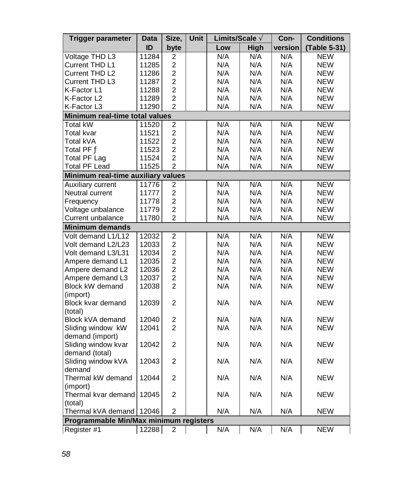| <b>Trigger parameter</b>               | Data                               | Size,                   | Unit | Limits/Scale A |      | Con-    | <b>Conditions</b> |  |  |  |  |
|----------------------------------------|------------------------------------|-------------------------|------|----------------|------|---------|-------------------|--|--|--|--|
|                                        | ID                                 | byte                    |      | Low            | High | version | (Table 5-31)      |  |  |  |  |
| Voltage THD L3                         | 11284                              | 2                       |      | N/A            | N/A  | N/A     | <b>NEW</b>        |  |  |  |  |
| Current THD L1                         | 11285                              | $\overline{c}$          |      | N/A            | N/A  | N/A     | <b>NEW</b>        |  |  |  |  |
| Current THD L2                         | 11286                              | $\overline{c}$          |      | N/A            | N/A  | N/A     | <b>NEW</b>        |  |  |  |  |
| Current THD L3                         | 11287                              | $\overline{2}$          |      | N/A            | N/A  | N/A     | NEW               |  |  |  |  |
| K-Factor L1                            | 11288                              | $\overline{2}$          |      | N/A            | N/A  | N/A     | <b>NEW</b>        |  |  |  |  |
| K-Factor L2                            | 11289                              | $\overline{2}$          |      | N/A            | N/A  | N/A     | <b>NEW</b>        |  |  |  |  |
| K-Factor L3                            | 11290                              | $\mathfrak{p}$          |      | N/A            | N/A  | N/A     | <b>NEW</b>        |  |  |  |  |
| Minimum real-time total values         |                                    |                         |      |                |      |         |                   |  |  |  |  |
| <b>Total kW</b>                        | 11520                              | 2                       |      | N/A            | N/A  | N/A     | <b>NEW</b>        |  |  |  |  |
| Total kvar                             | 11521                              | $\overline{2}$          |      | N/A            | N/A  | N/A     | <b>NEW</b>        |  |  |  |  |
| Total kVA                              | 11522                              | $\overline{c}$          |      | N/A            | N/A  | N/A     | <b>NEW</b>        |  |  |  |  |
| Total PF Ä                             | 11523                              | $\overline{c}$          |      | N/A            | N/A  | N/A     | <b>NEW</b>        |  |  |  |  |
| <b>Total PF Lag</b>                    | 11524                              | $\overline{c}$          |      | N/A            | N/A  | N/A     | <b>NEW</b>        |  |  |  |  |
| <b>Total PF Lead</b>                   | 11525                              | $\overline{2}$          |      | N/A            | N/A  | N/A     | NEW               |  |  |  |  |
|                                        | Minimum real-time auxiliary values |                         |      |                |      |         |                   |  |  |  |  |
| Auxiliary current                      | 11776                              | $\overline{\mathbf{c}}$ |      | N/A            | N/A  | N/A     | <b>NEW</b>        |  |  |  |  |
| Neutral current                        | 11777                              | $\overline{2}$          |      | N/A            | N/A  | N/A     | <b>NEW</b>        |  |  |  |  |
| Frequency                              | 11778                              | $\overline{c}$          |      | N/A            | N/A  | N/A     | <b>NEW</b>        |  |  |  |  |
| Voltage unbalance                      | 11779                              | $\overline{2}$          |      | N/A            | N/A  | N/A     | <b>NEW</b>        |  |  |  |  |
| Current unbalance                      | 11780                              | $\overline{2}$          |      | N/A            | N/A  | N/A     | <b>NEW</b>        |  |  |  |  |
| Minimum demands                        |                                    |                         |      |                |      |         |                   |  |  |  |  |
| Volt demand L1/L12                     | 12032                              | $\overline{c}$          |      | N/A            | N/A  | N/A     | <b>NEW</b>        |  |  |  |  |
| Volt demand L2/L23                     | 12033                              | $\overline{c}$          |      | N/A            | N/A  | N/A     | <b>NEW</b>        |  |  |  |  |
| Volt demand L3/L31                     | 12034                              | $\overline{2}$          |      | N/A            | N/A  | N/A     | <b>NEW</b>        |  |  |  |  |
| Ampere demand L1                       | 12035                              | $\overline{c}$          |      | N/A            | N/A  | N/A     | <b>NEW</b>        |  |  |  |  |
| Ampere demand L2                       | 12036                              | $\overline{2}$          |      | N/A            | N/A  | N/A     | <b>NEW</b>        |  |  |  |  |
| Ampere demand L3                       | 12037                              | $\overline{2}$          |      | N/A            | N/A  | N/A     | <b>NEW</b>        |  |  |  |  |
| <b>Block kW demand</b>                 | 12038                              | $\overline{2}$          |      | N/A            | N/A  | N/A     | <b>NEW</b>        |  |  |  |  |
| (import)                               |                                    |                         |      |                |      |         |                   |  |  |  |  |
| Block kvar demand                      | 12039                              | $\overline{c}$          |      | N/A            | N/A  | N/A     | <b>NEW</b>        |  |  |  |  |
| (total)                                |                                    |                         |      |                |      |         |                   |  |  |  |  |
| Block kVA demand                       | 12040                              | $\boldsymbol{2}$        |      | N/A            | N/A  | N/A     | <b>NEW</b>        |  |  |  |  |
| Sliding window kW                      | 12041                              | $\overline{2}$          |      | N/A            | N/A  | N/A     | <b>NEW</b>        |  |  |  |  |
| demand (import)                        |                                    |                         |      |                |      |         |                   |  |  |  |  |
| Sliding window kvar                    | 12042                              | 2                       |      | N/A            | N/A  | N/A     | <b>NEW</b>        |  |  |  |  |
| demand (total)                         |                                    |                         |      |                |      |         |                   |  |  |  |  |
| Sliding window kVA                     | 12043                              | $\overline{2}$          |      | N/A            | N/A  | N/A     | <b>NEW</b>        |  |  |  |  |
| demand                                 |                                    |                         |      |                |      |         |                   |  |  |  |  |
| Thermal kW demand                      | 12044                              | 2                       |      | N/A            | N/A  | N/A     | <b>NEW</b>        |  |  |  |  |
| (import)                               |                                    |                         |      |                |      |         |                   |  |  |  |  |
| Thermal kvar demand                    | 12045                              | $\overline{2}$          |      | N/A            | N/A  | N/A     | NEW               |  |  |  |  |
| (total)                                |                                    |                         |      |                |      |         |                   |  |  |  |  |
| Thermal kVA demand                     | 12046                              | $\overline{2}$          |      | N/A            | N/A  | N/A     | <b>NEW</b>        |  |  |  |  |
| Programmable Min/Max minimum registers |                                    |                         |      |                |      |         |                   |  |  |  |  |
| Register #1                            | 12288                              | $\overline{2}$          |      | N/A            | N/A  | N/A     | <b>NEW</b>        |  |  |  |  |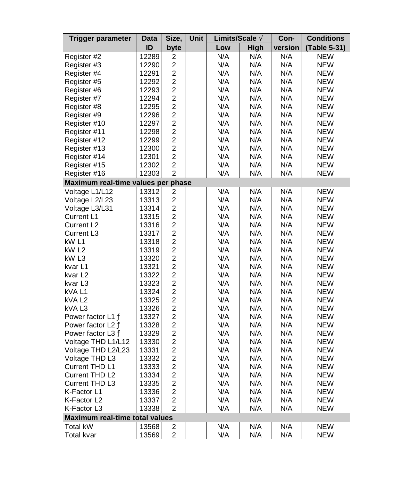| <b>Trigger parameter</b>           | Data  | Size,                                     | Unit | Limits/Scale A |      | Con-    | <b>Conditions</b> |
|------------------------------------|-------|-------------------------------------------|------|----------------|------|---------|-------------------|
|                                    | ID    | byte                                      |      | Low            | High | version | (Table 5-31)      |
| Register #2                        | 12289 | 2                                         |      | N/A            | N/A  | N/A     | <b>NEW</b>        |
| Register #3                        | 12290 | $\overline{2}$                            |      | N/A            | N/A  | N/A     | <b>NEW</b>        |
| Register #4                        | 12291 | $\overline{c}$                            |      | N/A            | N/A  | N/A     | <b>NEW</b>        |
| Register #5                        | 12292 | $\overline{c}$                            |      | N/A            | N/A  | N/A     | <b>NEW</b>        |
| Register #6                        | 12293 | $\overline{a}$                            |      | N/A            | N/A  | N/A     | <b>NEW</b>        |
| Register #7                        | 12294 | $\overline{2}$                            |      | N/A            | N/A  | N/A     | <b>NEW</b>        |
| Register #8                        | 12295 | $\overline{c}$                            |      | N/A            | N/A  | N/A     | <b>NEW</b>        |
| Register #9                        | 12296 | $\overline{c}$                            |      | N/A            | N/A  | N/A     | <b>NEW</b>        |
| Register #10                       | 12297 | $\overline{c}$                            |      | N/A            | N/A  | N/A     | <b>NEW</b>        |
| Register #11                       | 12298 | $\overline{2}$                            |      | N/A            | N/A  | N/A     | <b>NEW</b>        |
| Register #12                       | 12299 | $\overline{c}$                            |      | N/A            | N/A  | N/A     | <b>NEW</b>        |
| Register #13                       | 12300 | $\overline{a}$                            |      | N/A            | N/A  | N/A     | <b>NEW</b>        |
| Register #14                       | 12301 | $\overline{2}$                            |      | N/A            | N/A  | N/A     | <b>NEW</b>        |
| Register #15                       | 12302 | $\overline{c}$                            |      | N/A            | N/A  | N/A     | <b>NEW</b>        |
| Register #16                       | 12303 | $\overline{2}$                            |      | N/A            | N/A  | N/A     | <b>NEW</b>        |
| Maximum real-time values per phase |       |                                           |      |                |      |         |                   |
| Voltage L1/L12                     | 13312 | 2                                         |      | N/A            | N/A  | N/A     | <b>NEW</b>        |
| Voltage L2/L23                     | 13313 | $\overline{2}$                            |      | N/A            | N/A  | N/A     | <b>NEW</b>        |
| Voltage L3/L31                     | 13314 | $\overline{c}$                            |      | N/A            | N/A  | N/A     | <b>NEW</b>        |
| Current L1                         | 13315 | $\overline{c}$                            |      | N/A            | N/A  | N/A     | <b>NEW</b>        |
| Current L <sub>2</sub>             | 13316 | $\overline{2}$                            |      | N/A            | N/A  | N/A     | <b>NEW</b>        |
| Current L3                         | 13317 | $\overline{2}$                            |      | N/A            | N/A  | N/A     | <b>NEW</b>        |
| kW L1                              | 13318 | $\overline{c}$                            |      | N/A            | N/A  | N/A     | <b>NEW</b>        |
| kW <sub>L2</sub>                   | 13319 | $\overline{2}$                            |      | N/A            | N/A  | N/A     | <b>NEW</b>        |
| kW <sub>L3</sub>                   | 13320 | $\overline{c}$                            |      | N/A            | N/A  | N/A     | <b>NEW</b>        |
| kvar L1                            | 13321 | $\overline{c}$                            |      | N/A            | N/A  | N/A     | <b>NEW</b>        |
| kvar L2                            | 13322 | $\overline{c}$                            |      | N/A            | N/A  | N/A     | <b>NEW</b>        |
| kvar L3                            | 13323 | $\overline{2}$                            |      | N/A            | N/A  | N/A     | <b>NEW</b>        |
| kVAL1                              | 13324 | $\overline{2}$                            |      | N/A            | N/A  | N/A     | <b>NEW</b>        |
| kVA <sub>L2</sub>                  | 13325 | $\overline{c}$                            |      | N/A            | N/A  | N/A     | <b>NEW</b>        |
| kVAL3                              | 13326 | $\overline{2}$                            |      | N/A            | N/A  | N/A     | <b>NEW</b>        |
| Power factor L1 A                  | 13327 | $\overline{c}$                            |      | N/A            | N/A  | N/A     | <b>NEW</b>        |
| Power factor L2 A                  | 13328 | $\overline{2}$                            |      | N/A            | N/A  | N/A     | <b>NEW</b>        |
| Power factor L3 A                  | 13329 | $\overline{c}$                            |      | N/A            | N/A  | N/A     | <b>NEW</b>        |
| Voltage THD L1/L12                 | 13330 | $\overline{a}$                            |      | N/A            | N/A  | N/A     | <b>NEW</b>        |
| Voltage THD L2/L23                 | 13331 | $\overline{c}$                            |      | N/A            | N/A  | N/A     | <b>NEW</b>        |
|                                    | 13332 | $\overline{c}$                            |      | N/A            | N/A  | N/A     | <b>NEW</b>        |
| Voltage THD L3<br>Current THD L1   | 13333 | $\overline{2}$                            |      | N/A            | N/A  | N/A     | <b>NEW</b>        |
|                                    |       | $\overline{2}$                            |      |                | N/A  | N/A     |                   |
| Current THD L2                     | 13334 | $\overline{c}$                            |      | N/A            |      |         | <b>NEW</b>        |
| Current THD L3                     | 13335 |                                           |      | N/A            | N/A  | N/A     | <b>NEW</b>        |
| K-Factor L1                        | 13336 | $\overline{c}$                            |      | N/A            | N/A  | N/A     | <b>NEW</b>        |
| K-Factor L2                        | 13337 | $\overline{c}$                            |      | N/A            | N/A  | N/A     | <b>NEW</b>        |
| K-Factor L3                        | 13338 | $\overline{2}$                            |      | N/A            | N/A  | N/A     | <b>NEW</b>        |
| Maximum real-time total values     |       |                                           |      |                |      |         |                   |
| <b>Total kW</b>                    | 13568 | $\overline{\mathbf{c}}$<br>$\overline{2}$ |      | N/A            | N/A  | N/A     | <b>NEW</b>        |
| <b>Total kvar</b>                  | 13569 |                                           |      | N/A            | N/A  | N/A     | <b>NEW</b>        |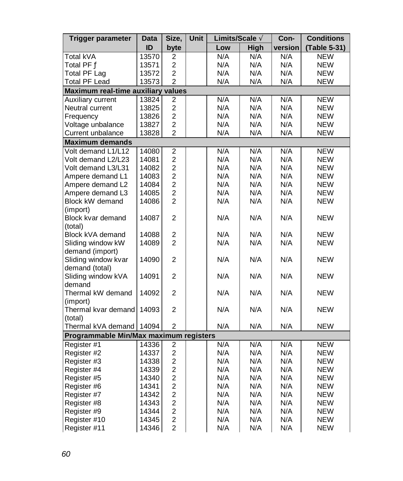| <b>Trigger parameter</b>               | Data  | Size,          | Unit | Limits/Scale A |      | Con-    | <b>Conditions</b> |
|----------------------------------------|-------|----------------|------|----------------|------|---------|-------------------|
|                                        | ID    | byte           |      | Low            | High | version | (Table 5-31)      |
| Total kVA                              | 13570 | 2              |      | N/A            | N/A  | N/A     | <b>NEW</b>        |
| Total PF Ä                             | 13571 | $\overline{c}$ |      | N/A            | N/A  | N/A     | <b>NEW</b>        |
| Total PF Lag                           | 13572 | $\overline{c}$ |      | N/A            | N/A  | N/A     | <b>NEW</b>        |
| <b>Total PF Lead</b>                   | 13573 | $\overline{2}$ |      | N/A            | N/A  | N/A     | <b>NEW</b>        |
| Maximum real-time auxiliary values     |       |                |      |                |      |         |                   |
| Auxiliary current                      | 13824 | $\overline{2}$ |      | N/A            | N/A  | N/A     | <b>NEW</b>        |
| Neutral current                        | 13825 | $\overline{c}$ |      | N/A            | N/A  | N/A     | <b>NEW</b>        |
| Frequency                              | 13826 | $\overline{2}$ |      | N/A            | N/A  | N/A     | <b>NEW</b>        |
| Voltage unbalance                      | 13827 | $\overline{c}$ |      | N/A            | N/A  | N/A     | <b>NEW</b>        |
| Current unbalance                      | 13828 | $\overline{2}$ |      | N/A            | N/A  | N/A     | <b>NEW</b>        |
| <b>Maximum demands</b>                 |       |                |      |                |      |         |                   |
| Volt demand L1/L12                     | 14080 | $\overline{2}$ |      | N/A            | N/A  | N/A     | <b>NEW</b>        |
| Volt demand L2/L23                     | 14081 | $\overline{c}$ |      | N/A            | N/A  | N/A     | <b>NEW</b>        |
| Volt demand L3/L31                     | 14082 | $\overline{c}$ |      | N/A            | N/A  | N/A     | <b>NEW</b>        |
| Ampere demand L1                       | 14083 | $\overline{2}$ |      | N/A            | N/A  | N/A     | <b>NEW</b>        |
| Ampere demand L2                       | 14084 | $\overline{c}$ |      | N/A            | N/A  | N/A     | <b>NEW</b>        |
| Ampere demand L3                       | 14085 | $\overline{2}$ |      | N/A            | N/A  | N/A     | <b>NEW</b>        |
| <b>Block kW demand</b>                 | 14086 | $\overline{c}$ |      | N/A            | N/A  | N/A     | <b>NEW</b>        |
| (import)                               |       |                |      |                |      |         |                   |
| Block kvar demand                      | 14087 | $\overline{2}$ |      | N/A            | N/A  | N/A     | <b>NEW</b>        |
| (total)                                |       |                |      |                |      |         |                   |
| Block kVA demand                       | 14088 | $\overline{c}$ |      | N/A            | N/A  | N/A     | <b>NEW</b>        |
| Sliding window kW                      | 14089 | $\overline{2}$ |      | N/A            | N/A  | N/A     | <b>NEW</b>        |
| demand (import)                        |       |                |      |                |      |         |                   |
| Sliding window kvar                    | 14090 | $\overline{c}$ |      | N/A            | N/A  | N/A     | <b>NEW</b>        |
| demand (total)                         |       |                |      |                |      |         |                   |
| Sliding window kVA                     | 14091 | $\overline{c}$ |      | N/A            | N/A  | N/A     | <b>NEW</b>        |
| demand                                 |       |                |      |                |      |         |                   |
| Thermal kW demand                      | 14092 | $\overline{c}$ |      | N/A            | N/A  | N/A     | <b>NEW</b>        |
| (import)                               |       |                |      |                |      |         |                   |
| Thermal kvar demand                    | 14093 | $\overline{2}$ |      | N/A            | N/A  | N/A     | <b>NEW</b>        |
| (total)                                |       |                |      |                |      |         |                   |
| Thermal kVA demand                     | 14094 | $\overline{c}$ |      | N/A            | N/A  | N/A     | <b>NEW</b>        |
| Programmable Min/Max maximum registers |       |                |      |                |      |         |                   |
| Register #1                            | 14336 | $\overline{c}$ |      | N/A            | N/A  | N/A     | <b>NEW</b>        |
| Register #2                            | 14337 | $\overline{2}$ |      | N/A            | N/A  | N/A     | <b>NEW</b>        |
| Register #3                            | 14338 | $\overline{c}$ |      | N/A            | N/A  | N/A     | <b>NEW</b>        |
| Register #4                            | 14339 | $\overline{c}$ |      | N/A            | N/A  | N/A     | <b>NEW</b>        |
| Register #5                            | 14340 | $\overline{2}$ |      | N/A            | N/A  | N/A     | <b>NEW</b>        |
| Register #6                            | 14341 | $\overline{c}$ |      | N/A            | N/A  | N/A     | <b>NEW</b>        |
| Register #7                            | 14342 | $\overline{c}$ |      | N/A            | N/A  | N/A     | <b>NEW</b>        |
| Register #8                            | 14343 | $\overline{c}$ |      | N/A            | N/A  | N/A     | <b>NEW</b>        |
| Register #9                            | 14344 | $\overline{2}$ |      | N/A            | N/A  | N/A     | <b>NEW</b>        |
| Register #10                           | 14345 | $\overline{2}$ |      | N/A            | N/A  | N/A     | <b>NEW</b>        |
| Register #11                           | 14346 | $\overline{2}$ |      | N/A            | N/A  | N/A     | <b>NEW</b>        |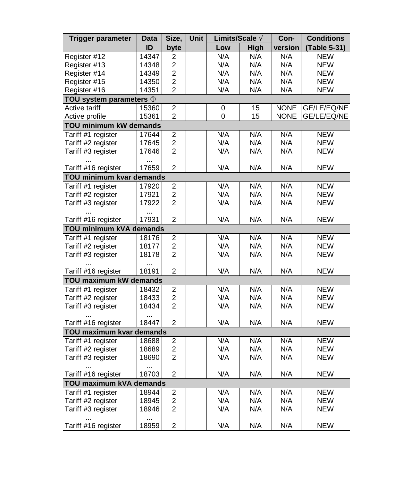| Trigger parameter               | Data               | Size,                   | <b>Unit</b> | Limits/Scale A |      | Con-        | <b>Conditions</b> |
|---------------------------------|--------------------|-------------------------|-------------|----------------|------|-------------|-------------------|
|                                 | ID                 | byte                    |             | Low            | High | version     | (Table 5-31)      |
| Register #12                    | 14347              | $\overline{c}$          |             | N/A            | N/A  | N/A         | <b>NEW</b>        |
| Register #13                    | 14348              | $\overline{c}$          |             | N/A            | N/A  | N/A         | <b>NEW</b>        |
| Register #14                    | 14349              | $\overline{2}$          |             | N/A            | N/A  | N/A         | <b>NEW</b>        |
| Register #15                    | 14350              | $\overline{c}$          |             | N/A            | N/A  | N/A         | <b>NEW</b>        |
| Register #16                    | 14351              | $\overline{2}$          |             | N/A            | N/A  | N/A         | <b>NEW</b>        |
| TOU system parameters 1         |                    |                         |             |                |      |             |                   |
| <b>Active tariff</b>            | 15360              | $\overline{2}$          |             | 0              | 15   | <b>NONE</b> | GE/LE/EQ/NE       |
| Active profile                  | 15361              | $\overline{2}$          |             | 0              | 15   | <b>NONE</b> | GE/LE/EQ/NE       |
| TOU minimum kW demands          |                    |                         |             |                |      |             |                   |
| Tariff #1 register              | 17644              | $\overline{2}$          |             | N/A            | N/A  | N/A         | <b>NEW</b>        |
| Tariff #2 register              | 17645              | $\overline{c}$          |             | N/A            | N/A  | N/A         | <b>NEW</b>        |
| Tariff #3 register              | 17646              | $\overline{c}$          |             | N/A            | N/A  | N/A         | <b>NEW</b>        |
|                                 | $\cdots$           |                         |             |                |      |             |                   |
| Tariff #16 register             | 17659              | $\overline{c}$          |             | N/A            | N/A  | N/A         | <b>NEW</b>        |
| TOU minimum kvar demands        |                    |                         |             |                |      |             |                   |
| Tariff #1 register              | 17920              | $\overline{2}$          |             | N/A            | N/A  | N/A         | <b>NEW</b>        |
| Tariff #2 register              | 17921              | $\overline{c}$          |             | N/A            | N/A  | N/A         | <b>NEW</b>        |
| Tariff #3 register              | 17922              | $\overline{2}$          |             | N/A            | N/A  | N/A         | <b>NEW</b>        |
|                                 |                    |                         |             |                |      |             |                   |
| Tariff #16 register             | 17931              | 2                       |             | N/A            | N/A  | N/A         | <b>NEW</b>        |
| TOU minimum kVA demands         |                    |                         |             |                |      |             |                   |
| Tariff #1 register              | 18176              | $\overline{2}$          |             | N/A            | N/A  | N/A         | <b>NEW</b>        |
| Tariff #2 register              | 18177              | $\overline{c}$          |             | N/A            | N/A  | N/A         | <b>NEW</b>        |
| Tariff #3 register              | 18178<br>$\ddotsc$ | $\overline{c}$          |             | N/A            | N/A  | N/A         | <b>NEW</b>        |
| Tariff #16 register             | 18191              | $\overline{c}$          |             | N/A            | N/A  | N/A         | <b>NEW</b>        |
| <b>TOU maximum kW demands</b>   |                    |                         |             |                |      |             |                   |
| Tariff #1 register              | 18432              | $\overline{\mathbf{c}}$ |             | N/A            | N/A  | N/A         | <b>NEW</b>        |
| Tariff #2 register              | 18433              | $\overline{2}$          |             | N/A            | N/A  | N/A         | <b>NEW</b>        |
| Tariff #3 register              | 18434              | $\overline{2}$          |             | N/A            | N/A  | N/A         | <b>NEW</b>        |
| Tariff #16 register             | 18447              | $\overline{2}$          |             | N/A            | N/A  | N/A         | <b>NEW</b>        |
| <b>TOU maximum kvar demands</b> |                    |                         |             |                |      |             |                   |
| Tariff #1 register              | 18688              | $\overline{c}$          |             | N/A            | N/A  | N/A         | <b>NEW</b>        |
| Tariff #2 register              | 18689              | $\overline{c}$          |             | N/A            | N/A  | N/A         | <b>NEW</b>        |
| Tariff #3 register              | 18690              | $\overline{2}$          |             | N/A            | N/A  | N/A         | <b>NEW</b>        |
|                                 |                    |                         |             |                |      |             |                   |
| Tariff #16 register             | 18703              | $\overline{2}$          |             | N/A            | N/A  | N/A         | <b>NEW</b>        |
| <b>TOU maximum kVA demands</b>  |                    |                         |             |                |      |             |                   |
| Tariff #1 register              | 18944              | $\overline{c}$          |             | N/A            | N/A  | N/A         | <b>NEW</b>        |
| Tariff #2 register              | 18945              | $\overline{c}$          |             | N/A            | N/A  | N/A         | <b>NEW</b>        |
| Tariff #3 register              | 18946              | $\overline{2}$          |             | N/A            | N/A  | N/A         | <b>NEW</b>        |
| Tariff #16 register             | 18959              | $\overline{c}$          |             | N/A            | N/A  | N/A         | <b>NEW</b>        |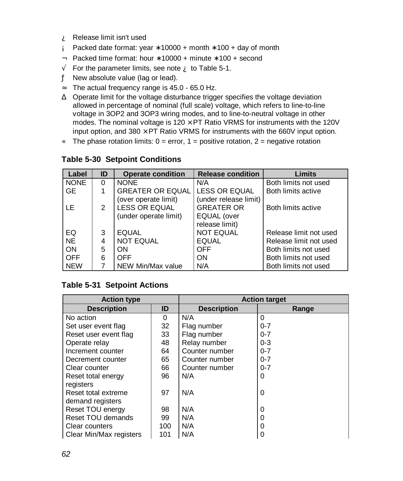- À Release limit isn't used
- Á Packed date format: year  $*$  10000 + month  $*$  100 + day of month
- Â Packed time format: hour ∗ 10000 + minute ∗ 100 + second
- $\tilde{A}$  For the parameter limits, see note  $\tilde{A}$  to Table 5-1.
- Ä New absolute value (lag or lead).
- $\mathring{A}$  The actual frequency range is 45.0 65.0 Hz.
- Æ Operate limit for the voltage disturbance trigger specifies the voltage deviation allowed in percentage of nominal (full scale) voltage, which refers to line-to-line voltage in 3OP2 and 3OP3 wiring modes, and to line-to-neutral voltage in other modes. The nominal voltage is  $120 \times PT$  Ratio VRMS for instruments with the 120V input option, and  $380 \times PT$  Ratio VRMS for instruments with the 660V input option.
- $\bf{C}$  The phase rotation limits: 0 = error, 1 = positive rotation, 2 = negative rotation

| Label       | ID | <b>Operate condition</b> | <b>Release condition</b> | <b>Limits</b>          |
|-------------|----|--------------------------|--------------------------|------------------------|
| <b>NONE</b> | 0  | <b>NONE</b>              | N/A                      | Both limits not used   |
| <b>GE</b>   |    | <b>GREATER OR EQUAL</b>  | <b>LESS OR EQUAL</b>     | Both limits active     |
|             |    | (over operate limit)     | (under release limit)    |                        |
| LE.         | 2  | <b>LESS OR EQUAL</b>     | <b>GREATER OR</b>        | Both limits active     |
|             |    | (under operate limit)    | EQUAL (over              |                        |
|             |    |                          | release limit)           |                        |
| EQ          | 3  | <b>EQUAL</b>             | <b>NOT EQUAL</b>         | Release limit not used |
| <b>NE</b>   | 4  | <b>NOT EQUAL</b>         | <b>EQUAL</b>             | Release limit not used |
| ON          | 5  | <b>ON</b>                | <b>OFF</b>               | Both limits not used   |
| <b>OFF</b>  | 6  | <b>OFF</b>               | ON                       | Both limits not used   |
| <b>NEW</b>  |    | NEW Min/Max value        | N/A                      | Both limits not used   |

#### **Table 5-30 Setpoint Conditions**

#### **Table 5-31 Setpoint Actions**

| <b>Action type</b>      |     | <b>Action target</b> |         |  |  |  |
|-------------------------|-----|----------------------|---------|--|--|--|
| <b>Description</b>      | ID  | <b>Description</b>   | Range   |  |  |  |
| No action               | 0   | N/A                  | 0       |  |  |  |
| Set user event flag     | 32  | Flag number          | $0 - 7$ |  |  |  |
| Reset user event flag   | 33  | Flag number          | $0 - 7$ |  |  |  |
| Operate relay           | 48  | Relay number         | $0 - 3$ |  |  |  |
| Increment counter       | 64  | Counter number       | $0 - 7$ |  |  |  |
| Decrement counter       | 65  | Counter number       | $0 - 7$ |  |  |  |
| Clear counter           | 66  | Counter number       | $0 - 7$ |  |  |  |
| Reset total energy      | 96  | N/A                  | 0       |  |  |  |
| registers               |     |                      |         |  |  |  |
| Reset total extreme     | 97  | N/A                  | 0       |  |  |  |
| demand registers        |     |                      |         |  |  |  |
| Reset TOU energy        | 98  | N/A                  | 0       |  |  |  |
| Reset TOU demands       | 99  | N/A                  | 0       |  |  |  |
| Clear counters          | 100 | N/A                  | 0       |  |  |  |
| Clear Min/Max registers | 101 | N/A                  | 0       |  |  |  |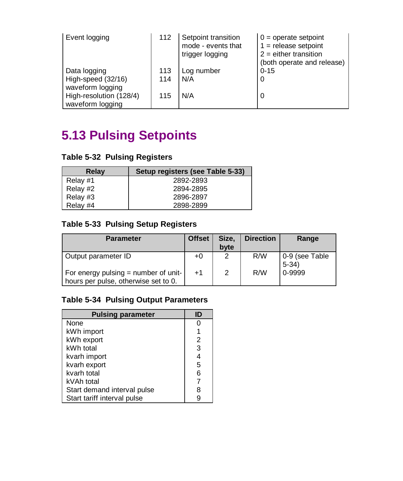| Event logging           | 112 | Setpoint transition<br>mode - events that<br>trigger logging | $0 =$ operate setpoint<br>$1 =$ release setpoint<br>$2$ = either transition<br>(both operate and release) |
|-------------------------|-----|--------------------------------------------------------------|-----------------------------------------------------------------------------------------------------------|
| Data logging            | 113 | Log number                                                   | $0 - 15$                                                                                                  |
| High-speed (32/16)      | 114 | N/A                                                          | 0                                                                                                         |
| waveform logging        |     |                                                              |                                                                                                           |
| High-resolution (128/4) | 115 | N/A                                                          | 0                                                                                                         |
| waveform logging        |     |                                                              |                                                                                                           |

# **5.13 Pulsing Setpoints**

|  |  |  |  | <b>Table 5-32 Pulsing Registers</b> |
|--|--|--|--|-------------------------------------|
|--|--|--|--|-------------------------------------|

| Relay    | Setup registers (see Table 5-33) |
|----------|----------------------------------|
| Relay #1 | 2892-2893                        |
| Relay #2 | 2894-2895                        |
| Relay #3 | 2896-2897                        |
| Relay #4 | 2898-2899                        |

### **Table 5-33 Pulsing Setup Registers**

| <b>Parameter</b>                                                             | <b>Offset</b> | Size.<br>byte | <b>Direction</b> | Range                    |
|------------------------------------------------------------------------------|---------------|---------------|------------------|--------------------------|
| Output parameter ID                                                          | $+0$          | റ             | R/W              | 0-9 (see Table<br>$5-34$ |
| For energy pulsing = number of unit-<br>hours per pulse, otherwise set to 0. | $+1$          | 2             | R/W              | 0-9999                   |

### **Table 5-34 Pulsing Output Parameters**

| <b>Pulsing parameter</b>    | ID |
|-----------------------------|----|
| None                        |    |
| kWh import                  |    |
| kWh export                  | 2  |
| kWh total                   | 3  |
| kvarh import                | 4  |
| kvarh export                | 5  |
| kvarh total                 | 6  |
| kVAh total                  |    |
| Start demand interval pulse | 8  |
| Start tariff interval pulse |    |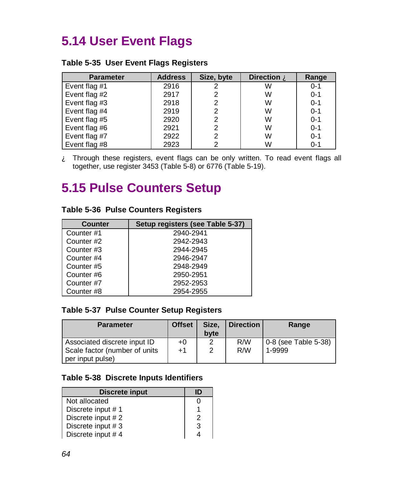# **5.14 User Event Flags**

#### **Table 5-35 User Event Flags Registers**

| <b>Parameter</b> | <b>Address</b> | Size, byte | Direction A | Range   |
|------------------|----------------|------------|-------------|---------|
| Event flag #1    | 2916           | 2          | W           | $0 - 1$ |
| Event flag #2    | 2917           | 2          | W           | $0 - 1$ |
| Event flag #3    | 2918           | 2          | W           | $0 - 1$ |
| Event flag #4    | 2919           | 2          | W           | $0 - 1$ |
| Event flag #5    | 2920           | 2          | W           | $0 - 1$ |
| Event flag #6    | 2921           | 2          | W           | $0 - 1$ |
| Event flag #7    | 2922           | 2          | W           | $0 - 1$ |
| Event flag #8    | 2923           | 2          | W           | $0 - 1$ |

 $\hat{A}$  Through these registers, event flags can be only written. To read event flags all together, use register 3453 (Table 5-8) or 6776 (Table 5-19).

### **5.15 Pulse Counters Setup**

#### **Table 5-36 Pulse Counters Registers**

| <b>Counter</b> | Setup registers (see Table 5-37) |
|----------------|----------------------------------|
| Counter #1     | 2940-2941                        |
| Counter #2     | 2942-2943                        |
| Counter #3     | 2944-2945                        |
| Counter #4     | 2946-2947                        |
| Counter #5     | 2948-2949                        |
| Counter #6     | 2950-2951                        |
| Counter #7     | 2952-2953                        |
| Counter#8      | 2954-2955                        |

#### **Table 5-37 Pulse Counter Setup Registers**

| <b>Parameter</b>                                                                  | <b>Offset</b> | Size.<br>byte | <b>Direction</b> | Range                          |
|-----------------------------------------------------------------------------------|---------------|---------------|------------------|--------------------------------|
| Associated discrete input ID<br>Scale factor (number of units<br>per input pulse) | $+0$<br>$+1$  | ◠<br>2        | R/W<br>R/W       | 0-8 (see Table 5-38)<br>1-9999 |

#### **Table 5-38 Discrete Inputs Identifiers**

| Discrete input    | ID |
|-------------------|----|
| Not allocated     |    |
| Discrete input #1 |    |
| Discrete input #2 | 2  |
| Discrete input #3 | 3  |
| Discrete input #4 |    |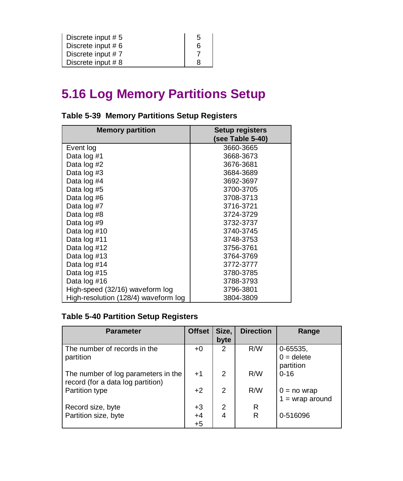| Discrete input #5  | 5 |
|--------------------|---|
| Discrete input # 6 | 6 |
| Discrete input #7  |   |
| Discrete input #8  |   |

# **5.16 Log Memory Partitions Setup**

| <b>Memory partition</b>              | <b>Setup registers</b> |  |  |
|--------------------------------------|------------------------|--|--|
|                                      | (see Table 5-40)       |  |  |
| Event log                            | 3660-3665              |  |  |
| Data log #1                          | 3668-3673              |  |  |
| Data log #2                          | 3676-3681              |  |  |
| Data log #3                          | 3684-3689              |  |  |
| Data log #4                          | 3692-3697              |  |  |
| Data log #5                          | 3700-3705              |  |  |
| Data log #6                          | 3708-3713              |  |  |
| Data log #7                          | 3716-3721              |  |  |
| Data log #8                          | 3724-3729              |  |  |
| Data log #9                          | 3732-3737              |  |  |
| Data log #10                         | 3740-3745              |  |  |
| Data log #11                         | 3748-3753              |  |  |
| Data log #12                         | 3756-3761              |  |  |
| Data log #13                         | 3764-3769              |  |  |
| Data log #14                         | 3772-3777              |  |  |
| Data log #15                         | 3780-3785              |  |  |
| Data log #16                         | 3788-3793              |  |  |
| High-speed (32/16) waveform log      | 3796-3801              |  |  |
| High-resolution (128/4) waveform log | 3804-3809              |  |  |

### **Table 5-39 Memory Partitions Setup Registers**

### **Table 5-40 Partition Setup Registers**

| <b>Parameter</b>                                                         | <b>Offset</b> | Size, | <b>Direction</b> | Range                                     |
|--------------------------------------------------------------------------|---------------|-------|------------------|-------------------------------------------|
|                                                                          |               | byte  |                  |                                           |
| The number of records in the<br>partition                                | +0            | 2     | R/W              | $0 - 65535,$<br>$0 =$ delete<br>partition |
| The number of log parameters in the<br>record (for a data log partition) | $+1$          | 2     | R/W              | $0 - 16$                                  |
| Partition type                                                           | $+2$          | 2     | R/W              | $0 = no$ wrap<br>$1 =$ wrap around        |
| Record size, byte                                                        | $+3$          | 2     | R                |                                           |
| Partition size, byte                                                     | $+4$<br>$+5$  | 4     | R                | 0-516096                                  |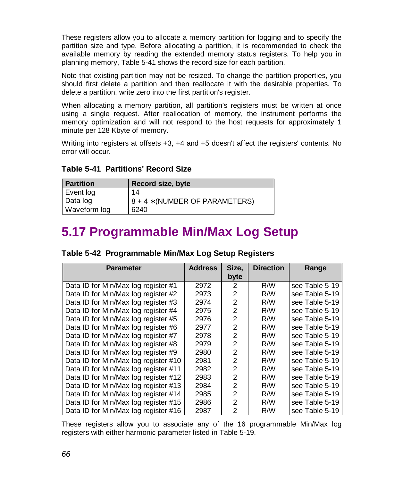These registers allow you to allocate a memory partition for logging and to specify the partition size and type. Before allocating a partition, it is recommended to check the available memory by reading the extended memory status registers. To help you in planning memory, Table 5-41 shows the record size for each partition.

Note that existing partition may not be resized. To change the partition properties, you should first delete a partition and then reallocate it with the desirable properties. To delete a partition, write zero into the first partition's register.

When allocating a memory partition, all partition's registers must be written at once using a single request. After reallocation of memory, the instrument performs the memory optimization and will not respond to the host requests for approximately 1 minute per 128 Kbyte of memory.

Writing into registers at offsets +3, +4 and +5 doesn't affect the registers' contents. No error will occur.

| <b>Partition</b> | <b>Record size, byte</b>       |
|------------------|--------------------------------|
| Event log        | 14                             |
| Data log         | 8 + 4 * (NUMBER OF PARAMETERS) |
| Waveform log     | 6240                           |

#### **Table 5-41 Partitions' Record Size**

## **5.17 Programmable Min/Max Log Setup**

| <b>Parameter</b>                     | <b>Address</b> | Size,          | <b>Direction</b> | Range          |
|--------------------------------------|----------------|----------------|------------------|----------------|
|                                      |                | byte           |                  |                |
| Data ID for Min/Max log register #1  | 2972           | 2              | R/W              | see Table 5-19 |
| Data ID for Min/Max log register #2  | 2973           | $\overline{2}$ | R/W              | see Table 5-19 |
| Data ID for Min/Max log register #3  | 2974           | $\overline{2}$ | R/W              | see Table 5-19 |
| Data ID for Min/Max log register #4  | 2975           | $\overline{2}$ | R/W              | see Table 5-19 |
| Data ID for Min/Max log register #5  | 2976           | $\overline{2}$ | R/W              | see Table 5-19 |
| Data ID for Min/Max log register #6  | 2977           | 2              | R/W              | see Table 5-19 |
| Data ID for Min/Max log register #7  | 2978           | 2              | R/W              | see Table 5-19 |
| Data ID for Min/Max log register #8  | 2979           | 2              | R/W              | see Table 5-19 |
| Data ID for Min/Max log register #9  | 2980           | 2              | R/W              | see Table 5-19 |
| Data ID for Min/Max log register #10 | 2981           | 2              | R/W              | see Table 5-19 |
| Data ID for Min/Max log register #11 | 2982           | $\overline{2}$ | R/W              | see Table 5-19 |
| Data ID for Min/Max log register #12 | 2983           | $\overline{2}$ | R/W              | see Table 5-19 |
| Data ID for Min/Max log register #13 | 2984           | $\overline{2}$ | R/W              | see Table 5-19 |
| Data ID for Min/Max log register #14 | 2985           | $\overline{2}$ | R/W              | see Table 5-19 |
| Data ID for Min/Max log register #15 | 2986           | $\overline{2}$ | R/W              | see Table 5-19 |
| Data ID for Min/Max log register #16 | 2987           | $\mathcal{P}$  | R/W              | see Table 5-19 |

| Table 5-42 Programmable Min/Max Log Setup Registers |
|-----------------------------------------------------|
|-----------------------------------------------------|

These registers allow you to associate any of the 16 programmable Min/Max log registers with either harmonic parameter listed in Table 5-19.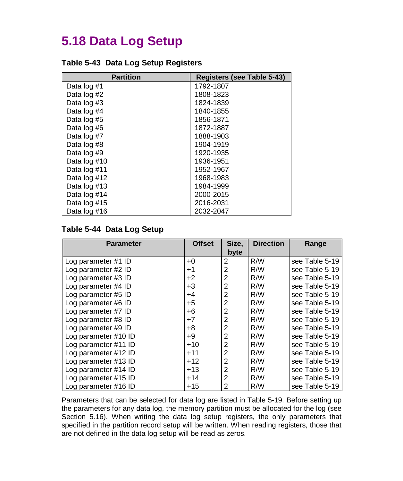# **5.18 Data Log Setup**

| Table 5-43 Data Log Setup Registers |  |
|-------------------------------------|--|
|-------------------------------------|--|

| <b>Partition</b> | Registers (see Table 5-43) |
|------------------|----------------------------|
| Data log #1      | 1792-1807                  |
| Data log #2      | 1808-1823                  |
| Data log #3      | 1824-1839                  |
| Data log #4      | 1840-1855                  |
| Data log #5      | 1856-1871                  |
| Data log #6      | 1872-1887                  |
| Data log #7      | 1888-1903                  |
| Data log #8      | 1904-1919                  |
| Data log #9      | 1920-1935                  |
| Data log #10     | 1936-1951                  |
| Data log #11     | 1952-1967                  |
| Data log #12     | 1968-1983                  |
| Data log #13     | 1984-1999                  |
| Data log #14     | 2000-2015                  |
| Data log #15     | 2016-2031                  |
| Data log #16     | 2032-2047                  |

#### **Table 5-44 Data Log Setup**

| <b>Parameter</b>     | <b>Offset</b> | Size,          | <b>Direction</b> | Range          |
|----------------------|---------------|----------------|------------------|----------------|
|                      |               | byte           |                  |                |
| Log parameter #1 ID  | $+0$          | $\overline{2}$ | R/W              | see Table 5-19 |
| Log parameter #2 ID  | $+1$          | 2              | R/W              | see Table 5-19 |
| Log parameter #3 ID  | $+2$          | $\overline{2}$ | R/W              | see Table 5-19 |
| Log parameter #4 ID  | $+3$          | 2              | R/W              | see Table 5-19 |
| Log parameter #5 ID  | +4            | 2              | R/W              | see Table 5-19 |
| Log parameter #6 ID  | $+5$          | 2              | R/W              | see Table 5-19 |
| Log parameter #7 ID  | +6            | $\overline{2}$ | R/W              | see Table 5-19 |
| Log parameter #8 ID  | $+7$          | $\overline{2}$ | R/W              | see Table 5-19 |
| Log parameter #9 ID  | +8            | $\overline{2}$ | R/W              | see Table 5-19 |
| Log parameter #10 ID | +9            | $\overline{2}$ | R/W              | see Table 5-19 |
| Log parameter #11 ID | $+10$         | $\overline{2}$ | R/W              | see Table 5-19 |
| Log parameter #12 ID | $+11$         | $\overline{2}$ | R/W              | see Table 5-19 |
| Log parameter #13 ID | $+12$         | $\overline{2}$ | R/W              | see Table 5-19 |
| Log parameter #14 ID | $+13$         | $\overline{2}$ | R/W              | see Table 5-19 |
| Log parameter #15 ID | $+14$         | $\overline{2}$ | R/W              | see Table 5-19 |
| Log parameter #16 ID | $+15$         | $\overline{2}$ | R/W              | see Table 5-19 |

Parameters that can be selected for data log are listed in Table 5-19. Before setting up the parameters for any data log, the memory partition must be allocated for the log (see Section 5.16). When writing the data log setup registers, the only parameters that specified in the partition record setup will be written. When reading registers, those that are not defined in the data log setup will be read as zeros.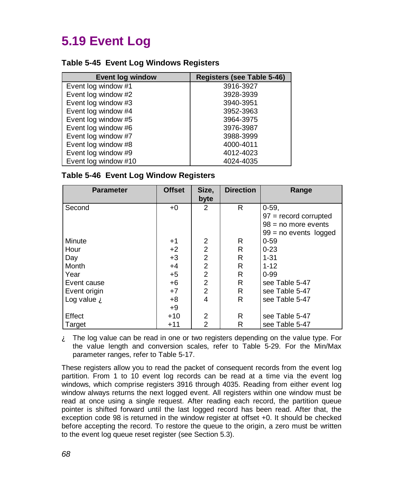# **5.19 Event Log**

#### **Table 5-45 Event Log Windows Registers**

| <b>Event log window</b> | <b>Registers (see Table 5-46)</b> |
|-------------------------|-----------------------------------|
| Event log window #1     | 3916-3927                         |
| Event log window #2     | 3928-3939                         |
| Event log window #3     | 3940-3951                         |
| Event log window #4     | 3952-3963                         |
| Event log window #5     | 3964-3975                         |
| Event log window #6     | 3976-3987                         |
| Event log window #7     | 3988-3999                         |
| Event log window #8     | 4000-4011                         |
| Event log window #9     | 4012-4023                         |
| Event log window #10    | 4024-4035                         |

#### **Table 5-46 Event Log Window Registers**

| <b>Parameter</b>             | <b>Offset</b> | Size,          | <b>Direction</b> | Range                   |
|------------------------------|---------------|----------------|------------------|-------------------------|
|                              |               | byte           |                  |                         |
| Second                       | $+0$          | 2              | R                | $0 - 59.$               |
|                              |               |                |                  | $97 =$ record corrupted |
|                              |               |                |                  | $98 = no$ more events   |
|                              |               |                |                  | $99 = no$ events logged |
| Minute                       | $+1$          | 2              | R                | $0 - 59$                |
| Hour                         | $+2$          | $\overline{2}$ | R                | $0 - 23$                |
| Day                          | $+3$          | $\overline{2}$ | R                | $1 - 31$                |
| Month                        | $+4$          | $\overline{2}$ | R                | $1 - 12$                |
| Year                         | $+5$          | $\overline{2}$ | R                | $0 - 99$                |
| Event cause                  | $+6$          | $\overline{2}$ | R                | see Table 5-47          |
| Event origin                 | $+7$          | $\overline{2}$ | R                | see Table 5-47          |
| Log value $\mathbf{\hat{A}}$ | $+8$          | 4              | R                | see Table 5-47          |
|                              | $+9$          |                |                  |                         |
| Effect                       | $+10$         | 2              | R                | see Table 5-47          |
| Target                       | $+11$         | $\overline{2}$ | R                | see Table 5-47          |

 $\mathbf{\hat{A}}$  The log value can be read in one or two registers depending on the value type. For the value length and conversion scales, refer to Table 5-29. For the Min/Max parameter ranges, refer to Table 5-17.

These registers allow you to read the packet of consequent records from the event log partition. From 1 to 10 event log records can be read at a time via the event log windows, which comprise registers 3916 through 4035. Reading from either event log window always returns the next logged event. All registers within one window must be read at once using a single request. After reading each record, the partition queue pointer is shifted forward until the last logged record has been read. After that, the exception code 98 is returned in the window register at offset +0. It should be checked before accepting the record. To restore the queue to the origin, a zero must be written to the event log queue reset register (see Section 5.3).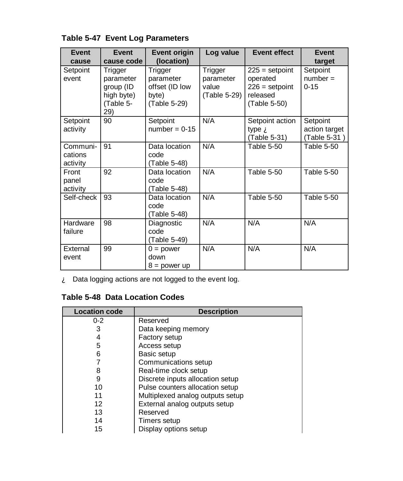| <b>Event</b>                    | Event                                                                             | <b>Event origin</b>                                                           | Log value                                     | <b>Event effect</b>                                                          | Event                                        |
|---------------------------------|-----------------------------------------------------------------------------------|-------------------------------------------------------------------------------|-----------------------------------------------|------------------------------------------------------------------------------|----------------------------------------------|
| cause<br>Setpoint<br>event      | cause code<br>Trigger<br>parameter<br>group (ID<br>high byte)<br>(Table 5-<br>29) | (location)<br>Trigger<br>parameter<br>offset (ID low<br>byte)<br>(Table 5-29) | Trigger<br>parameter<br>value<br>(Table 5-29) | $225 =$ setpoint<br>operated<br>$226 =$ setpoint<br>released<br>(Table 5-50) | target<br>Setpoint<br>$number =$<br>$0 - 15$ |
| Setpoint<br>activity            | 90                                                                                | Setpoint<br>$number = 0-15$                                                   | N/A                                           | Setpoint action<br>type $\mathbf{\tilde{A}}$<br>(Table 5-31)                 | Setpoint<br>action target<br>(Table 5-31)    |
| Communi-<br>cations<br>activity | 91                                                                                | Data location<br>code<br>(Table 5-48)                                         | N/A                                           | <b>Table 5-50</b>                                                            | <b>Table 5-50</b>                            |
| Front<br>panel<br>activity      | 92                                                                                | Data location<br>code<br>(Table 5-48)                                         | N/A                                           | <b>Table 5-50</b>                                                            | <b>Table 5-50</b>                            |
| Self-check                      | 93                                                                                | Data location<br>code<br>(Table 5-48)                                         | N/A                                           | <b>Table 5-50</b>                                                            | <b>Table 5-50</b>                            |
| Hardware<br>failure             | 98                                                                                | Diagnostic<br>code<br>(Table 5-49)                                            | N/A                                           | N/A                                                                          | N/A                                          |
| External<br>event               | 99                                                                                | $0 = power$<br>down<br>$8 =$ power up                                         | N/A                                           | N/A                                                                          | N/A                                          |

### **Table 5-47 Event Log Parameters**

À Data logging actions are not logged to the event log.

### **Table 5-48 Data Location Codes**

| <b>Location code</b> | <b>Description</b>               |  |
|----------------------|----------------------------------|--|
| $0 - 2$              | Reserved                         |  |
| 3                    | Data keeping memory              |  |
|                      | Factory setup                    |  |
| 5                    | Access setup                     |  |
| 6                    | Basic setup                      |  |
|                      | Communications setup             |  |
| 8                    | Real-time clock setup            |  |
| 9                    | Discrete inputs allocation setup |  |
| 10                   | Pulse counters allocation setup  |  |
| 11                   | Multiplexed analog outputs setup |  |
| 12                   | External analog outputs setup    |  |
| 13                   | Reserved                         |  |
| 14                   | Timers setup                     |  |
| 15                   | Display options setup            |  |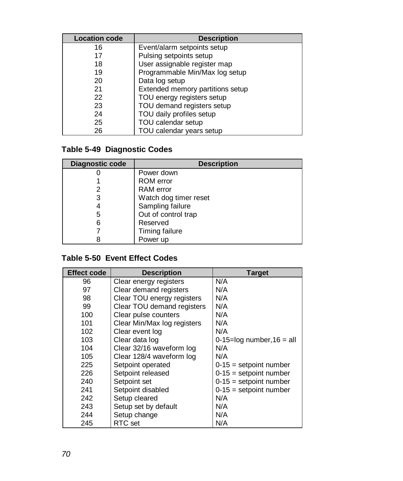| <b>Location code</b> | <b>Description</b>               |
|----------------------|----------------------------------|
| 16                   | Event/alarm setpoints setup      |
| 17                   | Pulsing setpoints setup          |
| 18                   | User assignable register map     |
| 19                   | Programmable Min/Max log setup   |
| 20                   | Data log setup                   |
| 21                   | Extended memory partitions setup |
| 22                   | TOU energy registers setup       |
| 23                   | TOU demand registers setup       |
| 24                   | TOU daily profiles setup         |
| 25                   | TOU calendar setup               |
| 26                   | TOU calendar years setup         |

### **Table 5-49 Diagnostic Codes**

| Diagnostic code | <b>Description</b>    |
|-----------------|-----------------------|
|                 | Power down            |
|                 | <b>ROM</b> error      |
|                 | RAM error             |
| 3               | Watch dog timer reset |
|                 | Sampling failure      |
| 5               | Out of control trap   |
| 6               | Reserved              |
|                 | Timing failure        |
|                 | Power up              |

### **Table 5-50 Event Effect Codes**

| <b>Effect code</b> | <b>Description</b>          | <b>Target</b>                  |
|--------------------|-----------------------------|--------------------------------|
| 96                 | Clear energy registers      | N/A                            |
| 97                 | Clear demand registers      | N/A                            |
| 98                 | Clear TOU energy registers  | N/A                            |
| 99                 | Clear TOU demand registers  | N/A                            |
| 100                | Clear pulse counters        | N/A                            |
| 101                | Clear Min/Max log registers | N/A                            |
| 102                | Clear event log             | N/A                            |
| 103                | Clear data log              | $0-15=$ log number, $16 = all$ |
| 104                | Clear 32/16 waveform log    | N/A                            |
| 105                | Clear 128/4 waveform log    | N/A                            |
| 225                | Setpoint operated           | $0-15$ = setpoint number       |
| 226                | Setpoint released           | $0-15$ = setpoint number       |
| 240                | Setpoint set                | $0-15$ = setpoint number       |
| 241                | Setpoint disabled           | $0-15$ = setpoint number       |
| 242                | Setup cleared               | N/A                            |
| 243                | Setup set by default        | N/A                            |
| 244                | Setup change                | N/A                            |
| 245                | RTC set                     | N/A                            |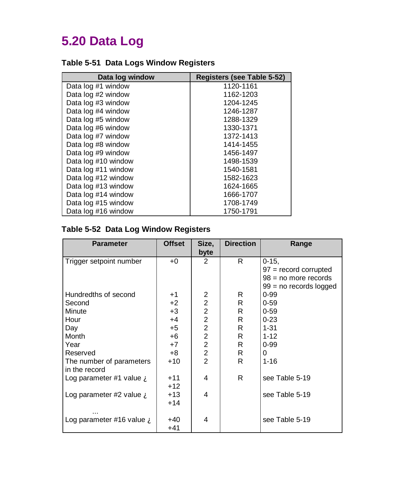# **5.20 Data Log**

### **Table 5-51 Data Logs Window Registers**

| Data log window     | <b>Registers (see Table 5-52)</b> |  |  |
|---------------------|-----------------------------------|--|--|
| Data log #1 window  | 1120-1161                         |  |  |
| Data log #2 window  | 1162-1203                         |  |  |
| Data log #3 window  | 1204-1245                         |  |  |
| Data log #4 window  | 1246-1287                         |  |  |
| Data log #5 window  | 1288-1329                         |  |  |
| Data log #6 window  | 1330-1371                         |  |  |
| Data log #7 window  | 1372-1413                         |  |  |
| Data log #8 window  | 1414-1455                         |  |  |
| Data log #9 window  | 1456-1497                         |  |  |
| Data log #10 window | 1498-1539                         |  |  |
| Data log #11 window | 1540-1581                         |  |  |
| Data log #12 window | 1582-1623                         |  |  |
| Data log #13 window | 1624-1665                         |  |  |
| Data log #14 window | 1666-1707                         |  |  |
| Data log #15 window | 1708-1749                         |  |  |
| Data log #16 window | 1750-1791                         |  |  |

### **Table 5-52 Data Log Window Registers**

| <b>Parameter</b>                      | <b>Offset</b> | Size.                   | <b>Direction</b> | Range                    |
|---------------------------------------|---------------|-------------------------|------------------|--------------------------|
|                                       |               | byte                    |                  |                          |
| Trigger setpoint number               | +0            | $\mathcal{P}$           | R.               | $0 - 15.$                |
|                                       |               |                         |                  | $97 =$ record corrupted  |
|                                       |               |                         |                  | $98 = no$ more records   |
|                                       |               |                         |                  | $99 = no$ records logged |
| Hundredths of second                  | $+1$          | 2                       | R.               | $0 - 99$                 |
| Second                                | $+2$          | $\overline{2}$          | R                | $0 - 59$                 |
| Minute                                | $+3$          | 2                       | R                | $0 - 59$                 |
| Hour                                  | +4            | 2                       | R                | $0 - 23$                 |
| Day                                   | $+5$          | $\overline{c}$          | R                | $1 - 31$                 |
| Month                                 | $+6$          | $\overline{c}$          | R                | $1 - 12$                 |
| Year                                  | $+7$          | $\overline{2}$          | R                | $0 - 99$                 |
| Reserved                              | $+8$          | $\overline{\mathbf{c}}$ | R                | 0                        |
| The number of parameters              | $+10$         | $\overline{2}$          | R                | $1 - 16$                 |
| in the record                         |               |                         |                  |                          |
| Log parameter #1 value $\mathbf{A}$   | $+11$         | 4                       | R                | see Table 5-19           |
|                                       | $+12$         |                         |                  |                          |
| Log parameter #2 value $\overline{A}$ | $+13$         | 4                       |                  | see Table 5-19           |
|                                       | $+14$         |                         |                  |                          |
|                                       |               |                         |                  |                          |
| Log parameter #16 value $\mathbf{A}$  | +40           | 4                       |                  | see Table 5-19           |
|                                       | $+41$         |                         |                  |                          |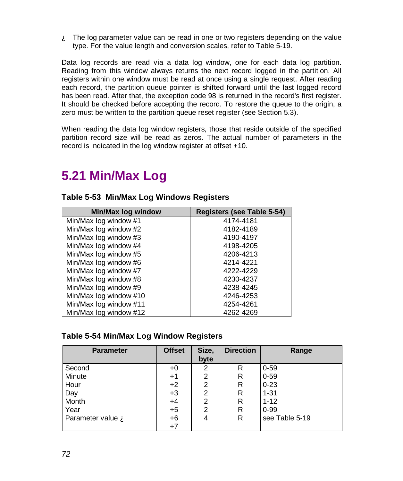$\mathbf{\hat{A}}$  The log parameter value can be read in one or two registers depending on the value type. For the value length and conversion scales, refer to Table 5-19.

Data log records are read via a data log window, one for each data log partition. Reading from this window always returns the next record logged in the partition. All registers within one window must be read at once using a single request. After reading each record, the partition queue pointer is shifted forward until the last logged record has been read. After that, the exception code 98 is returned in the record's first register. It should be checked before accepting the record. To restore the queue to the origin, a zero must be written to the partition queue reset register (see Section 5.3).

When reading the data log window registers, those that reside outside of the specified partition record size will be read as zeros. The actual number of parameters in the record is indicated in the log window register at offset +10.

# **5.21 Min/Max Log**

| <b>Min/Max log window</b> | Registers (see Table 5-54) |
|---------------------------|----------------------------|
| Min/Max log window #1     | 4174-4181                  |
| Min/Max log window #2     | 4182-4189                  |
| Min/Max log window #3     | 4190-4197                  |
| Min/Max log window #4     | 4198-4205                  |
| Min/Max log window #5     | 4206-4213                  |
| Min/Max log window #6     | 4214-4221                  |
| Min/Max log window #7     | 4222-4229                  |
| Min/Max log window #8     | 4230-4237                  |
| Min/Max log window #9     | 4238-4245                  |
| Min/Max log window #10    | 4246-4253                  |
| Min/Max log window #11    | 4254-4261                  |
| Min/Max log window #12    | 4262-4269                  |

#### **Table 5-53 Min/Max Log Windows Registers**

#### **Table 5-54 Min/Max Log Window Registers**

| <b>Parameter</b>  | <b>Offset</b> | Size,          | <b>Direction</b> | Range          |
|-------------------|---------------|----------------|------------------|----------------|
|                   |               | byte           |                  |                |
| Second            | $+0$          | 2              | R                | $0 - 59$       |
| Minute            | $+1$          | 2              | R                | $0 - 59$       |
| Hour              | $+2$          | 2              | R                | $0 - 23$       |
| Day               | $+3$          | 2              | R                | $1 - 31$       |
| Month             | $+4$          | 2              | R                | $1 - 12$       |
| Year              | $+5$          | $\overline{2}$ | R                | $0 - 99$       |
| Parameter value A | $+6$          | 4              | R                | see Table 5-19 |
|                   | $+7$          |                |                  |                |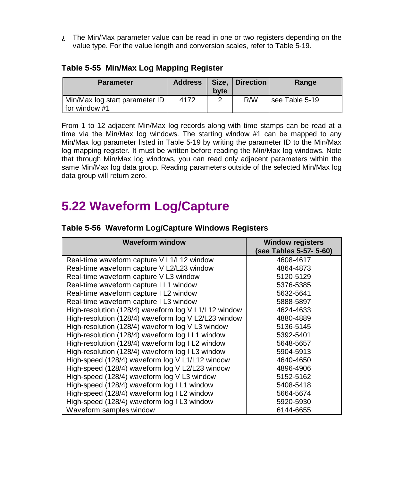$\mathbf{\hat{A}}$  The Min/Max parameter value can be read in one or two registers depending on the value type. For the value length and conversion scales, refer to Table 5-19.

### **Table 5-55 Min/Max Log Mapping Register**

| <b>Parameter</b>                                      | <b>Address</b> | byte | Size.   Direction | Range          |
|-------------------------------------------------------|----------------|------|-------------------|----------------|
| Min/Max log start parameter ID  <br>If or window $#1$ | 4172           | ⌒    | R/W               | see Table 5-19 |

From 1 to 12 adjacent Min/Max log records along with time stamps can be read at a time via the Min/Max log windows. The starting window #1 can be mapped to any Min/Max log parameter listed in Table 5-19 by writing the parameter ID to the Min/Max log mapping register. It must be written before reading the Min/Max log windows. Note that through Min/Max log windows, you can read only adjacent parameters within the same Min/Max log data group. Reading parameters outside of the selected Min/Max log data group will return zero.

# **5.22 Waveform Log/Capture**

| <b>Waveform window</b>                               | <b>Window registers</b> |
|------------------------------------------------------|-------------------------|
|                                                      | (see Tables 5-57- 5-60) |
| Real-time waveform capture V L1/L12 window           | 4608-4617               |
| Real-time waveform capture V L2/L23 window           | 4864-4873               |
| Real-time waveform capture V L3 window               | 5120-5129               |
| Real-time waveform capture I L1 window               | 5376-5385               |
| Real-time waveform capture I L2 window               | 5632-5641               |
| Real-time waveform capture I L3 window               | 5888-5897               |
| High-resolution (128/4) waveform log V L1/L12 window | 4624-4633               |
| High-resolution (128/4) waveform log V L2/L23 window | 4880-4889               |
| High-resolution (128/4) waveform log V L3 window     | 5136-5145               |
| High-resolution (128/4) waveform log I L1 window     | 5392-5401               |
| High-resolution (128/4) waveform log I L2 window     | 5648-5657               |
| High-resolution (128/4) waveform log I L3 window     | 5904-5913               |
| High-speed (128/4) waveform log V L1/L12 window      | 4640-4650               |
| High-speed (128/4) waveform log V L2/L23 window      | 4896-4906               |
| High-speed (128/4) waveform log V L3 window          | 5152-5162               |
| High-speed (128/4) waveform log I L1 window          | 5408-5418               |
| High-speed (128/4) waveform log I L2 window          | 5664-5674               |
| High-speed (128/4) waveform log I L3 window          | 5920-5930               |
| Waveform samples window                              | 6144-6655               |

### **Table 5-56 Waveform Log/Capture Windows Registers**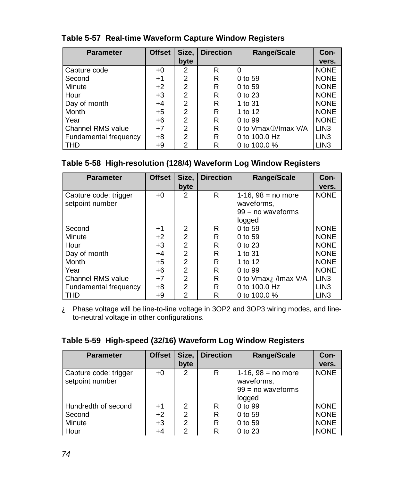| <b>Parameter</b>      | <b>Offset</b> | Size,          | <b>Direction</b> | Range/Scale         | Con-             |
|-----------------------|---------------|----------------|------------------|---------------------|------------------|
|                       |               | byte           |                  |                     | vers.            |
| Capture code          | $+0$          | $\mathfrak{p}$ | R                | $\Omega$            | <b>NONE</b>      |
| Second                | $+1$          | $\overline{2}$ | R                | 0 to 59             | <b>NONE</b>      |
| Minute                | $+2$          | $\overline{2}$ | R                | 0 to 59             | <b>NONE</b>      |
| Hour                  | $+3$          | $\overline{2}$ | R                | 0 to 23             | <b>NONE</b>      |
| Day of month          | $+4$          | $\overline{2}$ | R                | 1 to 31             | <b>NONE</b>      |
| Month                 | $+5$          | $\overline{2}$ | R                | 1 to 12             | <b>NONE</b>      |
| Year                  | $+6$          | $\overline{2}$ | R                | 0 to 99             | <b>NONE</b>      |
| Channel RMS value     | $+7$          | $\overline{2}$ | R                | 0 to Vmax 1/max V/A | LIN <sub>3</sub> |
| Fundamental frequency | $+8$          | $\overline{2}$ | R                | 0 to 100.0 Hz       | LIN <sub>3</sub> |
| <b>THD</b>            | +9            | 2              | R                | 0 to 100.0 %        | LIN <sub>3</sub> |

### **Table 5-57 Real-time Waveform Capture Window Registers**

## **Table 5-58 High-resolution (128/4) Waveform Log Window Registers**

| <b>Parameter</b>                         | <b>Offset</b> | Size.          | <b>Direction</b> | <b>Range/Scale</b>                 | Con-             |
|------------------------------------------|---------------|----------------|------------------|------------------------------------|------------------|
|                                          |               | byte           |                  |                                    | vers.            |
| Capture code: trigger<br>setpoint number | +0            | 2              | R                | 1-16, $98 = no$ more<br>waveforms. | <b>NONE</b>      |
|                                          |               |                |                  | $99 = no$ waveforms                |                  |
|                                          |               |                |                  | logged                             |                  |
| Second                                   | $+1$          | 2              | R                | 0 to 59                            | <b>NONE</b>      |
| Minute                                   | $+2$          | $\overline{2}$ | R                | 0 to 59                            | <b>NONE</b>      |
| Hour                                     | $+3$          | 2              | R                | 0 to 23                            | <b>NONE</b>      |
| Day of month                             | $+4$          | $\overline{2}$ | R                | 1 to 31                            | <b>NONE</b>      |
| Month                                    | $+5$          | $\overline{2}$ | R                | 1 to 12                            | <b>NONE</b>      |
| Year                                     | +6            | $\overline{2}$ | R                | 0 to 99                            | <b>NONE</b>      |
| <b>Channel RMS value</b>                 | $+7$          | $\mathfrak{p}$ | R                | 0 to Vmax <b>A</b> /Imax V/A       | LIN <sub>3</sub> |
| Fundamental frequency                    | $+8$          | $\overline{2}$ | R                | 0 to 100.0 Hz                      | LIN <sub>3</sub> |
| THD                                      | +9            | 2              | R                | 0 to $100.0\%$                     | LIN <sub>3</sub> |

À Phase voltage will be line-to-line voltage in 3OP2 and 3OP3 wiring modes, and lineto-neutral voltage in other configurations.

## **Table 5-59 High-speed (32/16) Waveform Log Window Registers**

| <b>Parameter</b>                         | <b>Offset</b> | Size,          | <b>Direction</b> | <b>Range/Scale</b>                 | Con-        |
|------------------------------------------|---------------|----------------|------------------|------------------------------------|-------------|
|                                          |               | byte           |                  |                                    | vers.       |
| Capture code: trigger<br>setpoint number | $+0$          | 2              | R                | 1-16, $98 = no$ more<br>waveforms, | <b>NONE</b> |
|                                          |               |                |                  | $99 = no$ waveforms                |             |
|                                          |               |                |                  | logged                             |             |
| Hundredth of second                      | $+1$          | 2              | R                | 0 to 99                            | <b>NONE</b> |
| Second                                   | $+2$          | $\overline{2}$ | R                | 0 to 59                            | <b>NONE</b> |
| Minute                                   | $+3$          | $\overline{2}$ | R                | 0 to 59                            | <b>NONE</b> |
| Hour                                     | $+4$          | 2              | R                | 0 to 23                            | <b>NONE</b> |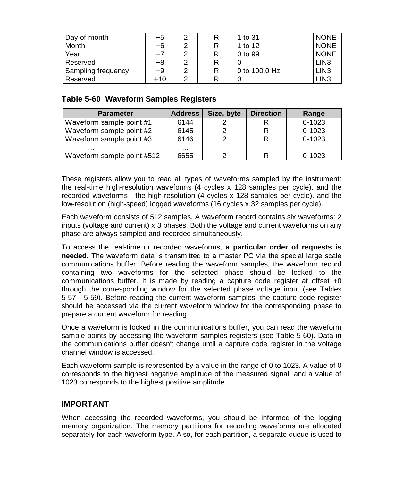| Day of month       | +5    | າ | 1 to 31       | <b>NONE</b>      |
|--------------------|-------|---|---------------|------------------|
| Month              | +6    | ົ | 1 to 12       | <b>NONE</b>      |
| Year               | +7    | າ | 0 to 99       | <b>NONE</b>      |
| Reserved           | +8    | າ |               | LIN <sub>3</sub> |
| Sampling frequency | +9    | っ | 0 to 100.0 Hz | LIN <sub>3</sub> |
| Reserved           | $+10$ | ◠ |               | LIN <sub>3</sub> |

#### **Table 5-60 Waveform Samples Registers**

| <b>Parameter</b>           | <b>Address</b> | Size, byte | <b>Direction</b> | Range      |
|----------------------------|----------------|------------|------------------|------------|
| Waveform sample point #1   | 6144           |            |                  | $0 - 1023$ |
| Waveform sample point #2   | 6145           |            | R                | $0 - 1023$ |
| Waveform sample point #3   | 6146           |            | R                | $0 - 1023$ |
|                            | $\cdots$       |            |                  |            |
| Waveform sample point #512 | 6655           |            |                  | $0 - 1023$ |

These registers allow you to read all types of waveforms sampled by the instrument: the real-time high-resolution waveforms (4 cycles x 128 samples per cycle), and the recorded waveforms - the high-resolution (4 cycles x 128 samples per cycle), and the low-resolution (high-speed) logged waveforms (16 cycles x 32 samples per cycle).

Each waveform consists of 512 samples. A waveform record contains six waveforms: 2 inputs (voltage and current) x 3 phases. Both the voltage and current waveforms on any phase are always sampled and recorded simultaneously.

To access the real-time or recorded waveforms, **a particular order of requests is needed**. The waveform data is transmitted to a master PC via the special large scale communications buffer. Before reading the waveform samples, the waveform record containing two waveforms for the selected phase should be locked to the communications buffer. It is made by reading a capture code register at offset +0 through the corresponding window for the selected phase voltage input (see Tables 5-57 - 5-59). Before reading the current waveform samples, the capture code register should be accessed via the current waveform window for the corresponding phase to prepare a current waveform for reading.

Once a waveform is locked in the communications buffer, you can read the waveform sample points by accessing the waveform samples registers (see Table 5-60). Data in the communications buffer doesn't change until a capture code register in the voltage channel window is accessed.

Each waveform sample is represented by a value in the range of 0 to 1023. A value of 0 corresponds to the highest negative amplitude of the measured signal, and a value of 1023 corresponds to the highest positive amplitude.

#### **IMPORTANT**

When accessing the recorded waveforms, you should be informed of the logging memory organization. The memory partitions for recording waveforms are allocated separately for each waveform type. Also, for each partition, a separate queue is used to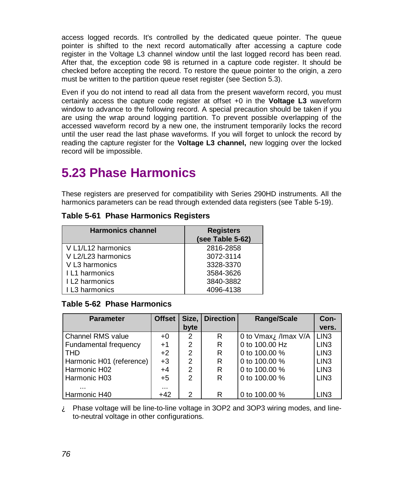access logged records. It's controlled by the dedicated queue pointer. The queue pointer is shifted to the next record automatically after accessing a capture code register in the Voltage L3 channel window until the last logged record has been read. After that, the exception code 98 is returned in a capture code register. It should be checked before accepting the record. To restore the queue pointer to the origin, a zero must be written to the partition queue reset register (see Section 5.3).

Even if you do not intend to read all data from the present waveform record, you must certainly access the capture code register at offset +0 in the **Voltage L3** waveform window to advance to the following record. A special precaution should be taken if you are using the wrap around logging partition. To prevent possible overlapping of the accessed waveform record by a new one, the instrument temporarily locks the record until the user read the last phase waveforms. If you will forget to unlock the record by reading the capture register for the **Voltage L3 channel,** new logging over the locked record will be impossible.

# **5.23 Phase Harmonics**

These registers are preserved for compatibility with Series 290HD instruments. All the harmonics parameters can be read through extended data registers (see Table 5-19).

| <b>Harmonics channel</b> | <b>Registers</b> |
|--------------------------|------------------|
|                          | (see Table 5-62) |
| V L1/L12 harmonics       | 2816-2858        |
| V L2/L23 harmonics       | 3072-3114        |
| V L3 harmonics           | 3328-3370        |
| I L1 harmonics           | 3584-3626        |
| I L2 harmonics           | 3840-3882        |
| I L3 harmonics           | 4096-4138        |

#### **Table 5-61 Phase Harmonics Registers**

### **Table 5-62 Phase Harmonics**

| <b>Parameter</b>         | <b>Offset</b> |                | Size, Direction | <b>Range/Scale</b>                    | Con-             |
|--------------------------|---------------|----------------|-----------------|---------------------------------------|------------------|
|                          |               | byte           |                 |                                       | vers.            |
| Channel RMS value        | $+0$          | $\overline{2}$ | R               | 0 to Vmax $\mathbf{\hat{A}}$ Imax V/A | LIN <sub>3</sub> |
| Fundamental frequency    | $+1$          | $\overline{2}$ | R               | 0 to 100,00 Hz                        | LIN <sub>3</sub> |
| <b>THD</b>               | $+2$          | $\overline{2}$ | R               | 0 to 100,00 %                         | LIN <sub>3</sub> |
| Harmonic H01 (reference) | $+3$          | $\overline{2}$ | R               | 0 to 100,00 %                         | LIN <sub>3</sub> |
| Harmonic H02             | $+4$          | 2              | R               | 0 to 100,00 %                         | LIN <sub>3</sub> |
| Harmonic H03             | $+5$          | $\overline{2}$ | R               | 0 to 100,00 %                         | LIN <sub>3</sub> |
| $\cdots$                 | $\cdots$      |                |                 |                                       |                  |
| Harmonic H40             | $+42$         | $\overline{2}$ | R               | 0 to 100,00 %                         | LIN <sub>3</sub> |

 $\mathbf{\hat{A}}$  Phase voltage will be line-to-line voltage in 3OP2 and 3OP3 wiring modes, and lineto-neutral voltage in other configurations.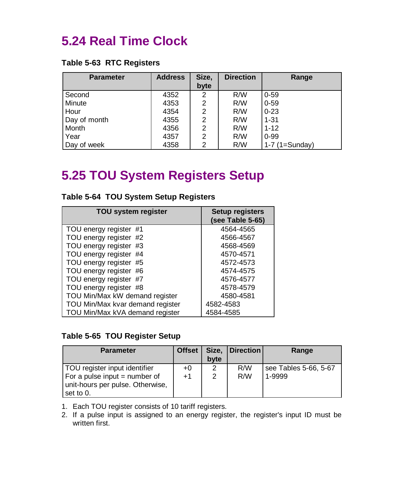# **5.24 Real Time Clock**

#### **Table 5-63 RTC Registers**

| <b>Parameter</b> | <b>Address</b> | Size,          | <b>Direction</b> | Range            |
|------------------|----------------|----------------|------------------|------------------|
|                  |                | byte           |                  |                  |
| Second           | 4352           | 2              | R/W              | $0 - 59$         |
| Minute           | 4353           | 2              | R/W              | $0 - 59$         |
| Hour             | 4354           | 2              | R/W              | $0 - 23$         |
| Day of month     | 4355           | 2              | R/W              | $1 - 31$         |
| Month            | 4356           | 2              | R/W              | $1 - 12$         |
| Year             | 4357           | $\overline{2}$ | R/W              | $0 - 99$         |
| Day of week      | 4358           | 2              | R/W              | $1-7$ (1=Sunday) |

# **5.25 TOU System Registers Setup**

| <b>TOU system register</b>       | <b>Setup registers</b><br>(see Table 5-65) |
|----------------------------------|--------------------------------------------|
| TOU energy register #1           | 4564-4565                                  |
| TOU energy register #2           | 4566-4567                                  |
| TOU energy register #3           | 4568-4569                                  |
| TOU energy register #4           | 4570-4571                                  |
| TOU energy register #5           | 4572-4573                                  |
| TOU energy register #6           | 4574-4575                                  |
| TOU energy register #7           | 4576-4577                                  |
| TOU energy register #8           | 4578-4579                                  |
| TOU Min/Max kW demand register   | 4580-4581                                  |
| TOU Min/Max kvar demand register | 4582-4583                                  |
| TOU Min/Max kVA demand register  | 4584-4585                                  |

## **Table 5-64 TOU System Setup Registers**

#### **Table 5-65 TOU Register Setup**

| <b>Parameter</b>                                                                                                  | <b>Offset</b> | byte   | Size,   Direction | Range                           |
|-------------------------------------------------------------------------------------------------------------------|---------------|--------|-------------------|---------------------------------|
| TOU register input identifier<br>For a pulse input $=$ number of<br>unit-hours per pulse. Otherwise,<br>set to 0. | +0<br>$+1$    | 2<br>2 | R/W<br>R/W        | see Tables 5-66, 5-67<br>1-9999 |

1. Each TOU register consists of 10 tariff registers.

2. If a pulse input is assigned to an energy register, the register's input ID must be written first.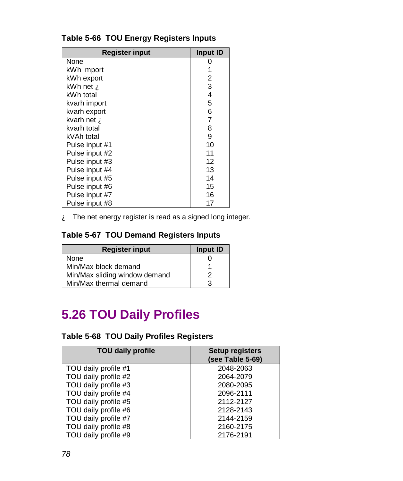| Register input               | Input ID |
|------------------------------|----------|
| None                         |          |
| kWh import                   |          |
| kWh export                   | 2        |
| kWh net $\mathbf{\hat{A}}$   | 3        |
| kWh total                    | 4        |
| kvarh import                 | 5        |
| kvarh export                 | 6        |
| kvarh net $\mathbf{\hat{A}}$ | 7        |
| kvarh total                  | 8        |
| kVAh total                   | 9        |
| Pulse input #1               | 10       |
| Pulse input #2               | 11       |
| Pulse input #3               | 12       |
| Pulse input #4               | 13       |
| Pulse input #5               | 14       |
| Pulse input #6               | 15       |
| Pulse input #7               | 16       |
| Pulse input #8               | 17       |

## **Table 5-66 TOU Energy Registers Inputs**

À The net energy register is read as a signed long integer.

### **Table 5-67 TOU Demand Registers Inputs**

| <b>Register input</b>         | Input ID |
|-------------------------------|----------|
| None                          |          |
| Min/Max block demand          |          |
| Min/Max sliding window demand | 2        |
| Min/Max thermal demand        | 3        |

# **5.26 TOU Daily Profiles**

## **Table 5-68 TOU Daily Profiles Registers**

| <b>TOU daily profile</b> | <b>Setup registers</b><br>(see Table 5-69) |
|--------------------------|--------------------------------------------|
| TOU daily profile #1     | 2048-2063                                  |
| TOU daily profile #2     | 2064-2079                                  |
| TOU daily profile #3     | 2080-2095                                  |
| TOU daily profile #4     | 2096-2111                                  |
| TOU daily profile #5     | 2112-2127                                  |
| TOU daily profile #6     | 2128-2143                                  |
| TOU daily profile #7     | 2144-2159                                  |
| TOU daily profile #8     | 2160-2175                                  |
| TOU daily profile #9     | 2176-2191                                  |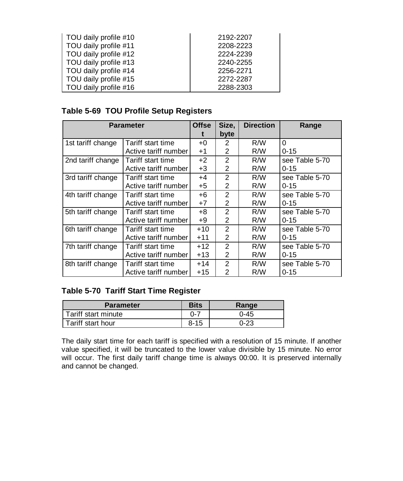| TOU daily profile #10 | 2192-2207 |
|-----------------------|-----------|
| TOU daily profile #11 | 2208-2223 |
| TOU daily profile #12 | 2224-2239 |
| TOU daily profile #13 | 2240-2255 |
| TOU daily profile #14 | 2256-2271 |
| TOU daily profile #15 | 2272-2287 |
| TOU daily profile #16 | 2288-2303 |

## **Table 5-69 TOU Profile Setup Registers**

| <b>Parameter</b>  |                      | <b>Offse</b> | Size,          | <b>Direction</b> | Range          |
|-------------------|----------------------|--------------|----------------|------------------|----------------|
|                   |                      |              | byte           |                  |                |
| 1st tariff change | Tariff start time    | $+0$         | 2              | R/W              | 0              |
|                   | Active tariff number | $+1$         | 2              | R/W              | $0 - 15$       |
| 2nd tariff change | Tariff start time    | $+2$         | $\overline{2}$ | R/W              | see Table 5-70 |
|                   | Active tariff number | $+3$         | 2              | R/W              | $0 - 15$       |
| 3rd tariff change | Tariff start time    | +4           | 2              | R/W              | see Table 5-70 |
|                   | Active tariff number | $+5$         | 2              | R/W              | $0 - 15$       |
| 4th tariff change | Tariff start time    | +6           | 2              | R/W              | see Table 5-70 |
|                   | Active tariff number | $+7$         | 2              | R/W              | $0 - 15$       |
| 5th tariff change | Tariff start time    | +8           | 2              | R/W              | see Table 5-70 |
|                   | Active tariff number | +9           | 2              | R/W              | $0 - 15$       |
| 6th tariff change | Tariff start time    | $+10$        | $\overline{2}$ | R/W              | see Table 5-70 |
|                   | Active tariff number | $+11$        | 2              | R/W              | $0 - 15$       |
| 7th tariff change | Tariff start time    | $+12$        | $\mathcal{P}$  | R/W              | see Table 5-70 |
|                   | Active tariff number | +13          | 2              | R/W              | $0 - 15$       |
| 8th tariff change | Tariff start time    | $+14$        | $\mathcal{P}$  | R/W              | see Table 5-70 |
|                   | Active tariff number | +15          | 2              | R/W              | $0 - 15$       |

### **Table 5-70 Tariff Start Time Register**

| <b>Parameter</b>    | <b>Bits</b> | Range    |
|---------------------|-------------|----------|
| Tariff start minute | $0 - 7$     | $0 - 45$ |
| Tariff start hour   | $8 - 15$    | 0-23     |

The daily start time for each tariff is specified with a resolution of 15 minute. If another value specified, it will be truncated to the lower value divisible by 15 minute. No error will occur. The first daily tariff change time is always 00:00. It is preserved internally and cannot be changed.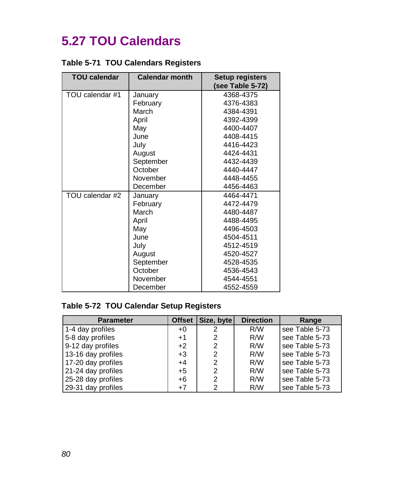# **5.27 TOU Calendars**

|  |  | <b>Table 5-71 TOU Calendars Registers</b> |  |
|--|--|-------------------------------------------|--|
|--|--|-------------------------------------------|--|

| <b>TOU calendar</b> | <b>Calendar month</b> | <b>Setup registers</b> |
|---------------------|-----------------------|------------------------|
|                     |                       | (see Table 5-72)       |
| TOU calendar #1     | January               | 4368-4375              |
|                     | February              | 4376-4383              |
|                     | March                 | 4384-4391              |
|                     | April                 | 4392-4399              |
|                     | May                   | 4400-4407              |
|                     | June                  | 4408-4415              |
|                     | July                  | 4416-4423              |
|                     | August                | 4424-4431              |
|                     | September             | 4432-4439              |
|                     | October               | 4440-4447              |
|                     | November              | 4448-4455              |
|                     | December              | 4456-4463              |
| TOU calendar #2     | January               | 4464-4471              |
|                     | February              | 4472-4479              |
|                     | March                 | 4480-4487              |
|                     | April                 | 4488-4495              |
|                     | May                   | 4496-4503              |
|                     | June                  | 4504-4511              |
|                     | July                  | 4512-4519              |
|                     | August                | 4520-4527              |
|                     | September             | 4528-4535              |
|                     | October               | 4536-4543              |
|                     | November              | 4544-4551              |
|                     | December              | 4552-4559              |

## **Table 5-72 TOU Calendar Setup Registers**

| <b>Parameter</b>   | Offset | Size, byte    | <b>Direction</b> | Range            |
|--------------------|--------|---------------|------------------|------------------|
| 1-4 day profiles   | $+0$   | 2             | R/W              | see Table $5-73$ |
| 5-8 day profiles   | $+1$   | 2             | R/W              | see Table 5-73   |
| 9-12 day profiles  | $+2$   | 2             | R/W              | see Table 5-73   |
| 13-16 day profiles | $+3$   | 2             | R/W              | see Table 5-73   |
| 17-20 day profiles | $+4$   | $\mathcal{P}$ | R/W              | see Table 5-73   |
| 21-24 day profiles | $+5$   | 2             | R/W              | see Table 5-73   |
| 25-28 day profiles | $+6$   | $\mathcal{P}$ | R/W              | see Table 5-73   |
| 29-31 day profiles | $+7$   | 2             | R/W              | see Table 5-73   |